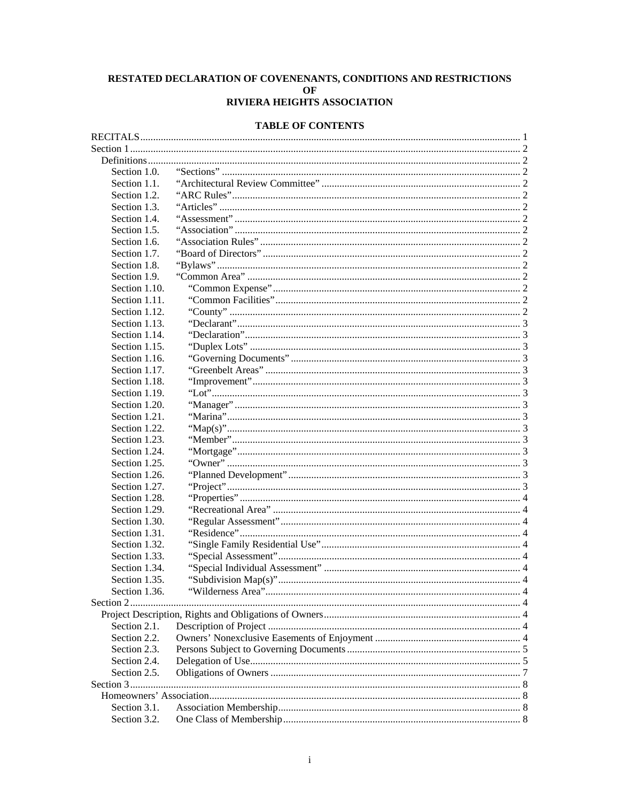# RESTATED DECLARATION OF COVENENANTS, CONDITIONS AND RESTRICTIONS OF RIVIERA HEIGHTS ASSOCIATION

# **TABLE OF CONTENTS**

| Section 1.0.  |   |  |  |  |
|---------------|---|--|--|--|
| Section 1.1.  |   |  |  |  |
| Section 1.2.  |   |  |  |  |
| Section 1.3.  |   |  |  |  |
| Section 1.4.  |   |  |  |  |
| Section 1.5.  |   |  |  |  |
| Section 1.6.  |   |  |  |  |
| Section 1.7.  |   |  |  |  |
| Section 1.8.  |   |  |  |  |
| Section 1.9.  |   |  |  |  |
| Section 1.10. |   |  |  |  |
| Section 1.11. |   |  |  |  |
| Section 1.12. |   |  |  |  |
| Section 1.13. |   |  |  |  |
| Section 1.14. |   |  |  |  |
| Section 1.15. |   |  |  |  |
| Section 1.16. |   |  |  |  |
| Section 1.17. |   |  |  |  |
| Section 1.18. |   |  |  |  |
| Section 1.19. |   |  |  |  |
| Section 1.20. |   |  |  |  |
| Section 1.21. |   |  |  |  |
| Section 1.22. |   |  |  |  |
| Section 1.23. |   |  |  |  |
| Section 1.24. |   |  |  |  |
| Section 1.25. |   |  |  |  |
| Section 1.26. |   |  |  |  |
| Section 1.27. |   |  |  |  |
| Section 1.28. |   |  |  |  |
| Section 1.29. |   |  |  |  |
| Section 1.30. |   |  |  |  |
| Section 1.31. |   |  |  |  |
| Section 1.32. |   |  |  |  |
| Section 1.33. |   |  |  |  |
| Section 1.34. |   |  |  |  |
| Section 1.35. |   |  |  |  |
| Section 1.36. |   |  |  |  |
| Section 2     | . |  |  |  |
|               |   |  |  |  |
| Section 2.1.  |   |  |  |  |
| Section 2.2.  |   |  |  |  |
| Section 2.3.  |   |  |  |  |
| Section 2.4.  |   |  |  |  |
| Section 2.5.  |   |  |  |  |
|               |   |  |  |  |
|               |   |  |  |  |
| Section 3.1.  |   |  |  |  |
| Section 3.2.  |   |  |  |  |
|               |   |  |  |  |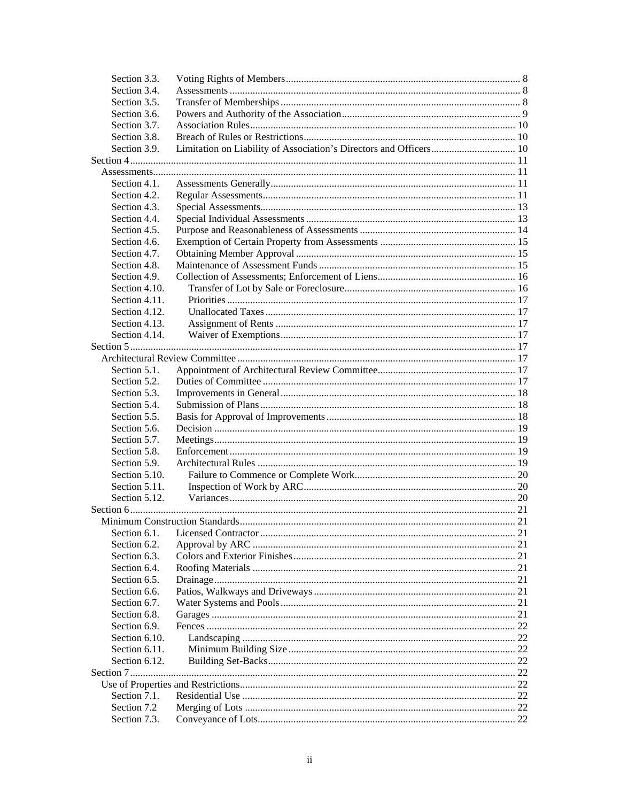| Section 3.3.  |                                                                    |  |  |  |
|---------------|--------------------------------------------------------------------|--|--|--|
| Section 3.4.  |                                                                    |  |  |  |
| Section 3.5.  |                                                                    |  |  |  |
| Section 3.6.  |                                                                    |  |  |  |
| Section 3.7.  |                                                                    |  |  |  |
| Section 3.8.  |                                                                    |  |  |  |
| Section 3.9.  | Limitation on Liability of Association's Directors and Officers 10 |  |  |  |
|               |                                                                    |  |  |  |
|               |                                                                    |  |  |  |
| Section 4.1.  |                                                                    |  |  |  |
| Section 4.2.  |                                                                    |  |  |  |
| Section 4.3.  |                                                                    |  |  |  |
| Section 4.4.  |                                                                    |  |  |  |
| Section 4.5.  |                                                                    |  |  |  |
| Section 4.6.  |                                                                    |  |  |  |
| Section 4.7.  |                                                                    |  |  |  |
| Section 4.8.  |                                                                    |  |  |  |
| Section 4.9.  |                                                                    |  |  |  |
| Section 4.10. |                                                                    |  |  |  |
| Section 4.11. |                                                                    |  |  |  |
| Section 4.12. |                                                                    |  |  |  |
| Section 4.13. |                                                                    |  |  |  |
| Section 4.14. |                                                                    |  |  |  |
|               |                                                                    |  |  |  |
|               |                                                                    |  |  |  |
| Section 5.1.  |                                                                    |  |  |  |
| Section 5.2.  |                                                                    |  |  |  |
| Section 5.3.  |                                                                    |  |  |  |
| Section 5.4.  |                                                                    |  |  |  |
| Section 5.5.  |                                                                    |  |  |  |
| Section 5.6.  |                                                                    |  |  |  |
| Section 5.7.  |                                                                    |  |  |  |
| Section 5.8.  |                                                                    |  |  |  |
| Section 5.9.  |                                                                    |  |  |  |
| Section 5.10. |                                                                    |  |  |  |
| Section 5.11. |                                                                    |  |  |  |
| Section 5.12. |                                                                    |  |  |  |
|               |                                                                    |  |  |  |
|               |                                                                    |  |  |  |
| Section 6.1.  |                                                                    |  |  |  |
| Section 6.2.  |                                                                    |  |  |  |
| Section 6.3.  |                                                                    |  |  |  |
| Section 6.4.  |                                                                    |  |  |  |
| Section 6.5.  |                                                                    |  |  |  |
| Section 6.6.  |                                                                    |  |  |  |
| Section 6.7.  |                                                                    |  |  |  |
| Section 6.8.  |                                                                    |  |  |  |
| Section 6.9.  |                                                                    |  |  |  |
| Section 6.10. |                                                                    |  |  |  |
| Section 6.11. |                                                                    |  |  |  |
| Section 6.12. |                                                                    |  |  |  |
|               |                                                                    |  |  |  |
|               |                                                                    |  |  |  |
| Section 7.1.  |                                                                    |  |  |  |
| Section 7.2   |                                                                    |  |  |  |
| Section 7.3.  |                                                                    |  |  |  |
|               |                                                                    |  |  |  |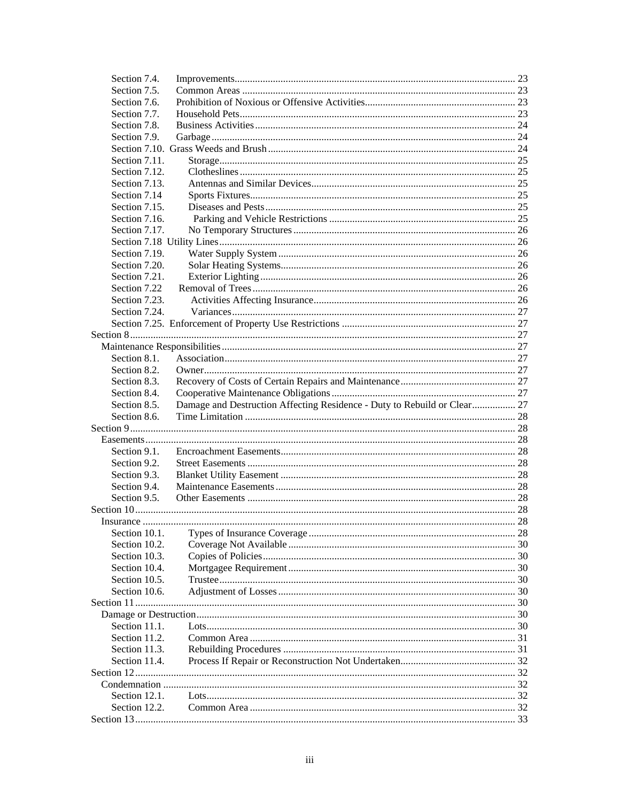| Section 7.4.  |                                                                          |  |
|---------------|--------------------------------------------------------------------------|--|
| Section 7.5.  |                                                                          |  |
| Section 7.6.  |                                                                          |  |
| Section 7.7.  |                                                                          |  |
| Section 7.8.  |                                                                          |  |
| Section 7.9.  |                                                                          |  |
|               |                                                                          |  |
| Section 7.11. |                                                                          |  |
| Section 7.12. |                                                                          |  |
| Section 7.13. |                                                                          |  |
| Section 7.14  |                                                                          |  |
| Section 7.15. |                                                                          |  |
| Section 7.16. |                                                                          |  |
| Section 7.17. |                                                                          |  |
|               |                                                                          |  |
| Section 7.19. |                                                                          |  |
| Section 7.20. |                                                                          |  |
| Section 7.21. |                                                                          |  |
| Section 7.22  |                                                                          |  |
| Section 7.23. |                                                                          |  |
| Section 7.24. |                                                                          |  |
|               |                                                                          |  |
|               |                                                                          |  |
|               |                                                                          |  |
| Section 8.1.  |                                                                          |  |
| Section 8.2.  |                                                                          |  |
| Section 8.3.  |                                                                          |  |
| Section 8.4.  |                                                                          |  |
| Section 8.5.  | Damage and Destruction Affecting Residence - Duty to Rebuild or Clear 27 |  |
| Section 8.6.  |                                                                          |  |
|               |                                                                          |  |
|               |                                                                          |  |
| Section 9.1.  |                                                                          |  |
| Section 9.2.  |                                                                          |  |
| Section 9.3.  |                                                                          |  |
| Section 9.4.  |                                                                          |  |
| Section 9.5.  |                                                                          |  |
|               |                                                                          |  |
|               |                                                                          |  |
| Section 10.1. |                                                                          |  |
| Section 10.2. |                                                                          |  |
| Section 10.3. |                                                                          |  |
| Section 10.4. |                                                                          |  |
| Section 10.5. |                                                                          |  |
| Section 10.6. |                                                                          |  |
|               |                                                                          |  |
|               |                                                                          |  |
| Section 11.1. |                                                                          |  |
| Section 11.2. |                                                                          |  |
| Section 11.3. |                                                                          |  |
| Section 11.4. |                                                                          |  |
|               |                                                                          |  |
|               |                                                                          |  |
| Section 12.1. |                                                                          |  |
| Section 12.2. |                                                                          |  |
|               |                                                                          |  |
|               |                                                                          |  |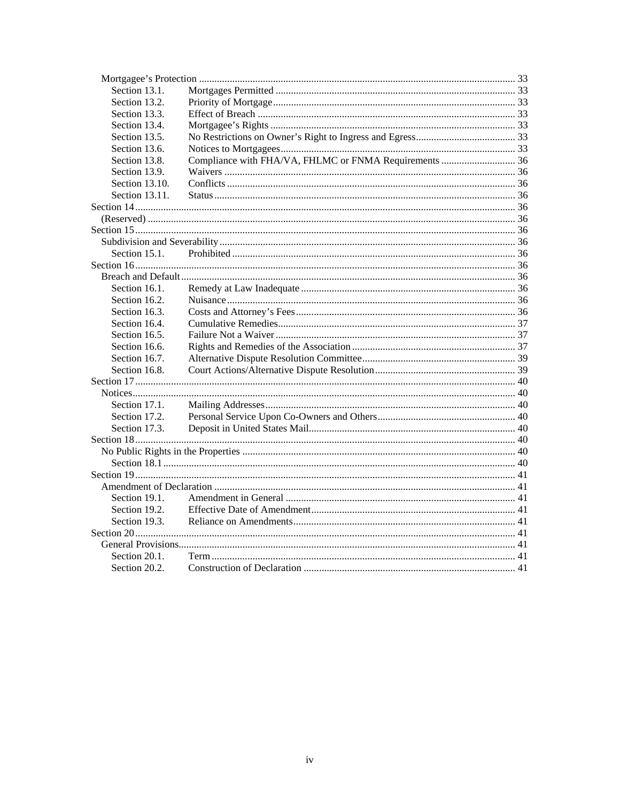| Section 13.1.  |  |
|----------------|--|
| Section 13.2.  |  |
| Section 13.3.  |  |
| Section 13.4.  |  |
| Section 13.5.  |  |
| Section 13.6.  |  |
| Section 13.8.  |  |
| Section 13.9.  |  |
| Section 13.10. |  |
| Section 13.11. |  |
|                |  |
|                |  |
|                |  |
|                |  |
| Section 15.1.  |  |
|                |  |
|                |  |
| Section 16.1.  |  |
| Section 16.2.  |  |
| Section 16.3.  |  |
| Section 16.4.  |  |
| Section 16.5.  |  |
| Section 16.6.  |  |
| Section 16.7.  |  |
| Section 16.8.  |  |
|                |  |
|                |  |
|                |  |
| Section 17.2.  |  |
| Section 17.3.  |  |
|                |  |
|                |  |
|                |  |
|                |  |
|                |  |
| Section 19.1.  |  |
| Section 19.2.  |  |
| Section 19.3.  |  |
|                |  |
|                |  |
| Section 20.1.  |  |
| Section 20.2.  |  |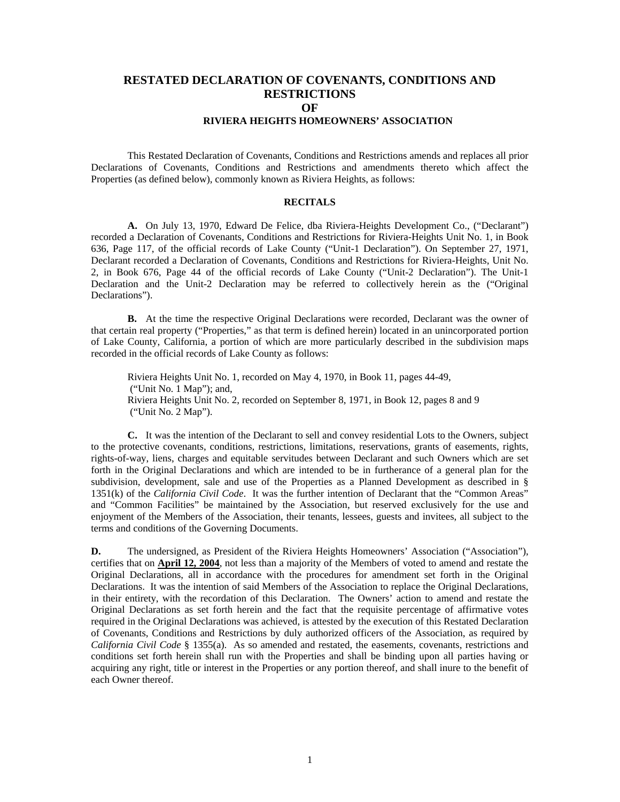# **RESTATED DECLARATION OF COVENANTS, CONDITIONS AND RESTRICTIONS OF RIVIERA HEIGHTS HOMEOWNERS' ASSOCIATION**

This Restated Declaration of Covenants, Conditions and Restrictions amends and replaces all prior Declarations of Covenants, Conditions and Restrictions and amendments thereto which affect the Properties (as defined below), commonly known as Riviera Heights, as follows:

# **RECITALS**

**A.** On July 13, 1970, Edward De Felice, dba Riviera-Heights Development Co., ("Declarant") recorded a Declaration of Covenants, Conditions and Restrictions for Riviera-Heights Unit No. 1, in Book 636, Page 117, of the official records of Lake County ("Unit-1 Declaration"). On September 27, 1971, Declarant recorded a Declaration of Covenants, Conditions and Restrictions for Riviera-Heights, Unit No. 2, in Book 676, Page 44 of the official records of Lake County ("Unit-2 Declaration"). The Unit-1 Declaration and the Unit-2 Declaration may be referred to collectively herein as the ("Original Declarations").

**B.** At the time the respective Original Declarations were recorded, Declarant was the owner of that certain real property ("Properties," as that term is defined herein) located in an unincorporated portion of Lake County, California, a portion of which are more particularly described in the subdivision maps recorded in the official records of Lake County as follows:

Riviera Heights Unit No. 1, recorded on May 4, 1970, in Book 11, pages 44-49, ("Unit No. 1 Map"); and, Riviera Heights Unit No. 2, recorded on September 8, 1971, in Book 12, pages 8 and 9 ("Unit No. 2 Map").

**C.** It was the intention of the Declarant to sell and convey residential Lots to the Owners, subject to the protective covenants, conditions, restrictions, limitations, reservations, grants of easements, rights, rights-of-way, liens, charges and equitable servitudes between Declarant and such Owners which are set forth in the Original Declarations and which are intended to be in furtherance of a general plan for the subdivision, development, sale and use of the Properties as a Planned Development as described in § 1351(k) of the *California Civil Code*. It was the further intention of Declarant that the "Common Areas" and "Common Facilities" be maintained by the Association, but reserved exclusively for the use and enjoyment of the Members of the Association, their tenants, lessees, guests and invitees, all subject to the terms and conditions of the Governing Documents.

**D.** The undersigned, as President of the Riviera Heights Homeowners' Association ("Association"), certifies that on **April 12, 2004**, not less than a majority of the Members of voted to amend and restate the Original Declarations, all in accordance with the procedures for amendment set forth in the Original Declarations. It was the intention of said Members of the Association to replace the Original Declarations, in their entirety, with the recordation of this Declaration. The Owners' action to amend and restate the Original Declarations as set forth herein and the fact that the requisite percentage of affirmative votes required in the Original Declarations was achieved, is attested by the execution of this Restated Declaration of Covenants, Conditions and Restrictions by duly authorized officers of the Association, as required by *California Civil Code* § 1355(a). As so amended and restated, the easements, covenants, restrictions and conditions set forth herein shall run with the Properties and shall be binding upon all parties having or acquiring any right, title or interest in the Properties or any portion thereof, and shall inure to the benefit of each Owner thereof.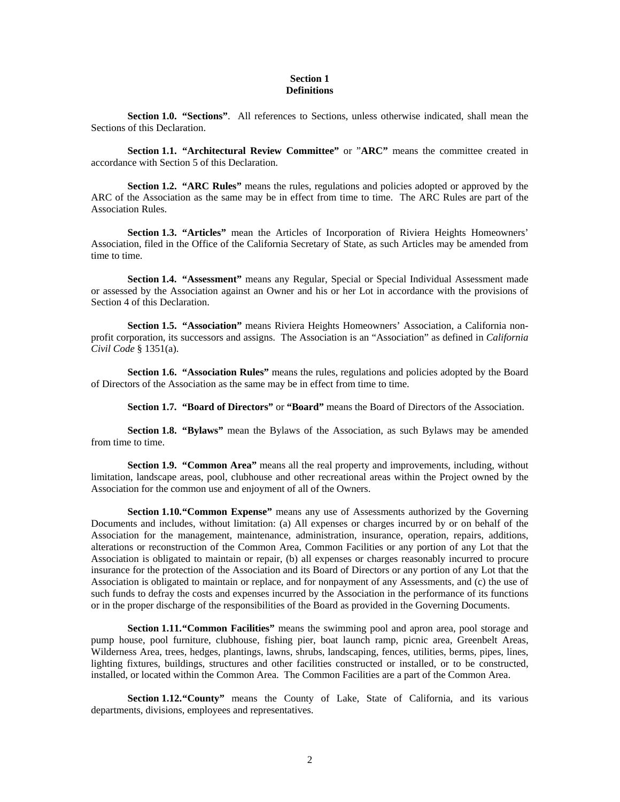# **Section 1 Definitions**

**Section 1.0. "Sections"**. All references to Sections, unless otherwise indicated, shall mean the Sections of this Declaration.

**Section 1.1. "Architectural Review Committee"** or "**ARC"** means the committee created in accordance with Section 5 of this Declaration.

**Section 1.2. "ARC Rules"** means the rules, regulations and policies adopted or approved by the ARC of the Association as the same may be in effect from time to time. The ARC Rules are part of the Association Rules.

**Section 1.3. "Articles"** mean the Articles of Incorporation of Riviera Heights Homeowners' Association, filed in the Office of the California Secretary of State, as such Articles may be amended from time to time.

**Section 1.4. "Assessment"** means any Regular, Special or Special Individual Assessment made or assessed by the Association against an Owner and his or her Lot in accordance with the provisions of Section 4 of this Declaration.

**Section 1.5. "Association"** means Riviera Heights Homeowners' Association, a California nonprofit corporation, its successors and assigns. The Association is an "Association" as defined in *California Civil Code* § 1351(a).

**Section 1.6. "Association Rules"** means the rules, regulations and policies adopted by the Board of Directors of the Association as the same may be in effect from time to time.

**Section 1.7. "Board of Directors"** or **"Board"** means the Board of Directors of the Association.

**Section 1.8. "Bylaws"** mean the Bylaws of the Association, as such Bylaws may be amended from time to time.

**Section 1.9. "Common Area"** means all the real property and improvements, including, without limitation, landscape areas, pool, clubhouse and other recreational areas within the Project owned by the Association for the common use and enjoyment of all of the Owners.

**Section 1.10. "Common Expense"** means any use of Assessments authorized by the Governing Documents and includes, without limitation: (a) All expenses or charges incurred by or on behalf of the Association for the management, maintenance, administration, insurance, operation, repairs, additions, alterations or reconstruction of the Common Area, Common Facilities or any portion of any Lot that the Association is obligated to maintain or repair, (b) all expenses or charges reasonably incurred to procure insurance for the protection of the Association and its Board of Directors or any portion of any Lot that the Association is obligated to maintain or replace, and for nonpayment of any Assessments, and (c) the use of such funds to defray the costs and expenses incurred by the Association in the performance of its functions or in the proper discharge of the responsibilities of the Board as provided in the Governing Documents.

**Section 1.11. "Common Facilities"** means the swimming pool and apron area, pool storage and pump house, pool furniture, clubhouse, fishing pier, boat launch ramp, picnic area, Greenbelt Areas, Wilderness Area, trees, hedges, plantings, lawns, shrubs, landscaping, fences, utilities, berms, pipes, lines, lighting fixtures, buildings, structures and other facilities constructed or installed, or to be constructed, installed, or located within the Common Area. The Common Facilities are a part of the Common Area.

**Section 1.12. "County"** means the County of Lake, State of California, and its various departments, divisions, employees and representatives.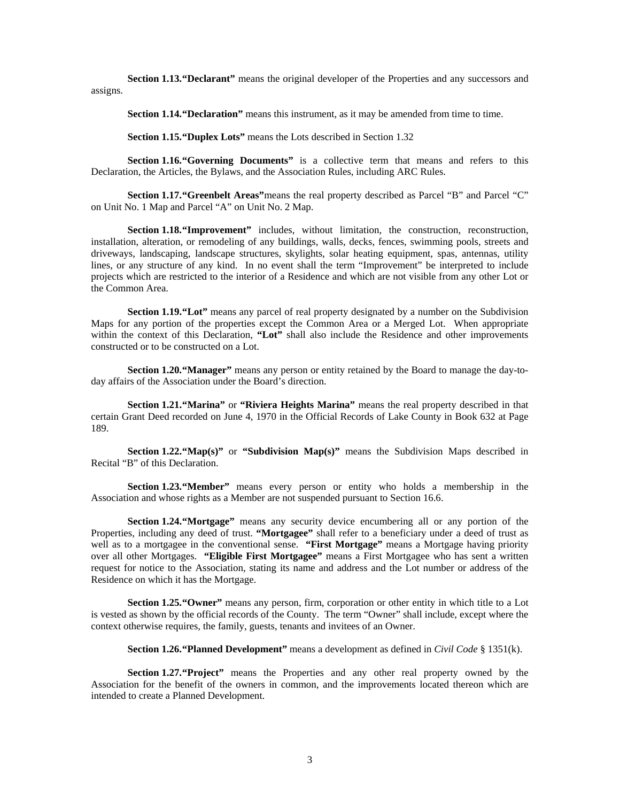**Section 1.13. "Declarant"** means the original developer of the Properties and any successors and assigns.

**Section 1.14. "Declaration"** means this instrument, as it may be amended from time to time.

**Section 1.15. "Duplex Lots"** means the Lots described in Section 1.32

**Section 1.16. "Governing Documents"** is a collective term that means and refers to this Declaration, the Articles, the Bylaws, and the Association Rules, including ARC Rules.

**Section 1.17. "Greenbelt Areas"**means the real property described as Parcel "B" and Parcel "C" on Unit No. 1 Map and Parcel "A" on Unit No. 2 Map.

**Section 1.18. "Improvement"** includes, without limitation, the construction, reconstruction, installation, alteration, or remodeling of any buildings, walls, decks, fences, swimming pools, streets and driveways, landscaping, landscape structures, skylights, solar heating equipment, spas, antennas, utility lines, or any structure of any kind. In no event shall the term "Improvement" be interpreted to include projects which are restricted to the interior of a Residence and which are not visible from any other Lot or the Common Area.

**Section 1.19. "Lot"** means any parcel of real property designated by a number on the Subdivision Maps for any portion of the properties except the Common Area or a Merged Lot. When appropriate within the context of this Declaration, **"Lot"** shall also include the Residence and other improvements constructed or to be constructed on a Lot.

**Section 1.20. "Manager"** means any person or entity retained by the Board to manage the day-today affairs of the Association under the Board's direction.

**Section 1.21. "Marina"** or **"Riviera Heights Marina"** means the real property described in that certain Grant Deed recorded on June 4, 1970 in the Official Records of Lake County in Book 632 at Page 189.

**Section 1.22. "Map(s)"** or "Subdivision Map(s)" means the Subdivision Maps described in Recital "B" of this Declaration.

**Section 1.23. "Member"** means every person or entity who holds a membership in the Association and whose rights as a Member are not suspended pursuant to Section 16.6.

**Section 1.24. "Mortgage"** means any security device encumbering all or any portion of the Properties, including any deed of trust. **"Mortgagee"** shall refer to a beneficiary under a deed of trust as well as to a mortgagee in the conventional sense. **"First Mortgage"** means a Mortgage having priority over all other Mortgages. **"Eligible First Mortgagee"** means a First Mortgagee who has sent a written request for notice to the Association, stating its name and address and the Lot number or address of the Residence on which it has the Mortgage.

**Section 1.25. "Owner"** means any person, firm, corporation or other entity in which title to a Lot is vested as shown by the official records of the County. The term "Owner" shall include, except where the context otherwise requires, the family, guests, tenants and invitees of an Owner.

**Section 1.26. "Planned Development"** means a development as defined in *Civil Code* § 1351(k).

**Section 1.27. "Project"** means the Properties and any other real property owned by the Association for the benefit of the owners in common, and the improvements located thereon which are intended to create a Planned Development.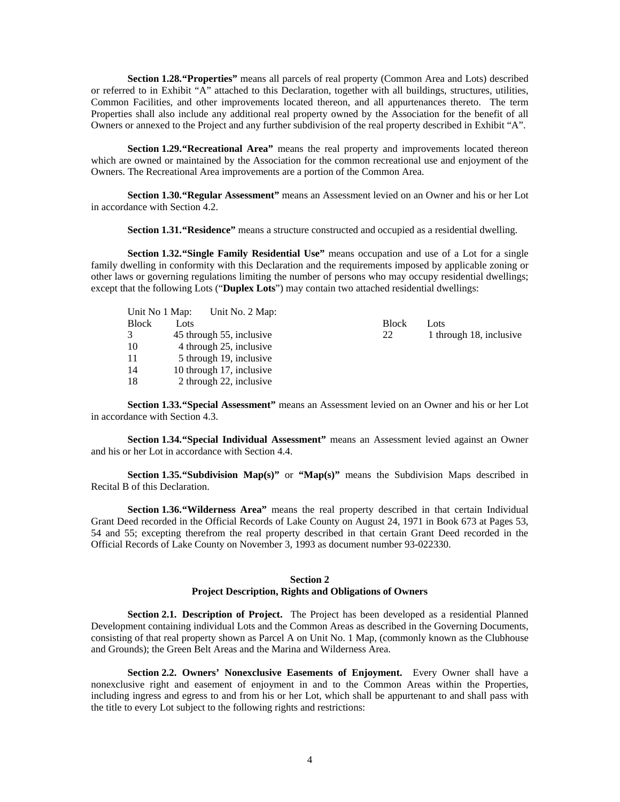**Section 1.28. "Properties"** means all parcels of real property (Common Area and Lots) described or referred to in Exhibit "A" attached to this Declaration, together with all buildings, structures, utilities, Common Facilities, and other improvements located thereon, and all appurtenances thereto. The term Properties shall also include any additional real property owned by the Association for the benefit of all Owners or annexed to the Project and any further subdivision of the real property described in Exhibit "A".

**Section 1.29. "Recreational Area"** means the real property and improvements located thereon which are owned or maintained by the Association for the common recreational use and enjoyment of the Owners. The Recreational Area improvements are a portion of the Common Area.

**Section 1.30. "Regular Assessment"** means an Assessment levied on an Owner and his or her Lot in accordance with Section 4.2.

**Section 1.31. "Residence"** means a structure constructed and occupied as a residential dwelling.

**Section 1.32. "Single Family Residential Use"** means occupation and use of a Lot for a single family dwelling in conformity with this Declaration and the requirements imposed by applicable zoning or other laws or governing regulations limiting the number of persons who may occupy residential dwellings; except that the following Lots ("**Duplex Lots**") may contain two attached residential dwellings:

| Unit No. 2 Map:<br>Unit No 1 Map: |              |                         |
|-----------------------------------|--------------|-------------------------|
| Lots                              | <b>Block</b> | Lots                    |
| 45 through 55, inclusive          | 22           | 1 through 18, inclusive |
| 4 through 25, inclusive           |              |                         |
| 5 through 19, inclusive           |              |                         |
| 10 through 17, inclusive          |              |                         |
| 2 through 22, inclusive           |              |                         |
|                                   |              |                         |

**Section 1.33. "Special Assessment"** means an Assessment levied on an Owner and his or her Lot in accordance with Section 4.3.

**Section 1.34. "Special Individual Assessment"** means an Assessment levied against an Owner and his or her Lot in accordance with Section 4.4.

**Section 1.35. "Subdivision Map(s)"** or "Map(s)" means the Subdivision Maps described in Recital B of this Declaration.

**Section 1.36. "Wilderness Area"** means the real property described in that certain Individual Grant Deed recorded in the Official Records of Lake County on August 24, 1971 in Book 673 at Pages 53, 54 and 55; excepting therefrom the real property described in that certain Grant Deed recorded in the Official Records of Lake County on November 3, 1993 as document number 93-022330.

### **Section 2 Project Description, Rights and Obligations of Owners**

**Section 2.1. Description of Project.** The Project has been developed as a residential Planned Development containing individual Lots and the Common Areas as described in the Governing Documents, consisting of that real property shown as Parcel A on Unit No. 1 Map, (commonly known as the Clubhouse and Grounds); the Green Belt Areas and the Marina and Wilderness Area.

**Section 2.2. Owners' Nonexclusive Easements of Enjoyment.** Every Owner shall have a nonexclusive right and easement of enjoyment in and to the Common Areas within the Properties, including ingress and egress to and from his or her Lot, which shall be appurtenant to and shall pass with the title to every Lot subject to the following rights and restrictions: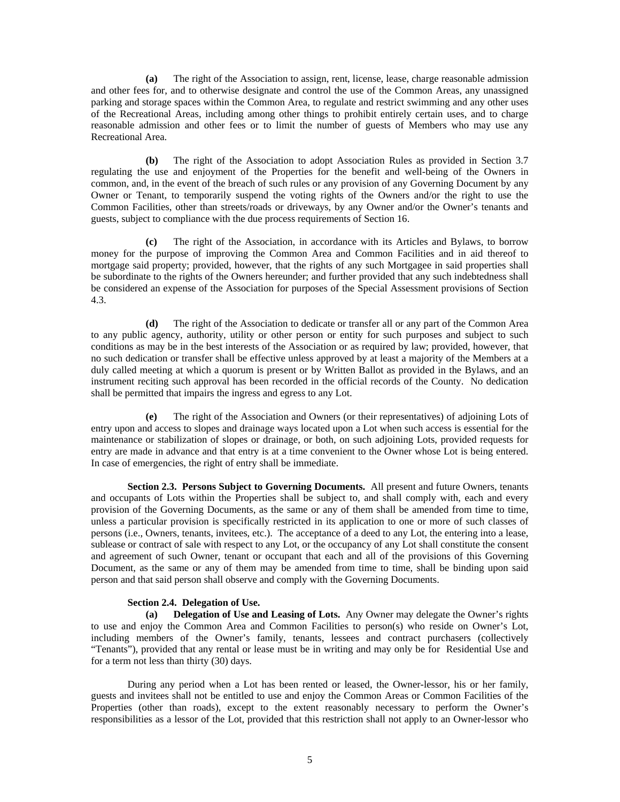**(a)** The right of the Association to assign, rent, license, lease, charge reasonable admission and other fees for, and to otherwise designate and control the use of the Common Areas, any unassigned parking and storage spaces within the Common Area, to regulate and restrict swimming and any other uses of the Recreational Areas, including among other things to prohibit entirely certain uses, and to charge reasonable admission and other fees or to limit the number of guests of Members who may use any Recreational Area.

**(b)** The right of the Association to adopt Association Rules as provided in Section 3.7 regulating the use and enjoyment of the Properties for the benefit and well-being of the Owners in common, and, in the event of the breach of such rules or any provision of any Governing Document by any Owner or Tenant, to temporarily suspend the voting rights of the Owners and/or the right to use the Common Facilities, other than streets/roads or driveways, by any Owner and/or the Owner's tenants and guests, subject to compliance with the due process requirements of Section 16.

**(c)** The right of the Association, in accordance with its Articles and Bylaws, to borrow money for the purpose of improving the Common Area and Common Facilities and in aid thereof to mortgage said property; provided, however, that the rights of any such Mortgagee in said properties shall be subordinate to the rights of the Owners hereunder; and further provided that any such indebtedness shall be considered an expense of the Association for purposes of the Special Assessment provisions of Section 4.3.

**(d)** The right of the Association to dedicate or transfer all or any part of the Common Area to any public agency, authority, utility or other person or entity for such purposes and subject to such conditions as may be in the best interests of the Association or as required by law; provided, however, that no such dedication or transfer shall be effective unless approved by at least a majority of the Members at a duly called meeting at which a quorum is present or by Written Ballot as provided in the Bylaws, and an instrument reciting such approval has been recorded in the official records of the County. No dedication shall be permitted that impairs the ingress and egress to any Lot.

**(e)** The right of the Association and Owners (or their representatives) of adjoining Lots of entry upon and access to slopes and drainage ways located upon a Lot when such access is essential for the maintenance or stabilization of slopes or drainage, or both, on such adjoining Lots, provided requests for entry are made in advance and that entry is at a time convenient to the Owner whose Lot is being entered. In case of emergencies, the right of entry shall be immediate.

**Section 2.3. Persons Subject to Governing Documents.** All present and future Owners, tenants and occupants of Lots within the Properties shall be subject to, and shall comply with, each and every provision of the Governing Documents, as the same or any of them shall be amended from time to time, unless a particular provision is specifically restricted in its application to one or more of such classes of persons (i.e., Owners, tenants, invitees, etc.). The acceptance of a deed to any Lot, the entering into a lease, sublease or contract of sale with respect to any Lot, or the occupancy of any Lot shall constitute the consent and agreement of such Owner, tenant or occupant that each and all of the provisions of this Governing Document, as the same or any of them may be amended from time to time, shall be binding upon said person and that said person shall observe and comply with the Governing Documents.

# **Section 2.4. Delegation of Use.**

**(a) Delegation of Use and Leasing of Lots.** Any Owner may delegate the Owner's rights to use and enjoy the Common Area and Common Facilities to person(s) who reside on Owner's Lot, including members of the Owner's family, tenants, lessees and contract purchasers (collectively "Tenants"), provided that any rental or lease must be in writing and may only be for Residential Use and for a term not less than thirty (30) days.

During any period when a Lot has been rented or leased, the Owner-lessor, his or her family, guests and invitees shall not be entitled to use and enjoy the Common Areas or Common Facilities of the Properties (other than roads), except to the extent reasonably necessary to perform the Owner's responsibilities as a lessor of the Lot, provided that this restriction shall not apply to an Owner-lessor who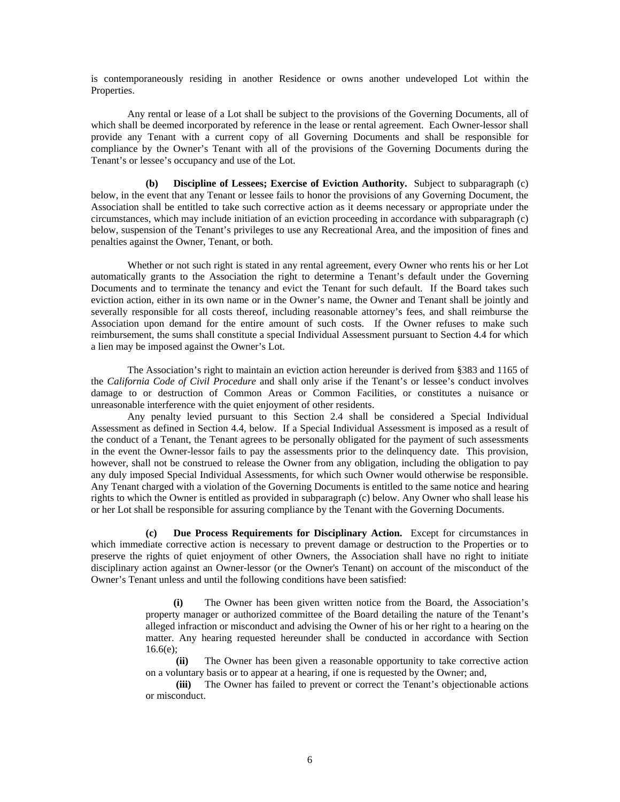is contemporaneously residing in another Residence or owns another undeveloped Lot within the Properties.

Any rental or lease of a Lot shall be subject to the provisions of the Governing Documents, all of which shall be deemed incorporated by reference in the lease or rental agreement. Each Owner-lessor shall provide any Tenant with a current copy of all Governing Documents and shall be responsible for compliance by the Owner's Tenant with all of the provisions of the Governing Documents during the Tenant's or lessee's occupancy and use of the Lot.

**(b) Discipline of Lessees; Exercise of Eviction Authority.** Subject to subparagraph (c) below, in the event that any Tenant or lessee fails to honor the provisions of any Governing Document, the Association shall be entitled to take such corrective action as it deems necessary or appropriate under the circumstances, which may include initiation of an eviction proceeding in accordance with subparagraph (c) below, suspension of the Tenant's privileges to use any Recreational Area, and the imposition of fines and penalties against the Owner, Tenant, or both.

Whether or not such right is stated in any rental agreement, every Owner who rents his or her Lot automatically grants to the Association the right to determine a Tenant's default under the Governing Documents and to terminate the tenancy and evict the Tenant for such default. If the Board takes such eviction action, either in its own name or in the Owner's name, the Owner and Tenant shall be jointly and severally responsible for all costs thereof, including reasonable attorney's fees, and shall reimburse the Association upon demand for the entire amount of such costs. If the Owner refuses to make such reimbursement, the sums shall constitute a special Individual Assessment pursuant to Section 4.4 for which a lien may be imposed against the Owner's Lot.

The Association's right to maintain an eviction action hereunder is derived from §383 and 1165 of the *California Code of Civil Procedure* and shall only arise if the Tenant's or lessee's conduct involves damage to or destruction of Common Areas or Common Facilities, or constitutes a nuisance or unreasonable interference with the quiet enjoyment of other residents.

Any penalty levied pursuant to this Section 2.4 shall be considered a Special Individual Assessment as defined in Section 4.4, below. If a Special Individual Assessment is imposed as a result of the conduct of a Tenant, the Tenant agrees to be personally obligated for the payment of such assessments in the event the Owner-lessor fails to pay the assessments prior to the delinquency date. This provision, however, shall not be construed to release the Owner from any obligation, including the obligation to pay any duly imposed Special Individual Assessments, for which such Owner would otherwise be responsible. Any Tenant charged with a violation of the Governing Documents is entitled to the same notice and hearing rights to which the Owner is entitled as provided in subparagraph (c) below. Any Owner who shall lease his or her Lot shall be responsible for assuring compliance by the Tenant with the Governing Documents.

**(c) Due Process Requirements for Disciplinary Action.** Except for circumstances in which immediate corrective action is necessary to prevent damage or destruction to the Properties or to preserve the rights of quiet enjoyment of other Owners, the Association shall have no right to initiate disciplinary action against an Owner-lessor (or the Owner's Tenant) on account of the misconduct of the Owner's Tenant unless and until the following conditions have been satisfied:

> **(i)** The Owner has been given written notice from the Board, the Association's property manager or authorized committee of the Board detailing the nature of the Tenant's alleged infraction or misconduct and advising the Owner of his or her right to a hearing on the matter. Any hearing requested hereunder shall be conducted in accordance with Section 16.6(e);

> **(ii)** The Owner has been given a reasonable opportunity to take corrective action on a voluntary basis or to appear at a hearing, if one is requested by the Owner; and,

> **(iii)** The Owner has failed to prevent or correct the Tenant's objectionable actions or misconduct.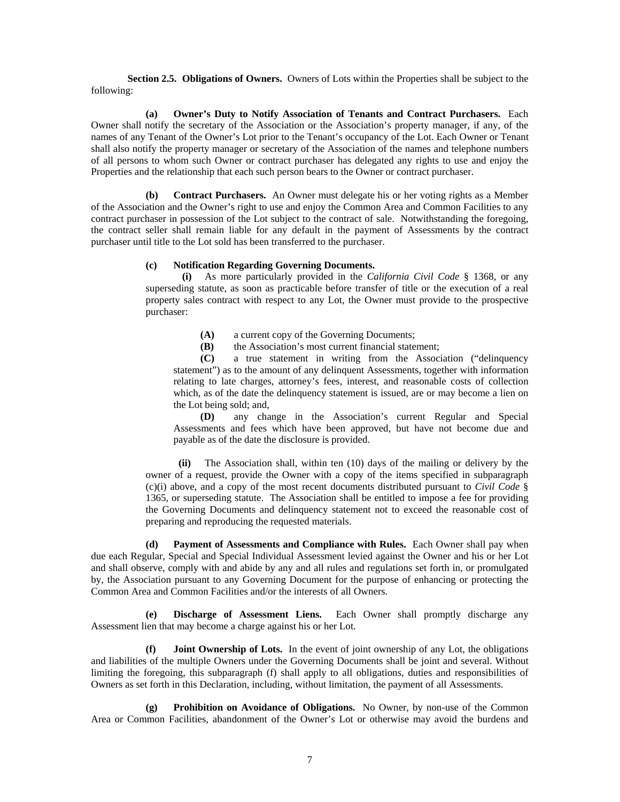**Section 2.5. Obligations of Owners.** Owners of Lots within the Properties shall be subject to the following:

**(a) Owner's Duty to Notify Association of Tenants and Contract Purchasers.** Each Owner shall notify the secretary of the Association or the Association's property manager, if any, of the names of any Tenant of the Owner's Lot prior to the Tenant's occupancy of the Lot. Each Owner or Tenant shall also notify the property manager or secretary of the Association of the names and telephone numbers of all persons to whom such Owner or contract purchaser has delegated any rights to use and enjoy the Properties and the relationship that each such person bears to the Owner or contract purchaser.

**(b) Contract Purchasers.** An Owner must delegate his or her voting rights as a Member of the Association and the Owner's right to use and enjoy the Common Area and Common Facilities to any contract purchaser in possession of the Lot subject to the contract of sale. Notwithstanding the foregoing, the contract seller shall remain liable for any default in the payment of Assessments by the contract purchaser until title to the Lot sold has been transferred to the purchaser.

#### **(c) Notification Regarding Governing Documents.**

**(i)** As more particularly provided in the *California Civil Code* § 1368, or any superseding statute, as soon as practicable before transfer of title or the execution of a real property sales contract with respect to any Lot, the Owner must provide to the prospective purchaser:

- **(A)** a current copy of the Governing Documents;
- **(B)** the Association's most current financial statement;

**(C)** a true statement in writing from the Association ("delinquency statement") as to the amount of any delinquent Assessments, together with information relating to late charges, attorney's fees, interest, and reasonable costs of collection which, as of the date the delinquency statement is issued, are or may become a lien on the Lot being sold; and,

**(D)** any change in the Association's current Regular and Special Assessments and fees which have been approved, but have not become due and payable as of the date the disclosure is provided.

 **(ii)** The Association shall, within ten (10) days of the mailing or delivery by the owner of a request, provide the Owner with a copy of the items specified in subparagraph (c)(i) above, and a copy of the most recent documents distributed pursuant to *Civil Code* § 1365, or superseding statute. The Association shall be entitled to impose a fee for providing the Governing Documents and delinquency statement not to exceed the reasonable cost of preparing and reproducing the requested materials.

**(d) Payment of Assessments and Compliance with Rules.** Each Owner shall pay when due each Regular, Special and Special Individual Assessment levied against the Owner and his or her Lot and shall observe, comply with and abide by any and all rules and regulations set forth in, or promulgated by, the Association pursuant to any Governing Document for the purpose of enhancing or protecting the Common Area and Common Facilities and/or the interests of all Owners.

**(e) Discharge of Assessment Liens.** Each Owner shall promptly discharge any Assessment lien that may become a charge against his or her Lot.

**(f) Joint Ownership of Lots.** In the event of joint ownership of any Lot, the obligations and liabilities of the multiple Owners under the Governing Documents shall be joint and several. Without limiting the foregoing, this subparagraph (f) shall apply to all obligations, duties and responsibilities of Owners as set forth in this Declaration, including, without limitation, the payment of all Assessments.

**(g) Prohibition on Avoidance of Obligations.** No Owner, by non-use of the Common Area or Common Facilities, abandonment of the Owner's Lot or otherwise may avoid the burdens and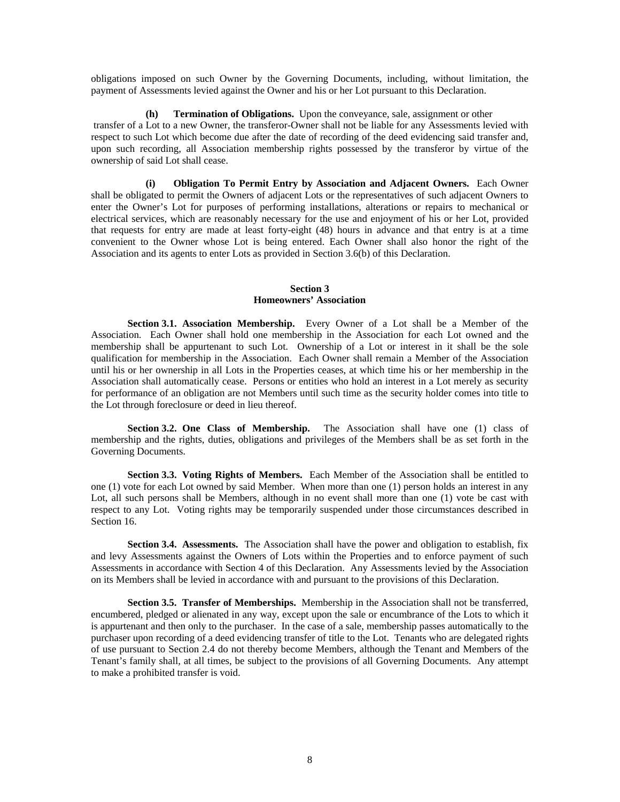obligations imposed on such Owner by the Governing Documents, including, without limitation, the payment of Assessments levied against the Owner and his or her Lot pursuant to this Declaration.

**(h) Termination of Obligations.** Upon the conveyance, sale, assignment or other transfer of a Lot to a new Owner, the transferor-Owner shall not be liable for any Assessments levied with respect to such Lot which become due after the date of recording of the deed evidencing said transfer and, upon such recording, all Association membership rights possessed by the transferor by virtue of the ownership of said Lot shall cease.

**(i) Obligation To Permit Entry by Association and Adjacent Owners.** Each Owner shall be obligated to permit the Owners of adjacent Lots or the representatives of such adjacent Owners to enter the Owner's Lot for purposes of performing installations, alterations or repairs to mechanical or electrical services, which are reasonably necessary for the use and enjoyment of his or her Lot, provided that requests for entry are made at least forty-eight (48) hours in advance and that entry is at a time convenient to the Owner whose Lot is being entered. Each Owner shall also honor the right of the Association and its agents to enter Lots as provided in Section 3.6(b) of this Declaration.

# **Section 3 Homeowners' Association**

**Section 3.1. Association Membership.** Every Owner of a Lot shall be a Member of the Association. Each Owner shall hold one membership in the Association for each Lot owned and the membership shall be appurtenant to such Lot. Ownership of a Lot or interest in it shall be the sole qualification for membership in the Association. Each Owner shall remain a Member of the Association until his or her ownership in all Lots in the Properties ceases, at which time his or her membership in the Association shall automatically cease. Persons or entities who hold an interest in a Lot merely as security for performance of an obligation are not Members until such time as the security holder comes into title to the Lot through foreclosure or deed in lieu thereof.

**Section 3.2. One Class of Membership.** The Association shall have one (1) class of membership and the rights, duties, obligations and privileges of the Members shall be as set forth in the Governing Documents.

**Section 3.3. Voting Rights of Members.** Each Member of the Association shall be entitled to one (1) vote for each Lot owned by said Member. When more than one (1) person holds an interest in any Lot, all such persons shall be Members, although in no event shall more than one (1) vote be cast with respect to any Lot. Voting rights may be temporarily suspended under those circumstances described in Section 16.

**Section 3.4. Assessments.** The Association shall have the power and obligation to establish, fix and levy Assessments against the Owners of Lots within the Properties and to enforce payment of such Assessments in accordance with Section 4 of this Declaration. Any Assessments levied by the Association on its Members shall be levied in accordance with and pursuant to the provisions of this Declaration.

**Section 3.5. Transfer of Memberships.** Membership in the Association shall not be transferred, encumbered, pledged or alienated in any way, except upon the sale or encumbrance of the Lots to which it is appurtenant and then only to the purchaser. In the case of a sale, membership passes automatically to the purchaser upon recording of a deed evidencing transfer of title to the Lot. Tenants who are delegated rights of use pursuant to Section 2.4 do not thereby become Members, although the Tenant and Members of the Tenant's family shall, at all times, be subject to the provisions of all Governing Documents. Any attempt to make a prohibited transfer is void.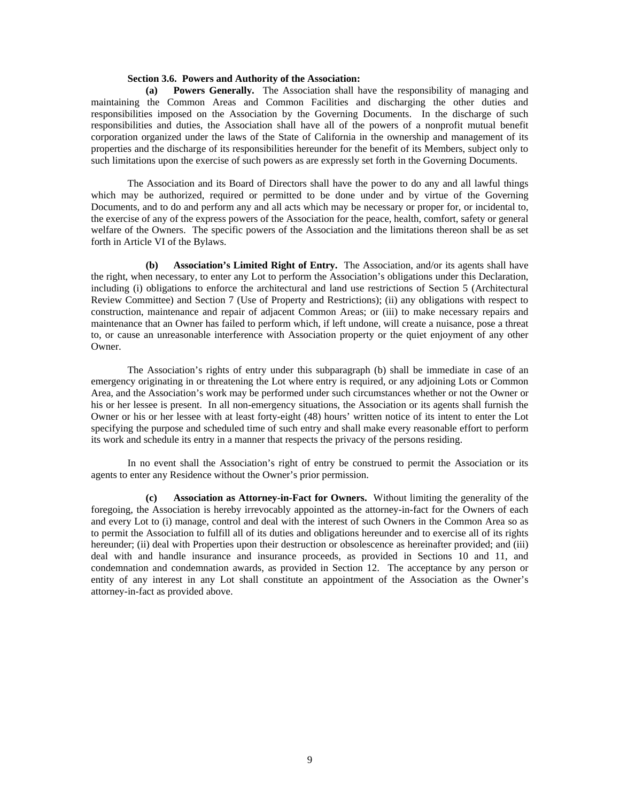#### **Section 3.6. Powers and Authority of the Association:**

**(a) Powers Generally.** The Association shall have the responsibility of managing and maintaining the Common Areas and Common Facilities and discharging the other duties and responsibilities imposed on the Association by the Governing Documents. In the discharge of such responsibilities and duties, the Association shall have all of the powers of a nonprofit mutual benefit corporation organized under the laws of the State of California in the ownership and management of its properties and the discharge of its responsibilities hereunder for the benefit of its Members, subject only to such limitations upon the exercise of such powers as are expressly set forth in the Governing Documents.

The Association and its Board of Directors shall have the power to do any and all lawful things which may be authorized, required or permitted to be done under and by virtue of the Governing Documents, and to do and perform any and all acts which may be necessary or proper for, or incidental to, the exercise of any of the express powers of the Association for the peace, health, comfort, safety or general welfare of the Owners. The specific powers of the Association and the limitations thereon shall be as set forth in Article VI of the Bylaws.

**(b) Association's Limited Right of Entry.** The Association, and/or its agents shall have the right, when necessary, to enter any Lot to perform the Association's obligations under this Declaration, including (i) obligations to enforce the architectural and land use restrictions of Section 5 (Architectural Review Committee) and Section 7 (Use of Property and Restrictions); (ii) any obligations with respect to construction, maintenance and repair of adjacent Common Areas; or (iii) to make necessary repairs and maintenance that an Owner has failed to perform which, if left undone, will create a nuisance, pose a threat to, or cause an unreasonable interference with Association property or the quiet enjoyment of any other Owner.

The Association's rights of entry under this subparagraph (b) shall be immediate in case of an emergency originating in or threatening the Lot where entry is required, or any adjoining Lots or Common Area, and the Association's work may be performed under such circumstances whether or not the Owner or his or her lessee is present. In all non-emergency situations, the Association or its agents shall furnish the Owner or his or her lessee with at least forty-eight (48) hours' written notice of its intent to enter the Lot specifying the purpose and scheduled time of such entry and shall make every reasonable effort to perform its work and schedule its entry in a manner that respects the privacy of the persons residing.

In no event shall the Association's right of entry be construed to permit the Association or its agents to enter any Residence without the Owner's prior permission.

**(c) Association as Attorney-in-Fact for Owners.** Without limiting the generality of the foregoing, the Association is hereby irrevocably appointed as the attorney-in-fact for the Owners of each and every Lot to (i) manage, control and deal with the interest of such Owners in the Common Area so as to permit the Association to fulfill all of its duties and obligations hereunder and to exercise all of its rights hereunder; (ii) deal with Properties upon their destruction or obsolescence as hereinafter provided; and (iii) deal with and handle insurance and insurance proceeds, as provided in Sections 10 and 11, and condemnation and condemnation awards, as provided in Section 12. The acceptance by any person or entity of any interest in any Lot shall constitute an appointment of the Association as the Owner's attorney-in-fact as provided above.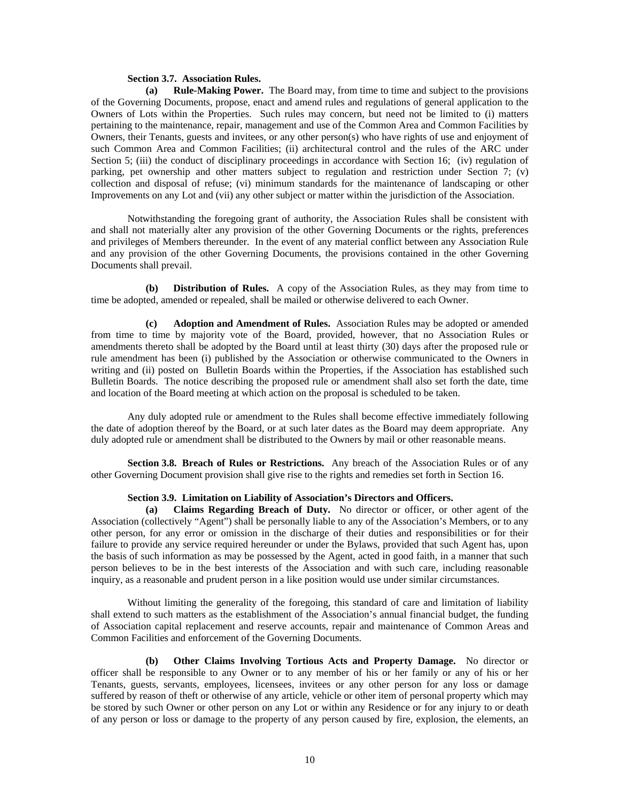# **Section 3.7. Association Rules.**

**(a) Rule-Making Power.** The Board may, from time to time and subject to the provisions of the Governing Documents, propose, enact and amend rules and regulations of general application to the Owners of Lots within the Properties. Such rules may concern, but need not be limited to (i) matters pertaining to the maintenance, repair, management and use of the Common Area and Common Facilities by Owners, their Tenants, guests and invitees, or any other person(s) who have rights of use and enjoyment of such Common Area and Common Facilities; (ii) architectural control and the rules of the ARC under Section 5; (iii) the conduct of disciplinary proceedings in accordance with Section 16; (iv) regulation of parking, pet ownership and other matters subject to regulation and restriction under Section 7; (v) collection and disposal of refuse; (vi) minimum standards for the maintenance of landscaping or other Improvements on any Lot and (vii) any other subject or matter within the jurisdiction of the Association.

Notwithstanding the foregoing grant of authority, the Association Rules shall be consistent with and shall not materially alter any provision of the other Governing Documents or the rights, preferences and privileges of Members thereunder. In the event of any material conflict between any Association Rule and any provision of the other Governing Documents, the provisions contained in the other Governing Documents shall prevail.

**(b) Distribution of Rules.** A copy of the Association Rules, as they may from time to time be adopted, amended or repealed, shall be mailed or otherwise delivered to each Owner.

**(c) Adoption and Amendment of Rules.** Association Rules may be adopted or amended from time to time by majority vote of the Board, provided, however, that no Association Rules or amendments thereto shall be adopted by the Board until at least thirty (30) days after the proposed rule or rule amendment has been (i) published by the Association or otherwise communicated to the Owners in writing and (ii) posted on Bulletin Boards within the Properties, if the Association has established such Bulletin Boards. The notice describing the proposed rule or amendment shall also set forth the date, time and location of the Board meeting at which action on the proposal is scheduled to be taken.

Any duly adopted rule or amendment to the Rules shall become effective immediately following the date of adoption thereof by the Board, or at such later dates as the Board may deem appropriate. Any duly adopted rule or amendment shall be distributed to the Owners by mail or other reasonable means.

**Section 3.8. Breach of Rules or Restrictions.** Any breach of the Association Rules or of any other Governing Document provision shall give rise to the rights and remedies set forth in Section 16.

### **Section 3.9. Limitation on Liability of Association's Directors and Officers.**

**(a) Claims Regarding Breach of Duty.** No director or officer, or other agent of the Association (collectively "Agent") shall be personally liable to any of the Association's Members, or to any other person, for any error or omission in the discharge of their duties and responsibilities or for their failure to provide any service required hereunder or under the Bylaws, provided that such Agent has, upon the basis of such information as may be possessed by the Agent, acted in good faith, in a manner that such person believes to be in the best interests of the Association and with such care, including reasonable inquiry, as a reasonable and prudent person in a like position would use under similar circumstances.

Without limiting the generality of the foregoing, this standard of care and limitation of liability shall extend to such matters as the establishment of the Association's annual financial budget, the funding of Association capital replacement and reserve accounts, repair and maintenance of Common Areas and Common Facilities and enforcement of the Governing Documents.

**(b) Other Claims Involving Tortious Acts and Property Damage.** No director or officer shall be responsible to any Owner or to any member of his or her family or any of his or her Tenants, guests, servants, employees, licensees, invitees or any other person for any loss or damage suffered by reason of theft or otherwise of any article, vehicle or other item of personal property which may be stored by such Owner or other person on any Lot or within any Residence or for any injury to or death of any person or loss or damage to the property of any person caused by fire, explosion, the elements, an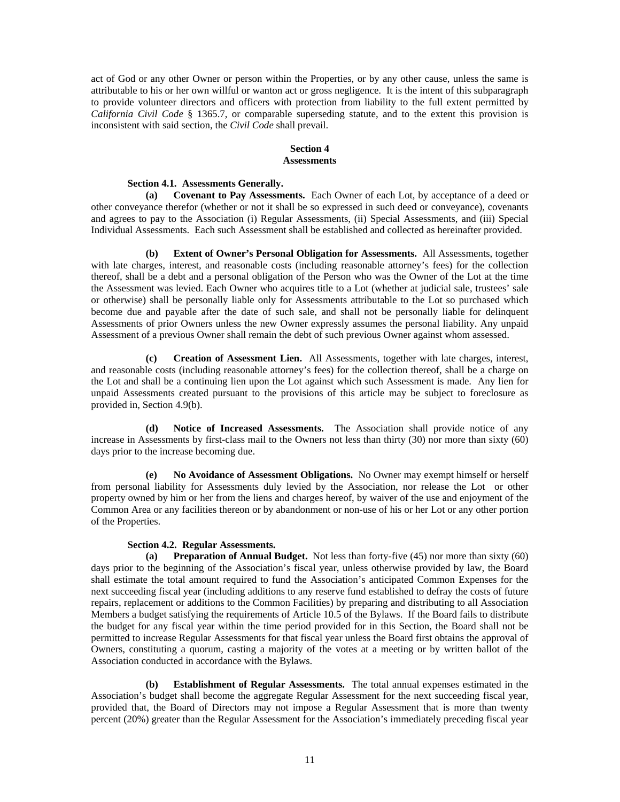act of God or any other Owner or person within the Properties, or by any other cause, unless the same is attributable to his or her own willful or wanton act or gross negligence. It is the intent of this subparagraph to provide volunteer directors and officers with protection from liability to the full extent permitted by *California Civil Code* § 1365.7, or comparable superseding statute, and to the extent this provision is inconsistent with said section, the *Civil Code* shall prevail.

# **Section 4 Assessments**

#### **Section 4.1. Assessments Generally.**

**(a) Covenant to Pay Assessments.** Each Owner of each Lot, by acceptance of a deed or other conveyance therefor (whether or not it shall be so expressed in such deed or conveyance), covenants and agrees to pay to the Association (i) Regular Assessments, (ii) Special Assessments, and (iii) Special Individual Assessments. Each such Assessment shall be established and collected as hereinafter provided.

**(b) Extent of Owner's Personal Obligation for Assessments.** All Assessments, together with late charges, interest, and reasonable costs (including reasonable attorney's fees) for the collection thereof, shall be a debt and a personal obligation of the Person who was the Owner of the Lot at the time the Assessment was levied. Each Owner who acquires title to a Lot (whether at judicial sale, trustees' sale or otherwise) shall be personally liable only for Assessments attributable to the Lot so purchased which become due and payable after the date of such sale, and shall not be personally liable for delinquent Assessments of prior Owners unless the new Owner expressly assumes the personal liability. Any unpaid Assessment of a previous Owner shall remain the debt of such previous Owner against whom assessed.

**(c) Creation of Assessment Lien.** All Assessments, together with late charges, interest, and reasonable costs (including reasonable attorney's fees) for the collection thereof, shall be a charge on the Lot and shall be a continuing lien upon the Lot against which such Assessment is made. Any lien for unpaid Assessments created pursuant to the provisions of this article may be subject to foreclosure as provided in, Section 4.9(b).

**(d) Notice of Increased Assessments.** The Association shall provide notice of any increase in Assessments by first-class mail to the Owners not less than thirty (30) nor more than sixty (60) days prior to the increase becoming due.

**(e) No Avoidance of Assessment Obligations.** No Owner may exempt himself or herself from personal liability for Assessments duly levied by the Association, nor release the Lot or other property owned by him or her from the liens and charges hereof, by waiver of the use and enjoyment of the Common Area or any facilities thereon or by abandonment or non-use of his or her Lot or any other portion of the Properties.

### **Section 4.2. Regular Assessments.**

**(a) Preparation of Annual Budget.** Not less than forty-five (45) nor more than sixty (60) days prior to the beginning of the Association's fiscal year, unless otherwise provided by law, the Board shall estimate the total amount required to fund the Association's anticipated Common Expenses for the next succeeding fiscal year (including additions to any reserve fund established to defray the costs of future repairs, replacement or additions to the Common Facilities) by preparing and distributing to all Association Members a budget satisfying the requirements of Article 10.5 of the Bylaws. If the Board fails to distribute the budget for any fiscal year within the time period provided for in this Section, the Board shall not be permitted to increase Regular Assessments for that fiscal year unless the Board first obtains the approval of Owners, constituting a quorum, casting a majority of the votes at a meeting or by written ballot of the Association conducted in accordance with the Bylaws.

**(b) Establishment of Regular Assessments.** The total annual expenses estimated in the Association's budget shall become the aggregate Regular Assessment for the next succeeding fiscal year, provided that, the Board of Directors may not impose a Regular Assessment that is more than twenty percent (20%) greater than the Regular Assessment for the Association's immediately preceding fiscal year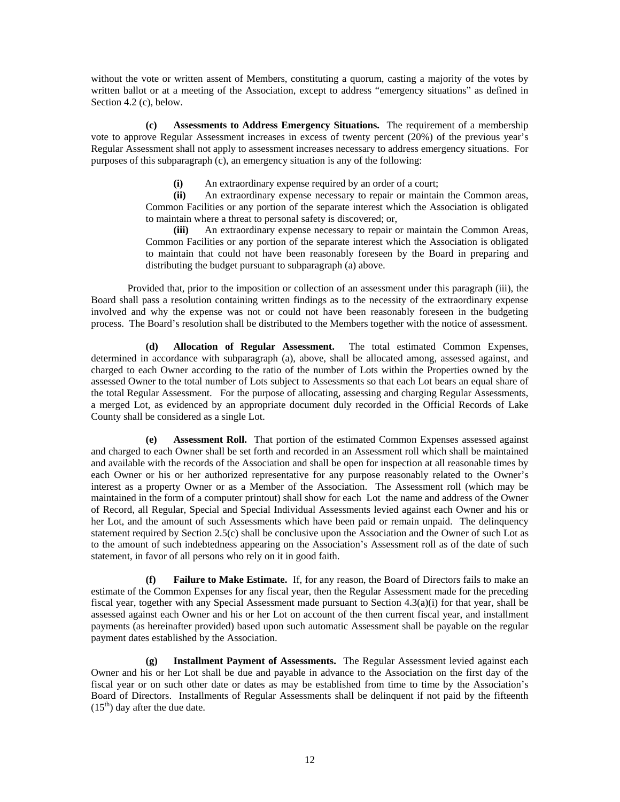without the vote or written assent of Members, constituting a quorum, casting a majority of the votes by written ballot or at a meeting of the Association, except to address "emergency situations" as defined in Section 4.2 (c), below.

**(c) Assessments to Address Emergency Situations.** The requirement of a membership vote to approve Regular Assessment increases in excess of twenty percent (20%) of the previous year's Regular Assessment shall not apply to assessment increases necessary to address emergency situations. For purposes of this subparagraph (c), an emergency situation is any of the following:

 **(i)** An extraordinary expense required by an order of a court;

**(ii)** An extraordinary expense necessary to repair or maintain the Common areas, Common Facilities or any portion of the separate interest which the Association is obligated to maintain where a threat to personal safety is discovered; or,

 **(iii)** An extraordinary expense necessary to repair or maintain the Common Areas, Common Facilities or any portion of the separate interest which the Association is obligated to maintain that could not have been reasonably foreseen by the Board in preparing and distributing the budget pursuant to subparagraph (a) above.

Provided that, prior to the imposition or collection of an assessment under this paragraph (iii), the Board shall pass a resolution containing written findings as to the necessity of the extraordinary expense involved and why the expense was not or could not have been reasonably foreseen in the budgeting process. The Board's resolution shall be distributed to the Members together with the notice of assessment.

**(d) Allocation of Regular Assessment.** The total estimated Common Expenses, determined in accordance with subparagraph (a), above, shall be allocated among, assessed against, and charged to each Owner according to the ratio of the number of Lots within the Properties owned by the assessed Owner to the total number of Lots subject to Assessments so that each Lot bears an equal share of the total Regular Assessment. For the purpose of allocating, assessing and charging Regular Assessments, a merged Lot, as evidenced by an appropriate document duly recorded in the Official Records of Lake County shall be considered as a single Lot.

**(e) Assessment Roll.** That portion of the estimated Common Expenses assessed against and charged to each Owner shall be set forth and recorded in an Assessment roll which shall be maintained and available with the records of the Association and shall be open for inspection at all reasonable times by each Owner or his or her authorized representative for any purpose reasonably related to the Owner's interest as a property Owner or as a Member of the Association. The Assessment roll (which may be maintained in the form of a computer printout) shall show for each Lot the name and address of the Owner of Record, all Regular, Special and Special Individual Assessments levied against each Owner and his or her Lot, and the amount of such Assessments which have been paid or remain unpaid. The delinquency statement required by Section 2.5(c) shall be conclusive upon the Association and the Owner of such Lot as to the amount of such indebtedness appearing on the Association's Assessment roll as of the date of such statement, in favor of all persons who rely on it in good faith.

**(f) Failure to Make Estimate.** If, for any reason, the Board of Directors fails to make an estimate of the Common Expenses for any fiscal year, then the Regular Assessment made for the preceding fiscal year, together with any Special Assessment made pursuant to Section 4.3(a)(i) for that year, shall be assessed against each Owner and his or her Lot on account of the then current fiscal year, and installment payments (as hereinafter provided) based upon such automatic Assessment shall be payable on the regular payment dates established by the Association.

**(g) Installment Payment of Assessments.** The Regular Assessment levied against each Owner and his or her Lot shall be due and payable in advance to the Association on the first day of the fiscal year or on such other date or dates as may be established from time to time by the Association's Board of Directors. Installments of Regular Assessments shall be delinquent if not paid by the fifteenth  $(15<sup>th</sup>)$  day after the due date.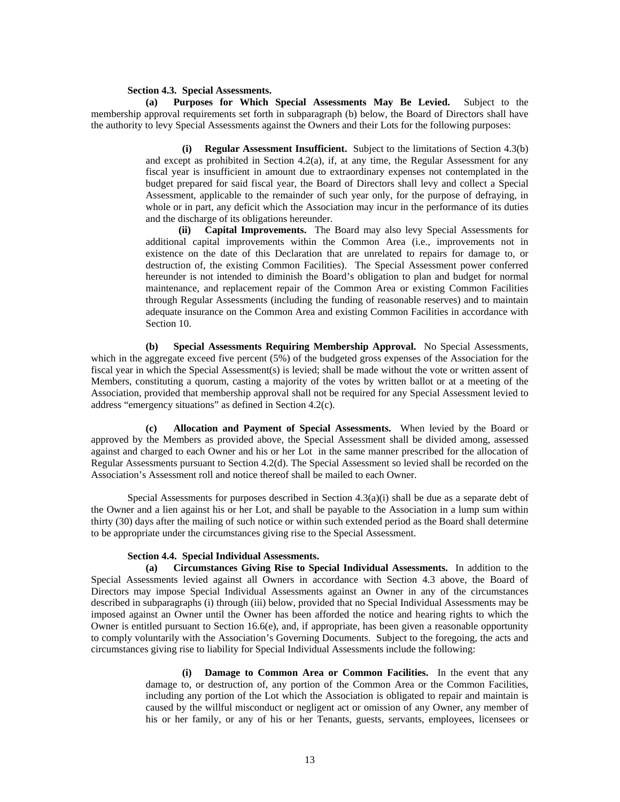#### **Section 4.3. Special Assessments.**

**(a) Purposes for Which Special Assessments May Be Levied.** Subject to the membership approval requirements set forth in subparagraph (b) below, the Board of Directors shall have the authority to levy Special Assessments against the Owners and their Lots for the following purposes:

> **(i) Regular Assessment Insufficient.** Subject to the limitations of Section 4.3(b) and except as prohibited in Section 4.2(a), if, at any time, the Regular Assessment for any fiscal year is insufficient in amount due to extraordinary expenses not contemplated in the budget prepared for said fiscal year, the Board of Directors shall levy and collect a Special Assessment, applicable to the remainder of such year only, for the purpose of defraying, in whole or in part, any deficit which the Association may incur in the performance of its duties and the discharge of its obligations hereunder.

> **(ii) Capital Improvements.** The Board may also levy Special Assessments for additional capital improvements within the Common Area (i.e., improvements not in existence on the date of this Declaration that are unrelated to repairs for damage to, or destruction of, the existing Common Facilities). The Special Assessment power conferred hereunder is not intended to diminish the Board's obligation to plan and budget for normal maintenance, and replacement repair of the Common Area or existing Common Facilities through Regular Assessments (including the funding of reasonable reserves) and to maintain adequate insurance on the Common Area and existing Common Facilities in accordance with Section 10.

**(b) Special Assessments Requiring Membership Approval.** No Special Assessments, which in the aggregate exceed five percent (5%) of the budgeted gross expenses of the Association for the fiscal year in which the Special Assessment(s) is levied; shall be made without the vote or written assent of Members, constituting a quorum, casting a majority of the votes by written ballot or at a meeting of the Association, provided that membership approval shall not be required for any Special Assessment levied to address "emergency situations" as defined in Section 4.2(c).

**(c) Allocation and Payment of Special Assessments.** When levied by the Board or approved by the Members as provided above, the Special Assessment shall be divided among, assessed against and charged to each Owner and his or her Lot in the same manner prescribed for the allocation of Regular Assessments pursuant to Section 4.2(d). The Special Assessment so levied shall be recorded on the Association's Assessment roll and notice thereof shall be mailed to each Owner.

Special Assessments for purposes described in Section  $4.3(a)(i)$  shall be due as a separate debt of the Owner and a lien against his or her Lot, and shall be payable to the Association in a lump sum within thirty (30) days after the mailing of such notice or within such extended period as the Board shall determine to be appropriate under the circumstances giving rise to the Special Assessment.

### **Section 4.4. Special Individual Assessments.**

**(a) Circumstances Giving Rise to Special Individual Assessments.** In addition to the Special Assessments levied against all Owners in accordance with Section 4.3 above, the Board of Directors may impose Special Individual Assessments against an Owner in any of the circumstances described in subparagraphs (i) through (iii) below, provided that no Special Individual Assessments may be imposed against an Owner until the Owner has been afforded the notice and hearing rights to which the Owner is entitled pursuant to Section 16.6(e), and, if appropriate, has been given a reasonable opportunity to comply voluntarily with the Association's Governing Documents. Subject to the foregoing, the acts and circumstances giving rise to liability for Special Individual Assessments include the following:

> **(i) Damage to Common Area or Common Facilities.** In the event that any damage to, or destruction of, any portion of the Common Area or the Common Facilities, including any portion of the Lot which the Association is obligated to repair and maintain is caused by the willful misconduct or negligent act or omission of any Owner, any member of his or her family, or any of his or her Tenants, guests, servants, employees, licensees or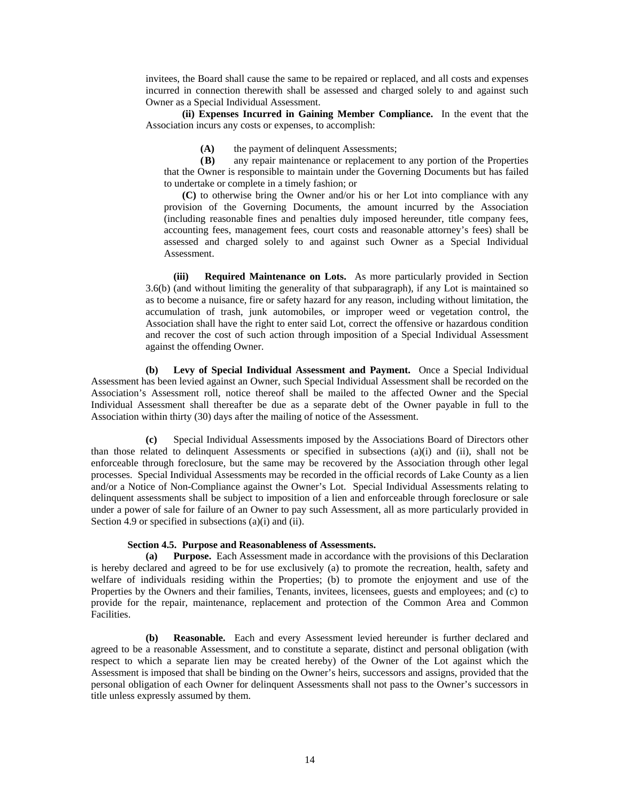invitees, the Board shall cause the same to be repaired or replaced, and all costs and expenses incurred in connection therewith shall be assessed and charged solely to and against such Owner as a Special Individual Assessment.

 **(ii) Expenses Incurred in Gaining Member Compliance.** In the event that the Association incurs any costs or expenses, to accomplish:

 **(A)** the payment of delinquent Assessments;

 **( B)** any repair maintenance or replacement to any portion of the Properties that the Owner is responsible to maintain under the Governing Documents but has failed to undertake or complete in a timely fashion; or

 **(C)** to otherwise bring the Owner and/or his or her Lot into compliance with any provision of the Governing Documents, the amount incurred by the Association (including reasonable fines and penalties duly imposed hereunder, title company fees, accounting fees, management fees, court costs and reasonable attorney's fees) shall be assessed and charged solely to and against such Owner as a Special Individual Assessment.

**(iii) Required Maintenance on Lots.** As more particularly provided in Section 3.6(b) (and without limiting the generality of that subparagraph), if any Lot is maintained so as to become a nuisance, fire or safety hazard for any reason, including without limitation, the accumulation of trash, junk automobiles, or improper weed or vegetation control, the Association shall have the right to enter said Lot, correct the offensive or hazardous condition and recover the cost of such action through imposition of a Special Individual Assessment against the offending Owner.

**(b) Levy of Special Individual Assessment and Payment.** Once a Special Individual Assessment has been levied against an Owner, such Special Individual Assessment shall be recorded on the Association's Assessment roll, notice thereof shall be mailed to the affected Owner and the Special Individual Assessment shall thereafter be due as a separate debt of the Owner payable in full to the Association within thirty (30) days after the mailing of notice of the Assessment.

**(c)** Special Individual Assessments imposed by the Associations Board of Directors other than those related to delinquent Assessments or specified in subsections (a)(i) and (ii), shall not be enforceable through foreclosure, but the same may be recovered by the Association through other legal processes. Special Individual Assessments may be recorded in the official records of Lake County as a lien and/or a Notice of Non-Compliance against the Owner's Lot. Special Individual Assessments relating to delinquent assessments shall be subject to imposition of a lien and enforceable through foreclosure or sale under a power of sale for failure of an Owner to pay such Assessment, all as more particularly provided in Section 4.9 or specified in subsections (a)(i) and (ii).

### **Section 4.5. Purpose and Reasonableness of Assessments.**

**(a) Purpose.** Each Assessment made in accordance with the provisions of this Declaration is hereby declared and agreed to be for use exclusively (a) to promote the recreation, health, safety and welfare of individuals residing within the Properties; (b) to promote the enjoyment and use of the Properties by the Owners and their families, Tenants, invitees, licensees, guests and employees; and (c) to provide for the repair, maintenance, replacement and protection of the Common Area and Common Facilities.

**(b) Reasonable.** Each and every Assessment levied hereunder is further declared and agreed to be a reasonable Assessment, and to constitute a separate, distinct and personal obligation (with respect to which a separate lien may be created hereby) of the Owner of the Lot against which the Assessment is imposed that shall be binding on the Owner's heirs, successors and assigns, provided that the personal obligation of each Owner for delinquent Assessments shall not pass to the Owner's successors in title unless expressly assumed by them.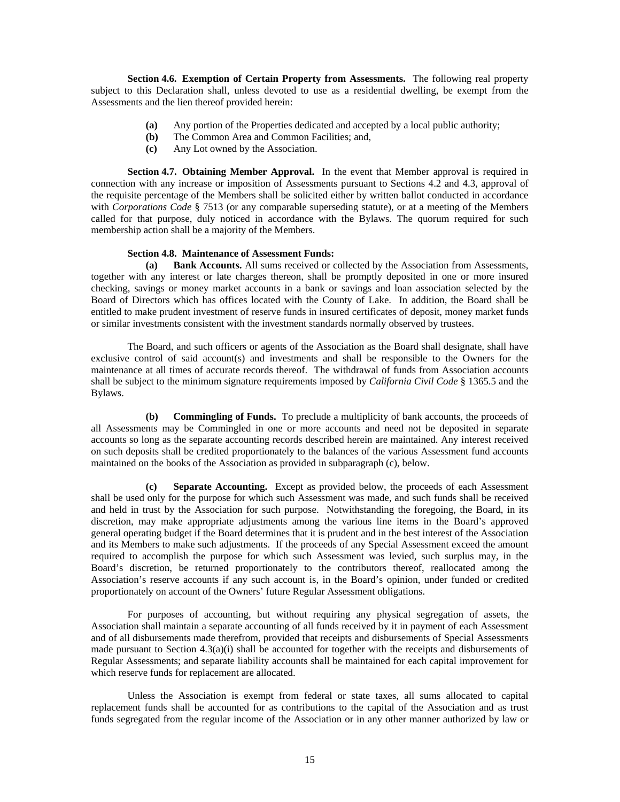**Section 4.6. Exemption of Certain Property from Assessments.** The following real property subject to this Declaration shall, unless devoted to use as a residential dwelling, be exempt from the Assessments and the lien thereof provided herein:

- **(a)** Any portion of the Properties dedicated and accepted by a local public authority;
- **(b)** The Common Area and Common Facilities; and,
- **(c)** Any Lot owned by the Association.

**Section 4.7. Obtaining Member Approval.** In the event that Member approval is required in connection with any increase or imposition of Assessments pursuant to Sections 4.2 and 4.3, approval of the requisite percentage of the Members shall be solicited either by written ballot conducted in accordance with *Corporations Code* § 7513 (or any comparable superseding statute), or at a meeting of the Members called for that purpose, duly noticed in accordance with the Bylaws. The quorum required for such membership action shall be a majority of the Members.

### **Section 4.8. Maintenance of Assessment Funds:**

**(a) Bank Accounts.** All sums received or collected by the Association from Assessments, together with any interest or late charges thereon, shall be promptly deposited in one or more insured checking, savings or money market accounts in a bank or savings and loan association selected by the Board of Directors which has offices located with the County of Lake. In addition, the Board shall be entitled to make prudent investment of reserve funds in insured certificates of deposit, money market funds or similar investments consistent with the investment standards normally observed by trustees.

The Board, and such officers or agents of the Association as the Board shall designate, shall have exclusive control of said account(s) and investments and shall be responsible to the Owners for the maintenance at all times of accurate records thereof. The withdrawal of funds from Association accounts shall be subject to the minimum signature requirements imposed by *California Civil Code* § 1365.5 and the Bylaws.

**(b) Commingling of Funds.** To preclude a multiplicity of bank accounts, the proceeds of all Assessments may be Commingled in one or more accounts and need not be deposited in separate accounts so long as the separate accounting records described herein are maintained. Any interest received on such deposits shall be credited proportionately to the balances of the various Assessment fund accounts maintained on the books of the Association as provided in subparagraph (c), below.

**(c) Separate Accounting.** Except as provided below, the proceeds of each Assessment shall be used only for the purpose for which such Assessment was made, and such funds shall be received and held in trust by the Association for such purpose. Notwithstanding the foregoing, the Board, in its discretion, may make appropriate adjustments among the various line items in the Board's approved general operating budget if the Board determines that it is prudent and in the best interest of the Association and its Members to make such adjustments. If the proceeds of any Special Assessment exceed the amount required to accomplish the purpose for which such Assessment was levied, such surplus may, in the Board's discretion, be returned proportionately to the contributors thereof, reallocated among the Association's reserve accounts if any such account is, in the Board's opinion, under funded or credited proportionately on account of the Owners' future Regular Assessment obligations.

For purposes of accounting, but without requiring any physical segregation of assets, the Association shall maintain a separate accounting of all funds received by it in payment of each Assessment and of all disbursements made therefrom, provided that receipts and disbursements of Special Assessments made pursuant to Section 4.3(a)(i) shall be accounted for together with the receipts and disbursements of Regular Assessments; and separate liability accounts shall be maintained for each capital improvement for which reserve funds for replacement are allocated.

Unless the Association is exempt from federal or state taxes, all sums allocated to capital replacement funds shall be accounted for as contributions to the capital of the Association and as trust funds segregated from the regular income of the Association or in any other manner authorized by law or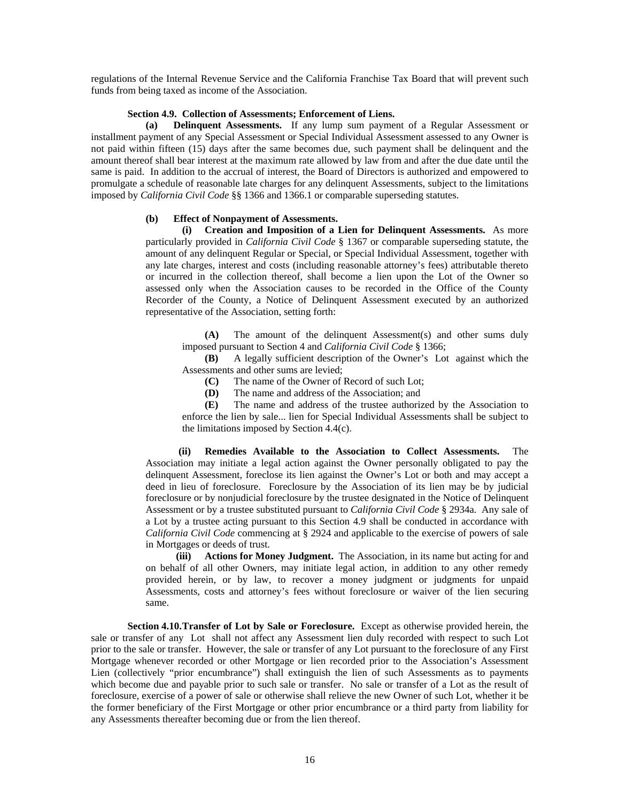regulations of the Internal Revenue Service and the California Franchise Tax Board that will prevent such funds from being taxed as income of the Association.

# **Section 4.9. Collection of Assessments; Enforcement of Liens.**

**(a) Delinquent Assessments.** If any lump sum payment of a Regular Assessment or installment payment of any Special Assessment or Special Individual Assessment assessed to any Owner is not paid within fifteen (15) days after the same becomes due, such payment shall be delinquent and the amount thereof shall bear interest at the maximum rate allowed by law from and after the due date until the same is paid. In addition to the accrual of interest, the Board of Directors is authorized and empowered to promulgate a schedule of reasonable late charges for any delinquent Assessments, subject to the limitations imposed by *California Civil Code* §§ 1366 and 1366.1 or comparable superseding statutes.

### **(b) Effect of Nonpayment of Assessments.**

**(i) Creation and Imposition of a Lien for Delinquent Assessments.** As more particularly provided in *California Civil Code* § 1367 or comparable superseding statute, the amount of any delinquent Regular or Special, or Special Individual Assessment, together with any late charges, interest and costs (including reasonable attorney's fees) attributable thereto or incurred in the collection thereof, shall become a lien upon the Lot of the Owner so assessed only when the Association causes to be recorded in the Office of the County Recorder of the County, a Notice of Delinquent Assessment executed by an authorized representative of the Association, setting forth:

**(A)** The amount of the delinquent Assessment(s) and other sums duly imposed pursuant to Section 4 and *California Civil Code* § 1366;

**(B)** A legally sufficient description of the Owner's Lot against which the Assessments and other sums are levied;

- **(C)** The name of the Owner of Record of such Lot;
- **(D)** The name and address of the Association; and

**(E)** The name and address of the trustee authorized by the Association to enforce the lien by sale... lien for Special Individual Assessments shall be subject to the limitations imposed by Section 4.4(c).

 **(ii) Remedies Available to the Association to Collect Assessments.** The Association may initiate a legal action against the Owner personally obligated to pay the delinquent Assessment, foreclose its lien against the Owner's Lot or both and may accept a deed in lieu of foreclosure. Foreclosure by the Association of its lien may be by judicial foreclosure or by nonjudicial foreclosure by the trustee designated in the Notice of Delinquent Assessment or by a trustee substituted pursuant to *California Civil Code* § 2934a. Any sale of a Lot by a trustee acting pursuant to this Section 4.9 shall be conducted in accordance with *California Civil Code* commencing at § 2924 and applicable to the exercise of powers of sale in Mortgages or deeds of trust.

**(iii) Actions for Money Judgment.** The Association, in its name but acting for and on behalf of all other Owners, may initiate legal action, in addition to any other remedy provided herein, or by law, to recover a money judgment or judgments for unpaid Assessments, costs and attorney's fees without foreclosure or waiver of the lien securing same.

**Section 4.10. Transfer of Lot by Sale or Foreclosure.** Except as otherwise provided herein, the sale or transfer of any Lot shall not affect any Assessment lien duly recorded with respect to such Lot prior to the sale or transfer. However, the sale or transfer of any Lot pursuant to the foreclosure of any First Mortgage whenever recorded or other Mortgage or lien recorded prior to the Association's Assessment Lien (collectively "prior encumbrance") shall extinguish the lien of such Assessments as to payments which become due and payable prior to such sale or transfer. No sale or transfer of a Lot as the result of foreclosure, exercise of a power of sale or otherwise shall relieve the new Owner of such Lot, whether it be the former beneficiary of the First Mortgage or other prior encumbrance or a third party from liability for any Assessments thereafter becoming due or from the lien thereof.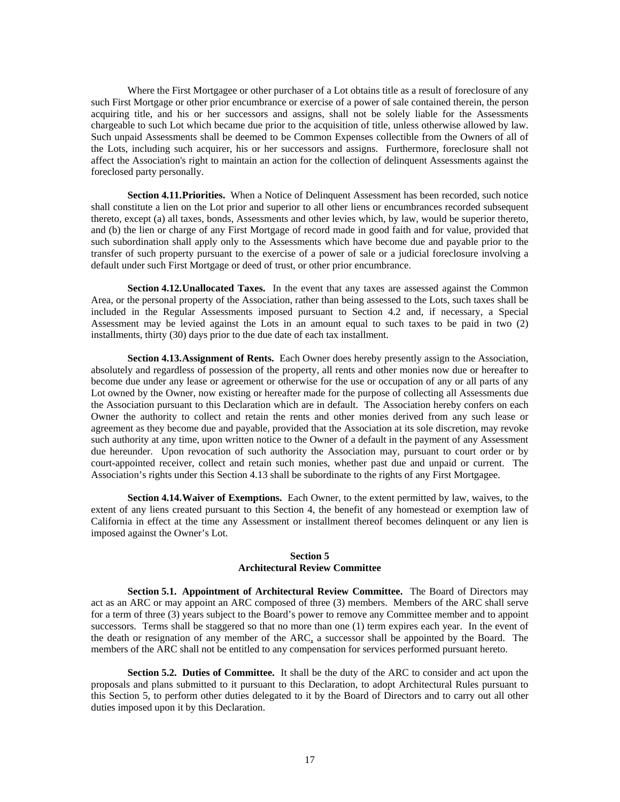Where the First Mortgagee or other purchaser of a Lot obtains title as a result of foreclosure of any such First Mortgage or other prior encumbrance or exercise of a power of sale contained therein, the person acquiring title, and his or her successors and assigns, shall not be solely liable for the Assessments chargeable to such Lot which became due prior to the acquisition of title, unless otherwise allowed by law. Such unpaid Assessments shall be deemed to be Common Expenses collectible from the Owners of all of the Lots, including such acquirer, his or her successors and assigns. Furthermore, foreclosure shall not affect the Association's right to maintain an action for the collection of delinquent Assessments against the foreclosed party personally.

**Section 4.11. Priorities.** When a Notice of Delinquent Assessment has been recorded, such notice shall constitute a lien on the Lot prior and superior to all other liens or encumbrances recorded subsequent thereto, except (a) all taxes, bonds, Assessments and other levies which, by law, would be superior thereto, and (b) the lien or charge of any First Mortgage of record made in good faith and for value, provided that such subordination shall apply only to the Assessments which have become due and payable prior to the transfer of such property pursuant to the exercise of a power of sale or a judicial foreclosure involving a default under such First Mortgage or deed of trust, or other prior encumbrance.

**Section 4.12. Unallocated Taxes.** In the event that any taxes are assessed against the Common Area, or the personal property of the Association, rather than being assessed to the Lots, such taxes shall be included in the Regular Assessments imposed pursuant to Section 4.2 and, if necessary, a Special Assessment may be levied against the Lots in an amount equal to such taxes to be paid in two (2) installments, thirty (30) days prior to the due date of each tax installment.

**Section 4.13. Assignment of Rents.** Each Owner does hereby presently assign to the Association, absolutely and regardless of possession of the property, all rents and other monies now due or hereafter to become due under any lease or agreement or otherwise for the use or occupation of any or all parts of any Lot owned by the Owner, now existing or hereafter made for the purpose of collecting all Assessments due the Association pursuant to this Declaration which are in default. The Association hereby confers on each Owner the authority to collect and retain the rents and other monies derived from any such lease or agreement as they become due and payable, provided that the Association at its sole discretion, may revoke such authority at any time, upon written notice to the Owner of a default in the payment of any Assessment due hereunder. Upon revocation of such authority the Association may, pursuant to court order or by court-appointed receiver, collect and retain such monies, whether past due and unpaid or current. The Association's rights under this Section 4.13 shall be subordinate to the rights of any First Mortgagee.

**Section 4.14. Waiver of Exemptions.** Each Owner, to the extent permitted by law, waives, to the extent of any liens created pursuant to this Section 4, the benefit of any homestead or exemption law of California in effect at the time any Assessment or installment thereof becomes delinquent or any lien is imposed against the Owner's Lot.

# **Section 5 Architectural Review Committee**

**Section 5.1. Appointment of Architectural Review Committee.** The Board of Directors may act as an ARC or may appoint an ARC composed of three (3) members. Members of the ARC shall serve for a term of three (3) years subject to the Board's power to remove any Committee member and to appoint successors. Terms shall be staggered so that no more than one (1) term expires each year. In the event of the death or resignation of any member of the ARC, a successor shall be appointed by the Board. The members of the ARC shall not be entitled to any compensation for services performed pursuant hereto.

**Section 5.2. Duties of Committee.** It shall be the duty of the ARC to consider and act upon the proposals and plans submitted to it pursuant to this Declaration, to adopt Architectural Rules pursuant to this Section 5, to perform other duties delegated to it by the Board of Directors and to carry out all other duties imposed upon it by this Declaration.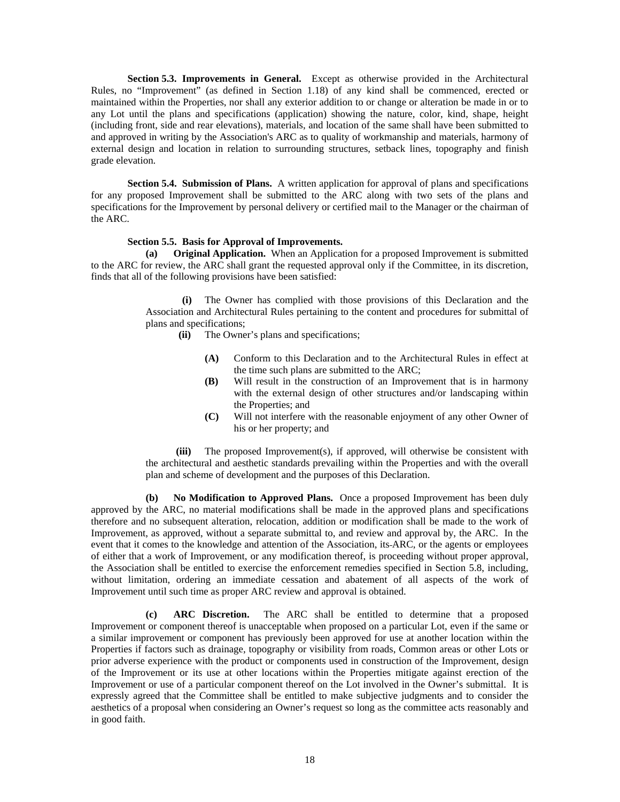**Section 5.3. Improvements in General.** Except as otherwise provided in the Architectural Rules, no "Improvement" (as defined in Section 1.18) of any kind shall be commenced, erected or maintained within the Properties, nor shall any exterior addition to or change or alteration be made in or to any Lot until the plans and specifications (application) showing the nature, color, kind, shape, height (including front, side and rear elevations), materials, and location of the same shall have been submitted to and approved in writing by the Association's ARC as to quality of workmanship and materials, harmony of external design and location in relation to surrounding structures, setback lines, topography and finish grade elevation.

**Section 5.4. Submission of Plans.** A written application for approval of plans and specifications for any proposed Improvement shall be submitted to the ARC along with two sets of the plans and specifications for the Improvement by personal delivery or certified mail to the Manager or the chairman of the ARC.

# **Section 5.5. Basis for Approval of Improvements.**

**(a) Original Application.** When an Application for a proposed Improvement is submitted to the ARC for review, the ARC shall grant the requested approval only if the Committee, in its discretion, finds that all of the following provisions have been satisfied:

> **(i)** The Owner has complied with those provisions of this Declaration and the Association and Architectural Rules pertaining to the content and procedures for submittal of plans and specifications;

- **(ii)** The Owner's plans and specifications;
	- **(A)** Conform to this Declaration and to the Architectural Rules in effect at the time such plans are submitted to the ARC;
	- **(B)** Will result in the construction of an Improvement that is in harmony with the external design of other structures and/or landscaping within the Properties; and
	- **(C)** Will not interfere with the reasonable enjoyment of any other Owner of his or her property; and

**(iii)** The proposed Improvement(s), if approved, will otherwise be consistent with the architectural and aesthetic standards prevailing within the Properties and with the overall plan and scheme of development and the purposes of this Declaration.

**(b) No Modification to Approved Plans.** Once a proposed Improvement has been duly approved by the ARC, no material modifications shall be made in the approved plans and specifications therefore and no subsequent alteration, relocation, addition or modification shall be made to the work of Improvement, as approved, without a separate submittal to, and review and approval by, the ARC. In the event that it comes to the knowledge and attention of the Association, its-ARC, or the agents or employees of either that a work of Improvement, or any modification thereof, is proceeding without proper approval, the Association shall be entitled to exercise the enforcement remedies specified in Section 5.8, including, without limitation, ordering an immediate cessation and abatement of all aspects of the work of Improvement until such time as proper ARC review and approval is obtained.

**(c) ARC Discretion.** The ARC shall be entitled to determine that a proposed Improvement or component thereof is unacceptable when proposed on a particular Lot, even if the same or a similar improvement or component has previously been approved for use at another location within the Properties if factors such as drainage, topography or visibility from roads, Common areas or other Lots or prior adverse experience with the product or components used in construction of the Improvement, design of the Improvement or its use at other locations within the Properties mitigate against erection of the Improvement or use of a particular component thereof on the Lot involved in the Owner's submittal. It is expressly agreed that the Committee shall be entitled to make subjective judgments and to consider the aesthetics of a proposal when considering an Owner's request so long as the committee acts reasonably and in good faith.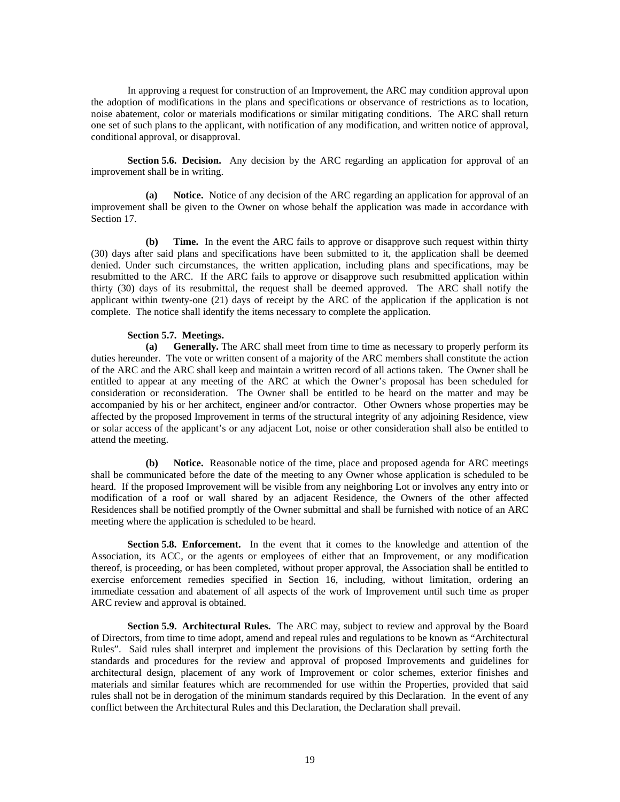In approving a request for construction of an Improvement, the ARC may condition approval upon the adoption of modifications in the plans and specifications or observance of restrictions as to location, noise abatement, color or materials modifications or similar mitigating conditions. The ARC shall return one set of such plans to the applicant, with notification of any modification, and written notice of approval, conditional approval, or disapproval.

**Section 5.6. Decision.** Any decision by the ARC regarding an application for approval of an improvement shall be in writing.

**(a) Notice.** Notice of any decision of the ARC regarding an application for approval of an improvement shall be given to the Owner on whose behalf the application was made in accordance with Section 17.

**(b) Time.** In the event the ARC fails to approve or disapprove such request within thirty (30) days after said plans and specifications have been submitted to it, the application shall be deemed denied. Under such circumstances, the written application, including plans and specifications, may be resubmitted to the ARC. If the ARC fails to approve or disapprove such resubmitted application within thirty (30) days of its resubmittal, the request shall be deemed approved. The ARC shall notify the applicant within twenty-one (21) days of receipt by the ARC of the application if the application is not complete. The notice shall identify the items necessary to complete the application.

### **Section 5.7. Meetings.**

**(a) Generally.** The ARC shall meet from time to time as necessary to properly perform its duties hereunder. The vote or written consent of a majority of the ARC members shall constitute the action of the ARC and the ARC shall keep and maintain a written record of all actions taken. The Owner shall be entitled to appear at any meeting of the ARC at which the Owner's proposal has been scheduled for consideration or reconsideration. The Owner shall be entitled to be heard on the matter and may be accompanied by his or her architect, engineer and/or contractor. Other Owners whose properties may be affected by the proposed Improvement in terms of the structural integrity of any adjoining Residence, view or solar access of the applicant's or any adjacent Lot, noise or other consideration shall also be entitled to attend the meeting.

**(b) Notice.** Reasonable notice of the time, place and proposed agenda for ARC meetings shall be communicated before the date of the meeting to any Owner whose application is scheduled to be heard. If the proposed Improvement will be visible from any neighboring Lot or involves any entry into or modification of a roof or wall shared by an adjacent Residence, the Owners of the other affected Residences shall be notified promptly of the Owner submittal and shall be furnished with notice of an ARC meeting where the application is scheduled to be heard.

**Section 5.8. Enforcement.** In the event that it comes to the knowledge and attention of the Association, its ACC, or the agents or employees of either that an Improvement, or any modification thereof, is proceeding, or has been completed, without proper approval, the Association shall be entitled to exercise enforcement remedies specified in Section 16, including, without limitation, ordering an immediate cessation and abatement of all aspects of the work of Improvement until such time as proper ARC review and approval is obtained.

**Section 5.9. Architectural Rules.** The ARC may, subject to review and approval by the Board of Directors, from time to time adopt, amend and repeal rules and regulations to be known as "Architectural Rules". Said rules shall interpret and implement the provisions of this Declaration by setting forth the standards and procedures for the review and approval of proposed Improvements and guidelines for architectural design, placement of any work of Improvement or color schemes, exterior finishes and materials and similar features which are recommended for use within the Properties, provided that said rules shall not be in derogation of the minimum standards required by this Declaration. In the event of any conflict between the Architectural Rules and this Declaration, the Declaration shall prevail.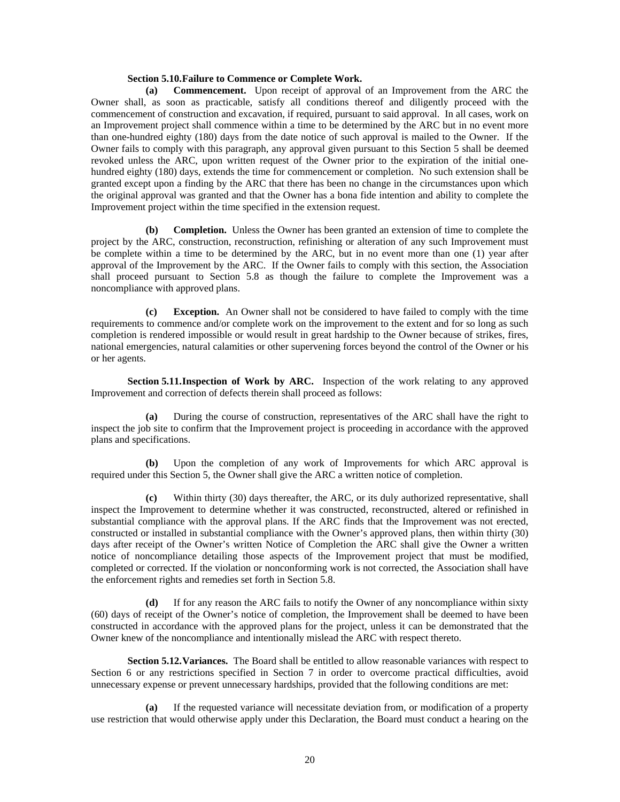#### **Section 5.10. Failure to Commence or Complete Work.**

**(a) Commencement.** Upon receipt of approval of an Improvement from the ARC the Owner shall, as soon as practicable, satisfy all conditions thereof and diligently proceed with the commencement of construction and excavation, if required, pursuant to said approval. In all cases, work on an Improvement project shall commence within a time to be determined by the ARC but in no event more than one-hundred eighty (180) days from the date notice of such approval is mailed to the Owner. If the Owner fails to comply with this paragraph, any approval given pursuant to this Section 5 shall be deemed revoked unless the ARC, upon written request of the Owner prior to the expiration of the initial onehundred eighty (180) days, extends the time for commencement or completion. No such extension shall be granted except upon a finding by the ARC that there has been no change in the circumstances upon which the original approval was granted and that the Owner has a bona fide intention and ability to complete the Improvement project within the time specified in the extension request.

**(b) Completion.** Unless the Owner has been granted an extension of time to complete the project by the ARC, construction, reconstruction, refinishing or alteration of any such Improvement must be complete within a time to be determined by the ARC, but in no event more than one (1) year after approval of the Improvement by the ARC. If the Owner fails to comply with this section, the Association shall proceed pursuant to Section 5.8 as though the failure to complete the Improvement was a noncompliance with approved plans.

**(c) Exception.** An Owner shall not be considered to have failed to comply with the time requirements to commence and/or complete work on the improvement to the extent and for so long as such completion is rendered impossible or would result in great hardship to the Owner because of strikes, fires, national emergencies, natural calamities or other supervening forces beyond the control of the Owner or his or her agents.

**Section 5.11. Inspection of Work by ARC.** Inspection of the work relating to any approved Improvement and correction of defects therein shall proceed as follows:

**(a)** During the course of construction, representatives of the ARC shall have the right to inspect the job site to confirm that the Improvement project is proceeding in accordance with the approved plans and specifications.

**(b)** Upon the completion of any work of Improvements for which ARC approval is required under this Section 5, the Owner shall give the ARC a written notice of completion.

**(c)** Within thirty (30) days thereafter, the ARC, or its duly authorized representative, shall inspect the Improvement to determine whether it was constructed, reconstructed, altered or refinished in substantial compliance with the approval plans. If the ARC finds that the Improvement was not erected, constructed or installed in substantial compliance with the Owner's approved plans, then within thirty (30) days after receipt of the Owner's written Notice of Completion the ARC shall give the Owner a written notice of noncompliance detailing those aspects of the Improvement project that must be modified, completed or corrected. If the violation or nonconforming work is not corrected, the Association shall have the enforcement rights and remedies set forth in Section 5.8.

**(d)** If for any reason the ARC fails to notify the Owner of any noncompliance within sixty (60) days of receipt of the Owner's notice of completion, the Improvement shall be deemed to have been constructed in accordance with the approved plans for the project, unless it can be demonstrated that the Owner knew of the noncompliance and intentionally mislead the ARC with respect thereto.

**Section 5.12. Variances.** The Board shall be entitled to allow reasonable variances with respect to Section 6 or any restrictions specified in Section 7 in order to overcome practical difficulties, avoid unnecessary expense or prevent unnecessary hardships, provided that the following conditions are met:

**(a)** If the requested variance will necessitate deviation from, or modification of a property use restriction that would otherwise apply under this Declaration, the Board must conduct a hearing on the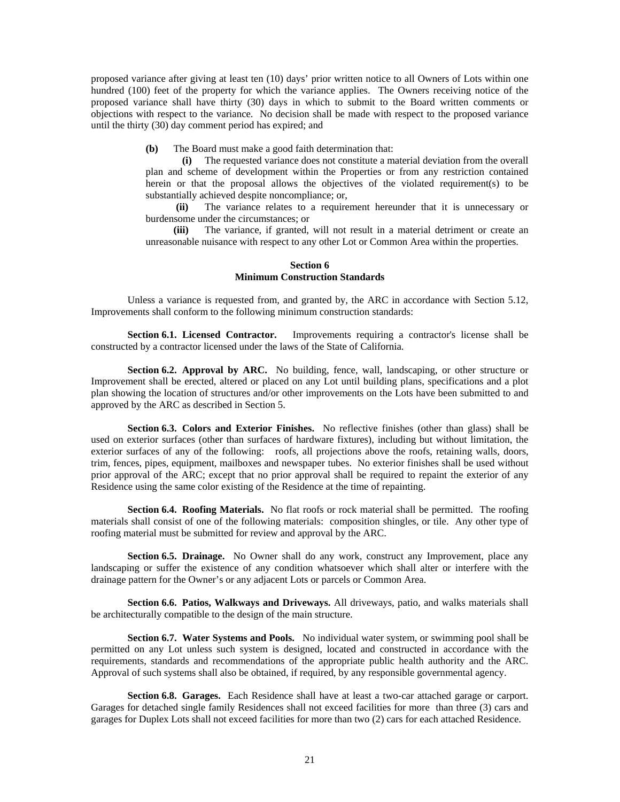proposed variance after giving at least ten (10) days' prior written notice to all Owners of Lots within one hundred (100) feet of the property for which the variance applies. The Owners receiving notice of the proposed variance shall have thirty (30) days in which to submit to the Board written comments or objections with respect to the variance. No decision shall be made with respect to the proposed variance until the thirty (30) day comment period has expired; and

**(b)** The Board must make a good faith determination that:

**(i)** The requested variance does not constitute a material deviation from the overall plan and scheme of development within the Properties or from any restriction contained herein or that the proposal allows the objectives of the violated requirement(s) to be substantially achieved despite noncompliance; or,

**(ii)** The variance relates to a requirement hereunder that it is unnecessary or burdensome under the circumstances; or

**(iii)** The variance, if granted, will not result in a material detriment or create an unreasonable nuisance with respect to any other Lot or Common Area within the properties.

#### **Section 6 Minimum Construction Standards**

Unless a variance is requested from, and granted by, the ARC in accordance with Section 5.12, Improvements shall conform to the following minimum construction standards:

**Section 6.1. Licensed Contractor.** Improvements requiring a contractor's license shall be constructed by a contractor licensed under the laws of the State of California.

**Section 6.2. Approval by ARC.** No building, fence, wall, landscaping, or other structure or Improvement shall be erected, altered or placed on any Lot until building plans, specifications and a plot plan showing the location of structures and/or other improvements on the Lots have been submitted to and approved by the ARC as described in Section 5.

**Section 6.3. Colors and Exterior Finishes.** No reflective finishes (other than glass) shall be used on exterior surfaces (other than surfaces of hardware fixtures), including but without limitation, the exterior surfaces of any of the following: roofs, all projections above the roofs, retaining walls, doors, trim, fences, pipes, equipment, mailboxes and newspaper tubes. No exterior finishes shall be used without prior approval of the ARC; except that no prior approval shall be required to repaint the exterior of any Residence using the same color existing of the Residence at the time of repainting.

**Section 6.4. Roofing Materials.** No flat roofs or rock material shall be permitted. The roofing materials shall consist of one of the following materials: composition shingles, or tile. Any other type of roofing material must be submitted for review and approval by the ARC.

**Section 6.5. Drainage.** No Owner shall do any work, construct any Improvement, place any landscaping or suffer the existence of any condition whatsoever which shall alter or interfere with the drainage pattern for the Owner's or any adjacent Lots or parcels or Common Area.

**Section 6.6. Patios, Walkways and Driveways.** All driveways, patio, and walks materials shall be architecturally compatible to the design of the main structure.

**Section 6.7. Water Systems and Pools.** No individual water system, or swimming pool shall be permitted on any Lot unless such system is designed, located and constructed in accordance with the requirements, standards and recommendations of the appropriate public health authority and the ARC. Approval of such systems shall also be obtained, if required, by any responsible governmental agency.

**Section 6.8. Garages.** Each Residence shall have at least a two-car attached garage or carport. Garages for detached single family Residences shall not exceed facilities for more than three (3) cars and garages for Duplex Lots shall not exceed facilities for more than two (2) cars for each attached Residence.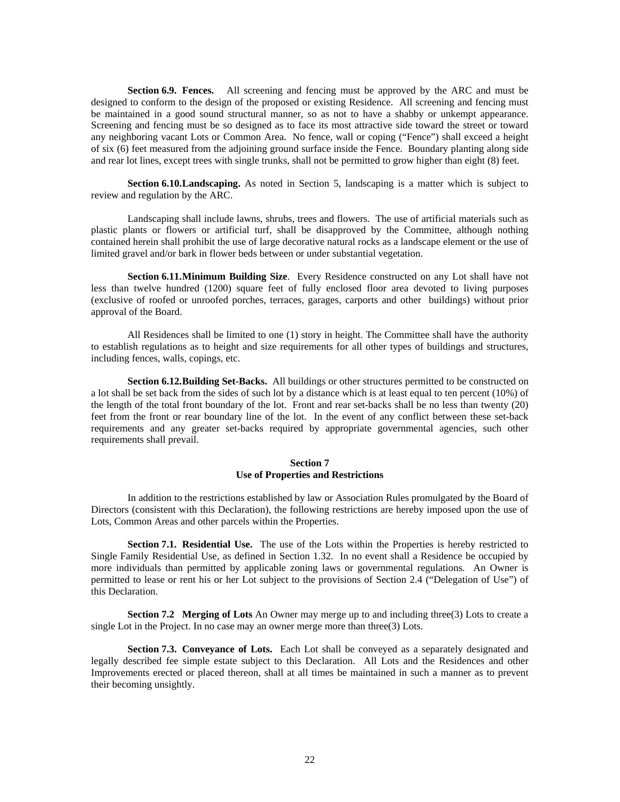**Section 6.9. Fences.** All screening and fencing must be approved by the ARC and must be designed to conform to the design of the proposed or existing Residence. All screening and fencing must be maintained in a good sound structural manner, so as not to have a shabby or unkempt appearance. Screening and fencing must be so designed as to face its most attractive side toward the street or toward any neighboring vacant Lots or Common Area. No fence, wall or coping ("Fence") shall exceed a height of six (6) feet measured from the adjoining ground surface inside the Fence. Boundary planting along side and rear lot lines, except trees with single trunks, shall not be permitted to grow higher than eight (8) feet.

**Section 6.10. Landscaping.** As noted in Section 5, landscaping is a matter which is subject to review and regulation by the ARC.

Landscaping shall include lawns, shrubs, trees and flowers. The use of artificial materials such as plastic plants or flowers or artificial turf, shall be disapproved by the Committee, although nothing contained herein shall prohibit the use of large decorative natural rocks as a landscape element or the use of limited gravel and/or bark in flower beds between or under substantial vegetation.

**Section 6.11. Minimum Building Size**. Every Residence constructed on any Lot shall have not less than twelve hundred (1200) square feet of fully enclosed floor area devoted to living purposes (exclusive of roofed or unroofed porches, terraces, garages, carports and other buildings) without prior approval of the Board.

All Residences shall be limited to one (1) story in height. The Committee shall have the authority to establish regulations as to height and size requirements for all other types of buildings and structures, including fences, walls, copings, etc.

**Section 6.12. Building Set-Backs.** All buildings or other structures permitted to be constructed on a lot shall be set back from the sides of such lot by a distance which is at least equal to ten percent (10%) of the length of the total front boundary of the lot. Front and rear set-backs shall be no less than twenty (20) feet from the front or rear boundary line of the lot. In the event of any conflict between these set-back requirements and any greater set-backs required by appropriate governmental agencies, such other requirements shall prevail.

# **Section 7 Use of Properties and Restrictions**

In addition to the restrictions established by law or Association Rules promulgated by the Board of Directors (consistent with this Declaration), the following restrictions are hereby imposed upon the use of Lots, Common Areas and other parcels within the Properties.

**Section 7.1. Residential Use.** The use of the Lots within the Properties is hereby restricted to Single Family Residential Use, as defined in Section 1.32. In no event shall a Residence be occupied by more individuals than permitted by applicable zoning laws or governmental regulations. An Owner is permitted to lease or rent his or her Lot subject to the provisions of Section 2.4 ("Delegation of Use") of this Declaration.

**Section 7.2 Merging of Lots** An Owner may merge up to and including three(3) Lots to create a single Lot in the Project. In no case may an owner merge more than three(3) Lots.

**Section 7.3. Conveyance of Lots.** Each Lot shall be conveyed as a separately designated and legally described fee simple estate subject to this Declaration. All Lots and the Residences and other Improvements erected or placed thereon, shall at all times be maintained in such a manner as to prevent their becoming unsightly.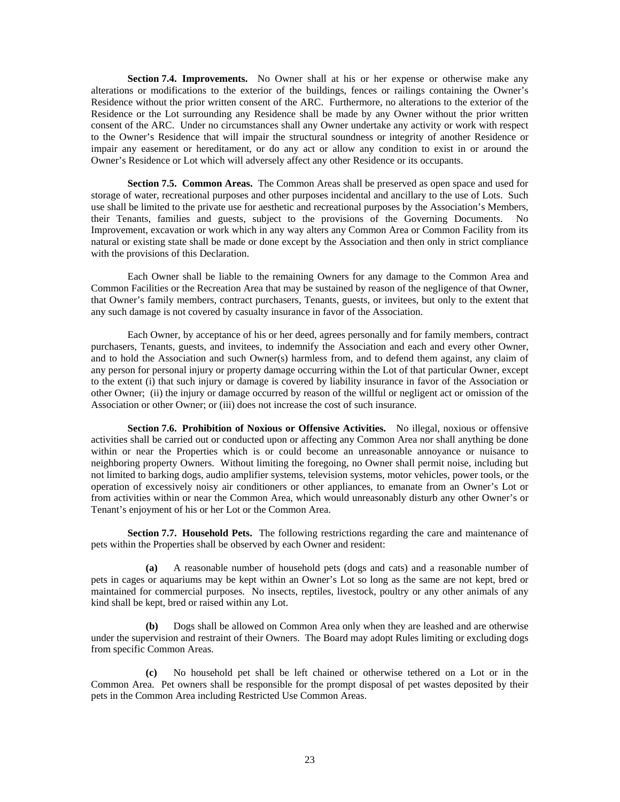**Section 7.4. Improvements.** No Owner shall at his or her expense or otherwise make any alterations or modifications to the exterior of the buildings, fences or railings containing the Owner's Residence without the prior written consent of the ARC. Furthermore, no alterations to the exterior of the Residence or the Lot surrounding any Residence shall be made by any Owner without the prior written consent of the ARC. Under no circumstances shall any Owner undertake any activity or work with respect to the Owner's Residence that will impair the structural soundness or integrity of another Residence or impair any easement or hereditament, or do any act or allow any condition to exist in or around the Owner's Residence or Lot which will adversely affect any other Residence or its occupants.

**Section 7.5. Common Areas.** The Common Areas shall be preserved as open space and used for storage of water, recreational purposes and other purposes incidental and ancillary to the use of Lots. Such use shall be limited to the private use for aesthetic and recreational purposes by the Association's Members, their Tenants, families and guests, subject to the provisions of the Governing Documents. No Improvement, excavation or work which in any way alters any Common Area or Common Facility from its natural or existing state shall be made or done except by the Association and then only in strict compliance with the provisions of this Declaration.

Each Owner shall be liable to the remaining Owners for any damage to the Common Area and Common Facilities or the Recreation Area that may be sustained by reason of the negligence of that Owner, that Owner's family members, contract purchasers, Tenants, guests, or invitees, but only to the extent that any such damage is not covered by casualty insurance in favor of the Association.

Each Owner, by acceptance of his or her deed, agrees personally and for family members, contract purchasers, Tenants, guests, and invitees, to indemnify the Association and each and every other Owner, and to hold the Association and such Owner(s) harmless from, and to defend them against, any claim of any person for personal injury or property damage occurring within the Lot of that particular Owner, except to the extent (i) that such injury or damage is covered by liability insurance in favor of the Association or other Owner; (ii) the injury or damage occurred by reason of the willful or negligent act or omission of the Association or other Owner; or (iii) does not increase the cost of such insurance.

**Section 7.6. Prohibition of Noxious or Offensive Activities.** No illegal, noxious or offensive activities shall be carried out or conducted upon or affecting any Common Area nor shall anything be done within or near the Properties which is or could become an unreasonable annoyance or nuisance to neighboring property Owners. Without limiting the foregoing, no Owner shall permit noise, including but not limited to barking dogs, audio amplifier systems, television systems, motor vehicles, power tools, or the operation of excessively noisy air conditioners or other appliances, to emanate from an Owner's Lot or from activities within or near the Common Area, which would unreasonably disturb any other Owner's or Tenant's enjoyment of his or her Lot or the Common Area.

**Section 7.7. Household Pets.** The following restrictions regarding the care and maintenance of pets within the Properties shall be observed by each Owner and resident:

**(a)** A reasonable number of household pets (dogs and cats) and a reasonable number of pets in cages or aquariums may be kept within an Owner's Lot so long as the same are not kept, bred or maintained for commercial purposes. No insects, reptiles, livestock, poultry or any other animals of any kind shall be kept, bred or raised within any Lot.

**(b)** Dogs shall be allowed on Common Area only when they are leashed and are otherwise under the supervision and restraint of their Owners. The Board may adopt Rules limiting or excluding dogs from specific Common Areas.

**(c)** No household pet shall be left chained or otherwise tethered on a Lot or in the Common Area. Pet owners shall be responsible for the prompt disposal of pet wastes deposited by their pets in the Common Area including Restricted Use Common Areas.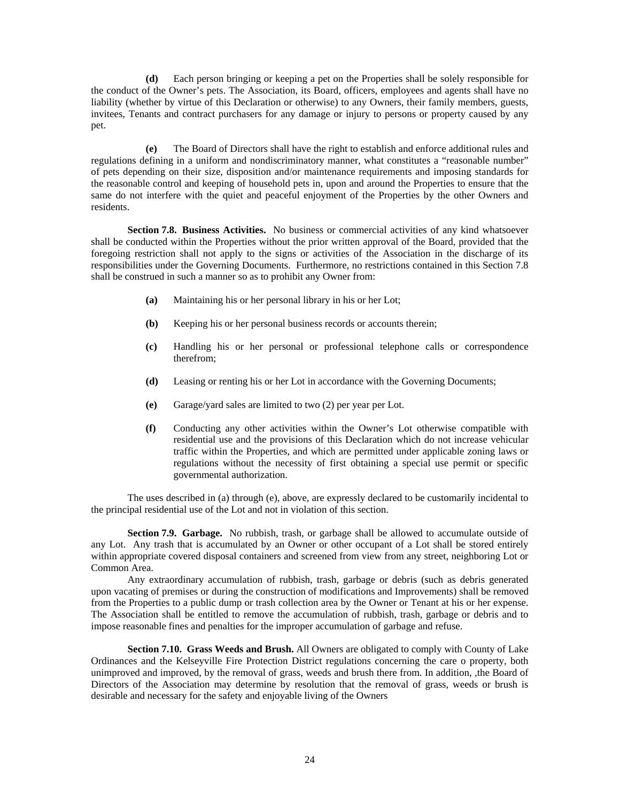**(d)** Each person bringing or keeping a pet on the Properties shall be solely responsible for the conduct of the Owner's pets. The Association, its Board, officers, employees and agents shall have no liability (whether by virtue of this Declaration or otherwise) to any Owners, their family members, guests, invitees, Tenants and contract purchasers for any damage or injury to persons or property caused by any pet.

**(e)** The Board of Directors shall have the right to establish and enforce additional rules and regulations defining in a uniform and nondiscriminatory manner, what constitutes a "reasonable number" of pets depending on their size, disposition and/or maintenance requirements and imposing standards for the reasonable control and keeping of household pets in, upon and around the Properties to ensure that the same do not interfere with the quiet and peaceful enjoyment of the Properties by the other Owners and residents.

**Section 7.8. Business Activities.** No business or commercial activities of any kind whatsoever shall be conducted within the Properties without the prior written approval of the Board, provided that the foregoing restriction shall not apply to the signs or activities of the Association in the discharge of its responsibilities under the Governing Documents. Furthermore, no restrictions contained in this Section 7.8 shall be construed in such a manner so as to prohibit any Owner from:

- **(a)** Maintaining his or her personal library in his or her Lot;
- **(b)** Keeping his or her personal business records or accounts therein;
- **(c)** Handling his or her personal or professional telephone calls or correspondence therefrom;
- **(d)** Leasing or renting his or her Lot in accordance with the Governing Documents;
- **(e)** Garage/yard sales are limited to two (2) per year per Lot.
- **(f)** Conducting any other activities within the Owner's Lot otherwise compatible with residential use and the provisions of this Declaration which do not increase vehicular traffic within the Properties, and which are permitted under applicable zoning laws or regulations without the necessity of first obtaining a special use permit or specific governmental authorization.

The uses described in (a) through (e), above, are expressly declared to be customarily incidental to the principal residential use of the Lot and not in violation of this section.

**Section 7.9. Garbage.** No rubbish, trash, or garbage shall be allowed to accumulate outside of any Lot. Any trash that is accumulated by an Owner or other occupant of a Lot shall be stored entirely within appropriate covered disposal containers and screened from view from any street, neighboring Lot or Common Area.

Any extraordinary accumulation of rubbish, trash, garbage or debris (such as debris generated upon vacating of premises or during the construction of modifications and Improvements) shall be removed from the Properties to a public dump or trash collection area by the Owner or Tenant at his or her expense. The Association shall be entitled to remove the accumulation of rubbish, trash, garbage or debris and to impose reasonable fines and penalties for the improper accumulation of garbage and refuse.

**Section 7.10. Grass Weeds and Brush.** All Owners are obligated to comply with County of Lake Ordinances and the Kelseyville Fire Protection District regulations concerning the care o property, both unimproved and improved, by the removal of grass, weeds and brush there from. In addition, ,the Board of Directors of the Association may determine by resolution that the removal of grass, weeds or brush is desirable and necessary for the safety and enjoyable living of the Owners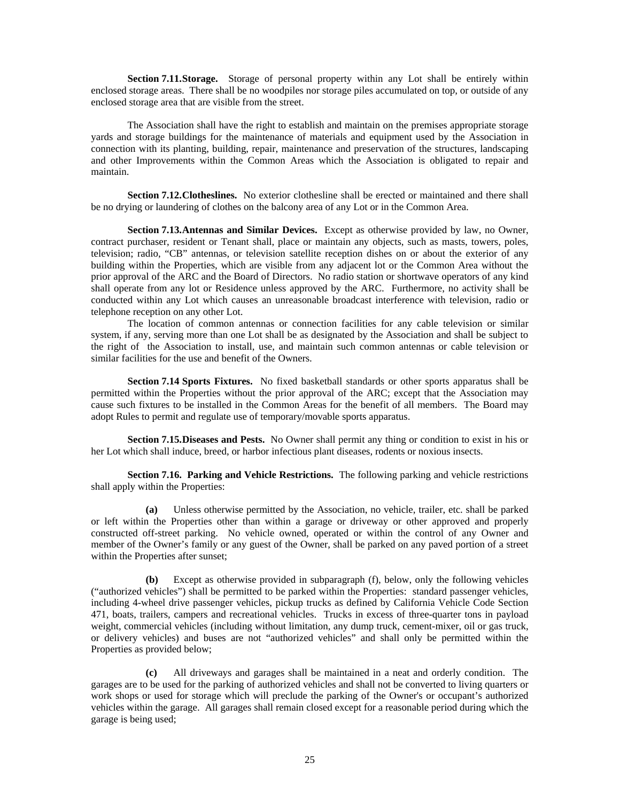**Section 7.11. Storage.** Storage of personal property within any Lot shall be entirely within enclosed storage areas. There shall be no woodpiles nor storage piles accumulated on top, or outside of any enclosed storage area that are visible from the street.

The Association shall have the right to establish and maintain on the premises appropriate storage yards and storage buildings for the maintenance of materials and equipment used by the Association in connection with its planting, building, repair, maintenance and preservation of the structures, landscaping and other Improvements within the Common Areas which the Association is obligated to repair and maintain.

**Section 7.12. Clotheslines.** No exterior clothesline shall be erected or maintained and there shall be no drying or laundering of clothes on the balcony area of any Lot or in the Common Area.

**Section 7.13. Antennas and Similar Devices.** Except as otherwise provided by law, no Owner, contract purchaser, resident or Tenant shall, place or maintain any objects, such as masts, towers, poles, television; radio, "CB" antennas, or television satellite reception dishes on or about the exterior of any building within the Properties, which are visible from any adjacent lot or the Common Area without the prior approval of the ARC and the Board of Directors. No radio station or shortwave operators of any kind shall operate from any lot or Residence unless approved by the ARC. Furthermore, no activity shall be conducted within any Lot which causes an unreasonable broadcast interference with television, radio or telephone reception on any other Lot.

The location of common antennas or connection facilities for any cable television or similar system, if any, serving more than one Lot shall be as designated by the Association and shall be subject to the right of the Association to install, use, and maintain such common antennas or cable television or similar facilities for the use and benefit of the Owners.

**Section 7.14 Sports Fixtures.** No fixed basketball standards or other sports apparatus shall be permitted within the Properties without the prior approval of the ARC; except that the Association may cause such fixtures to be installed in the Common Areas for the benefit of all members. The Board may adopt Rules to permit and regulate use of temporary/movable sports apparatus.

**Section 7.15. Diseases and Pests.** No Owner shall permit any thing or condition to exist in his or her Lot which shall induce, breed, or harbor infectious plant diseases, rodents or noxious insects.

**Section 7.16. Parking and Vehicle Restrictions.** The following parking and vehicle restrictions shall apply within the Properties:

**(a)** Unless otherwise permitted by the Association, no vehicle, trailer, etc. shall be parked or left within the Properties other than within a garage or driveway or other approved and properly constructed off-street parking. No vehicle owned, operated or within the control of any Owner and member of the Owner's family or any guest of the Owner, shall be parked on any paved portion of a street within the Properties after sunset;

**(b)** Except as otherwise provided in subparagraph (f), below, only the following vehicles ("authorized vehicles") shall be permitted to be parked within the Properties: standard passenger vehicles, including 4-wheel drive passenger vehicles, pickup trucks as defined by California Vehicle Code Section 471, boats, trailers, campers and recreational vehicles. Trucks in excess of three-quarter tons in payload weight, commercial vehicles (including without limitation, any dump truck, cement-mixer, oil or gas truck, or delivery vehicles) and buses are not "authorized vehicles" and shall only be permitted within the Properties as provided below;

**(c)** All driveways and garages shall be maintained in a neat and orderly condition. The garages are to be used for the parking of authorized vehicles and shall not be converted to living quarters or work shops or used for storage which will preclude the parking of the Owner's or occupant's authorized vehicles within the garage. All garages shall remain closed except for a reasonable period during which the garage is being used;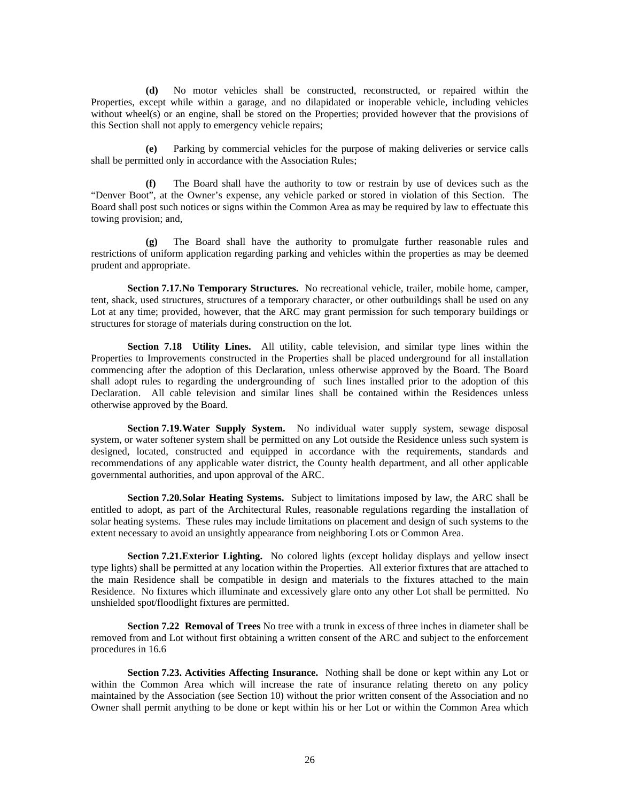**(d)** No motor vehicles shall be constructed, reconstructed, or repaired within the Properties, except while within a garage, and no dilapidated or inoperable vehicle, including vehicles without wheel(s) or an engine, shall be stored on the Properties; provided however that the provisions of this Section shall not apply to emergency vehicle repairs;

**(e)** Parking by commercial vehicles for the purpose of making deliveries or service calls shall be permitted only in accordance with the Association Rules;

**(f)** The Board shall have the authority to tow or restrain by use of devices such as the "Denver Boot", at the Owner's expense, any vehicle parked or stored in violation of this Section. The Board shall post such notices or signs within the Common Area as may be required by law to effectuate this towing provision; and,

**(g)** The Board shall have the authority to promulgate further reasonable rules and restrictions of uniform application regarding parking and vehicles within the properties as may be deemed prudent and appropriate.

**Section 7.17. No Temporary Structures.** No recreational vehicle, trailer, mobile home, camper, tent, shack, used structures, structures of a temporary character, or other outbuildings shall be used on any Lot at any time; provided, however, that the ARC may grant permission for such temporary buildings or structures for storage of materials during construction on the lot.

**Section 7.18 Utility Lines.** All utility, cable television, and similar type lines within the Properties to Improvements constructed in the Properties shall be placed underground for all installation commencing after the adoption of this Declaration, unless otherwise approved by the Board. The Board shall adopt rules to regarding the undergrounding of such lines installed prior to the adoption of this Declaration. All cable television and similar lines shall be contained within the Residences unless otherwise approved by the Board.

**Section 7.19. Water Supply System.** No individual water supply system, sewage disposal system, or water softener system shall be permitted on any Lot outside the Residence unless such system is designed, located, constructed and equipped in accordance with the requirements, standards and recommendations of any applicable water district, the County health department, and all other applicable governmental authorities, and upon approval of the ARC.

**Section 7.20. Solar Heating Systems.** Subject to limitations imposed by law, the ARC shall be entitled to adopt, as part of the Architectural Rules, reasonable regulations regarding the installation of solar heating systems. These rules may include limitations on placement and design of such systems to the extent necessary to avoid an unsightly appearance from neighboring Lots or Common Area.

**Section 7.21. Exterior Lighting.** No colored lights (except holiday displays and yellow insect type lights) shall be permitted at any location within the Properties. All exterior fixtures that are attached to the main Residence shall be compatible in design and materials to the fixtures attached to the main Residence. No fixtures which illuminate and excessively glare onto any other Lot shall be permitted. No unshielded spot/floodlight fixtures are permitted.

**Section 7.22 Removal of Trees** No tree with a trunk in excess of three inches in diameter shall be removed from and Lot without first obtaining a written consent of the ARC and subject to the enforcement procedures in 16.6

**Section 7.23. Activities Affecting Insurance.** Nothing shall be done or kept within any Lot or within the Common Area which will increase the rate of insurance relating thereto on any policy maintained by the Association (see Section 10) without the prior written consent of the Association and no Owner shall permit anything to be done or kept within his or her Lot or within the Common Area which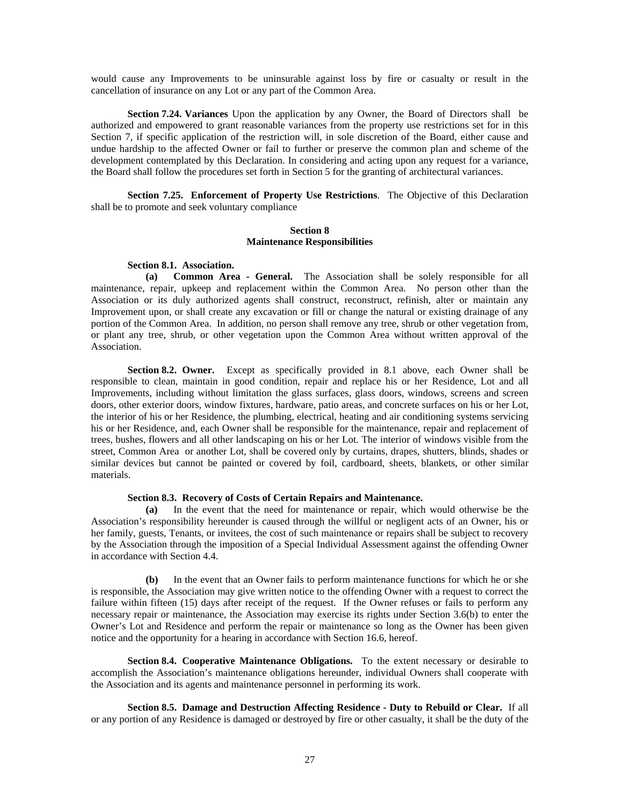would cause any Improvements to be uninsurable against loss by fire or casualty or result in the cancellation of insurance on any Lot or any part of the Common Area.

**Section 7.24. Variances** Upon the application by any Owner, the Board of Directors shall be authorized and empowered to grant reasonable variances from the property use restrictions set for in this Section 7, if specific application of the restriction will, in sole discretion of the Board, either cause and undue hardship to the affected Owner or fail to further or preserve the common plan and scheme of the development contemplated by this Declaration. In considering and acting upon any request for a variance, the Board shall follow the procedures set forth in Section 5 for the granting of architectural variances.

**Section 7.25. Enforcement of Property Use Restrictions**. The Objective of this Declaration shall be to promote and seek voluntary compliance

#### **Section 8 Maintenance Responsibilities**

#### **Section 8.1. Association.**

**(a) Common Area - General.** The Association shall be solely responsible for all maintenance, repair, upkeep and replacement within the Common Area. No person other than the Association or its duly authorized agents shall construct, reconstruct, refinish, alter or maintain any Improvement upon, or shall create any excavation or fill or change the natural or existing drainage of any portion of the Common Area. In addition, no person shall remove any tree, shrub or other vegetation from, or plant any tree, shrub, or other vegetation upon the Common Area without written approval of the Association.

**Section 8.2. Owner.** Except as specifically provided in 8.1 above, each Owner shall be responsible to clean, maintain in good condition, repair and replace his or her Residence, Lot and all Improvements, including without limitation the glass surfaces, glass doors, windows, screens and screen doors, other exterior doors, window fixtures, hardware, patio areas, and concrete surfaces on his or her Lot, the interior of his or her Residence, the plumbing, electrical, heating and air conditioning systems servicing his or her Residence, and, each Owner shall be responsible for the maintenance, repair and replacement of trees, bushes, flowers and all other landscaping on his or her Lot. The interior of windows visible from the street, Common Area or another Lot, shall be covered only by curtains, drapes, shutters, blinds, shades or similar devices but cannot be painted or covered by foil, cardboard, sheets, blankets, or other similar materials.

#### **Section 8.3. Recovery of Costs of Certain Repairs and Maintenance.**

**(a)** In the event that the need for maintenance or repair, which would otherwise be the Association's responsibility hereunder is caused through the willful or negligent acts of an Owner, his or her family, guests, Tenants, or invitees, the cost of such maintenance or repairs shall be subject to recovery by the Association through the imposition of a Special Individual Assessment against the offending Owner in accordance with Section 4.4.

**(b)** In the event that an Owner fails to perform maintenance functions for which he or she is responsible, the Association may give written notice to the offending Owner with a request to correct the failure within fifteen (15) days after receipt of the request. If the Owner refuses or fails to perform any necessary repair or maintenance, the Association may exercise its rights under Section 3.6(b) to enter the Owner's Lot and Residence and perform the repair or maintenance so long as the Owner has been given notice and the opportunity for a hearing in accordance with Section 16.6, hereof.

**Section 8.4. Cooperative Maintenance Obligations.** To the extent necessary or desirable to accomplish the Association's maintenance obligations hereunder, individual Owners shall cooperate with the Association and its agents and maintenance personnel in performing its work.

**Section 8.5. Damage and Destruction Affecting Residence - Duty to Rebuild or Clear.** If all or any portion of any Residence is damaged or destroyed by fire or other casualty, it shall be the duty of the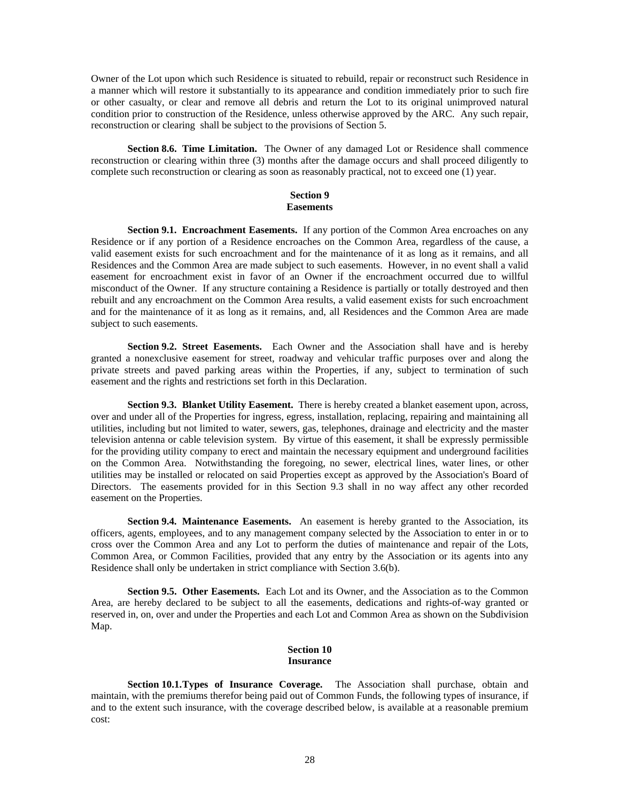Owner of the Lot upon which such Residence is situated to rebuild, repair or reconstruct such Residence in a manner which will restore it substantially to its appearance and condition immediately prior to such fire or other casualty, or clear and remove all debris and return the Lot to its original unimproved natural condition prior to construction of the Residence, unless otherwise approved by the ARC. Any such repair, reconstruction or clearing shall be subject to the provisions of Section 5.

**Section 8.6. Time Limitation.** The Owner of any damaged Lot or Residence shall commence reconstruction or clearing within three (3) months after the damage occurs and shall proceed diligently to complete such reconstruction or clearing as soon as reasonably practical, not to exceed one (1) year.

# **Section 9 Easements**

**Section 9.1. Encroachment Easements.** If any portion of the Common Area encroaches on any Residence or if any portion of a Residence encroaches on the Common Area, regardless of the cause, a valid easement exists for such encroachment and for the maintenance of it as long as it remains, and all Residences and the Common Area are made subject to such easements. However, in no event shall a valid easement for encroachment exist in favor of an Owner if the encroachment occurred due to willful misconduct of the Owner. If any structure containing a Residence is partially or totally destroyed and then rebuilt and any encroachment on the Common Area results, a valid easement exists for such encroachment and for the maintenance of it as long as it remains, and, all Residences and the Common Area are made subject to such easements.

**Section 9.2. Street Easements.** Each Owner and the Association shall have and is hereby granted a nonexclusive easement for street, roadway and vehicular traffic purposes over and along the private streets and paved parking areas within the Properties, if any, subject to termination of such easement and the rights and restrictions set forth in this Declaration.

**Section 9.3. Blanket Utility Easement.** There is hereby created a blanket easement upon, across, over and under all of the Properties for ingress, egress, installation, replacing, repairing and maintaining all utilities, including but not limited to water, sewers, gas, telephones, drainage and electricity and the master television antenna or cable television system. By virtue of this easement, it shall be expressly permissible for the providing utility company to erect and maintain the necessary equipment and underground facilities on the Common Area. Notwithstanding the foregoing, no sewer, electrical lines, water lines, or other utilities may be installed or relocated on said Properties except as approved by the Association's Board of Directors. The easements provided for in this Section 9.3 shall in no way affect any other recorded easement on the Properties.

**Section 9.4. Maintenance Easements.** An easement is hereby granted to the Association, its officers, agents, employees, and to any management company selected by the Association to enter in or to cross over the Common Area and any Lot to perform the duties of maintenance and repair of the Lots, Common Area, or Common Facilities, provided that any entry by the Association or its agents into any Residence shall only be undertaken in strict compliance with Section 3.6(b).

**Section 9.5. Other Easements.** Each Lot and its Owner, and the Association as to the Common Area, are hereby declared to be subject to all the easements, dedications and rights-of-way granted or reserved in, on, over and under the Properties and each Lot and Common Area as shown on the Subdivision Map.

# **Section 10 Insurance**

**Section 10.1. Types of Insurance Coverage.** The Association shall purchase, obtain and maintain, with the premiums therefor being paid out of Common Funds, the following types of insurance, if and to the extent such insurance, with the coverage described below, is available at a reasonable premium cost: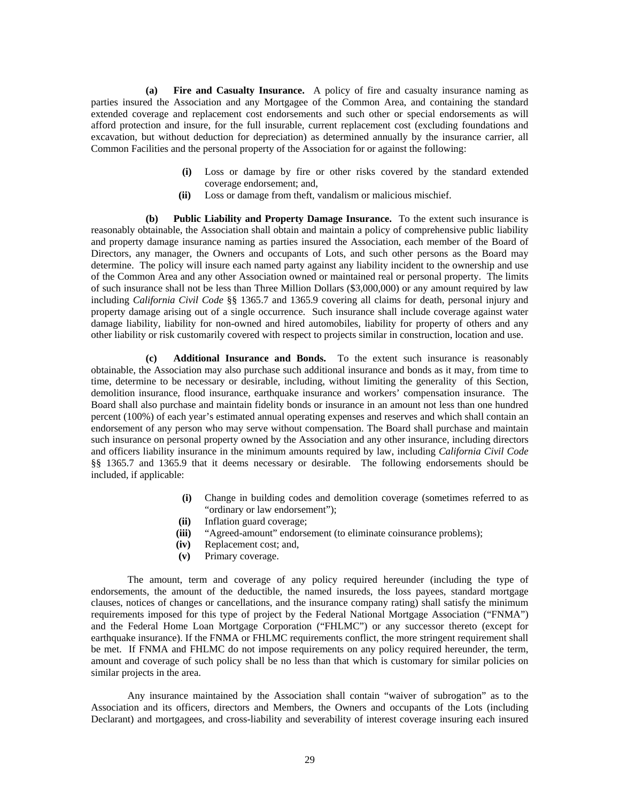**(a) Fire and Casualty Insurance.** A policy of fire and casualty insurance naming as parties insured the Association and any Mortgagee of the Common Area, and containing the standard extended coverage and replacement cost endorsements and such other or special endorsements as will afford protection and insure, for the full insurable, current replacement cost (excluding foundations and excavation, but without deduction for depreciation) as determined annually by the insurance carrier, all Common Facilities and the personal property of the Association for or against the following:

- **(i)** Loss or damage by fire or other risks covered by the standard extended coverage endorsement; and,
- **(ii)** Loss or damage from theft, vandalism or malicious mischief.

**(b) Public Liability and Property Damage Insurance.** To the extent such insurance is reasonably obtainable, the Association shall obtain and maintain a policy of comprehensive public liability and property damage insurance naming as parties insured the Association, each member of the Board of Directors, any manager, the Owners and occupants of Lots, and such other persons as the Board may determine. The policy will insure each named party against any liability incident to the ownership and use of the Common Area and any other Association owned or maintained real or personal property. The limits of such insurance shall not be less than Three Million Dollars (\$3,000,000) or any amount required by law including *California Civil Code* §§ 1365.7 and 1365.9 covering all claims for death, personal injury and property damage arising out of a single occurrence. Such insurance shall include coverage against water damage liability, liability for non-owned and hired automobiles, liability for property of others and any other liability or risk customarily covered with respect to projects similar in construction, location and use.

**(c) Additional Insurance and Bonds.** To the extent such insurance is reasonably obtainable, the Association may also purchase such additional insurance and bonds as it may, from time to time, determine to be necessary or desirable, including, without limiting the generality of this Section, demolition insurance, flood insurance, earthquake insurance and workers' compensation insurance. The Board shall also purchase and maintain fidelity bonds or insurance in an amount not less than one hundred percent (100%) of each year's estimated annual operating expenses and reserves and which shall contain an endorsement of any person who may serve without compensation. The Board shall purchase and maintain such insurance on personal property owned by the Association and any other insurance, including directors and officers liability insurance in the minimum amounts required by law, including *California Civil Code* §§ 1365.7 and 1365.9 that it deems necessary or desirable. The following endorsements should be included, if applicable:

- **(i)** Change in building codes and demolition coverage (sometimes referred to as "ordinary or law endorsement");
- **(ii)** Inflation guard coverage;
- **(iii)** "Agreed-amount" endorsement (to eliminate coinsurance problems);
- **(iv)** Replacement cost; and,
- **(v)** Primary coverage.

The amount, term and coverage of any policy required hereunder (including the type of endorsements, the amount of the deductible, the named insureds, the loss payees, standard mortgage clauses, notices of changes or cancellations, and the insurance company rating) shall satisfy the minimum requirements imposed for this type of project by the Federal National Mortgage Association ("FNMA") and the Federal Home Loan Mortgage Corporation ("FHLMC") or any successor thereto (except for earthquake insurance). If the FNMA or FHLMC requirements conflict, the more stringent requirement shall be met. If FNMA and FHLMC do not impose requirements on any policy required hereunder, the term, amount and coverage of such policy shall be no less than that which is customary for similar policies on similar projects in the area.

Any insurance maintained by the Association shall contain "waiver of subrogation" as to the Association and its officers, directors and Members, the Owners and occupants of the Lots (including Declarant) and mortgagees, and cross-liability and severability of interest coverage insuring each insured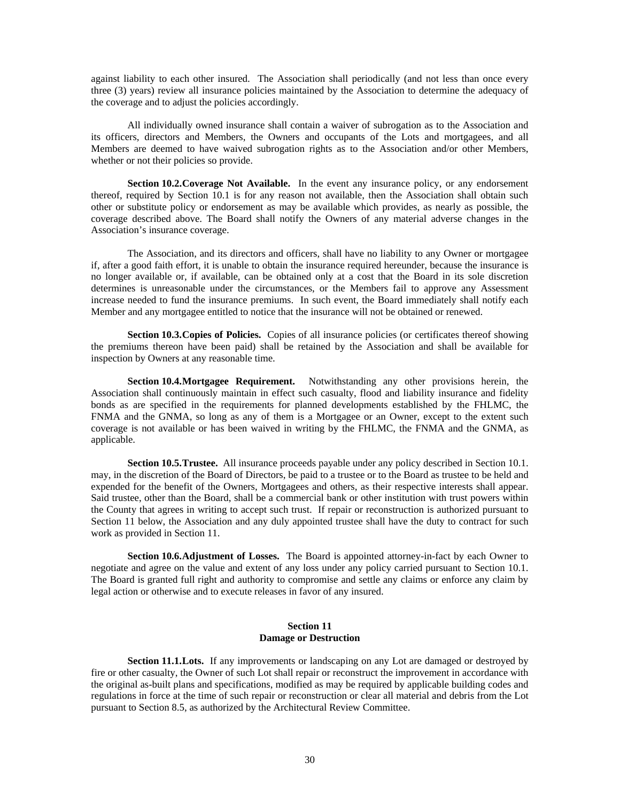against liability to each other insured. The Association shall periodically (and not less than once every three (3) years) review all insurance policies maintained by the Association to determine the adequacy of the coverage and to adjust the policies accordingly.

All individually owned insurance shall contain a waiver of subrogation as to the Association and its officers, directors and Members, the Owners and occupants of the Lots and mortgagees, and all Members are deemed to have waived subrogation rights as to the Association and/or other Members, whether or not their policies so provide.

**Section 10.2. Coverage Not Available.** In the event any insurance policy, or any endorsement thereof, required by Section 10.1 is for any reason not available, then the Association shall obtain such other or substitute policy or endorsement as may be available which provides, as nearly as possible, the coverage described above. The Board shall notify the Owners of any material adverse changes in the Association's insurance coverage.

The Association, and its directors and officers, shall have no liability to any Owner or mortgagee if, after a good faith effort, it is unable to obtain the insurance required hereunder, because the insurance is no longer available or, if available, can be obtained only at a cost that the Board in its sole discretion determines is unreasonable under the circumstances, or the Members fail to approve any Assessment increase needed to fund the insurance premiums. In such event, the Board immediately shall notify each Member and any mortgagee entitled to notice that the insurance will not be obtained or renewed.

**Section 10.3. Copies of Policies.** Copies of all insurance policies (or certificates thereof showing the premiums thereon have been paid) shall be retained by the Association and shall be available for inspection by Owners at any reasonable time.

**Section 10.4. Mortgagee Requirement.** Notwithstanding any other provisions herein, the Association shall continuously maintain in effect such casualty, flood and liability insurance and fidelity bonds as are specified in the requirements for planned developments established by the FHLMC, the FNMA and the GNMA, so long as any of them is a Mortgagee or an Owner, except to the extent such coverage is not available or has been waived in writing by the FHLMC, the FNMA and the GNMA, as applicable.

**Section 10.5. Trustee.** All insurance proceeds payable under any policy described in Section 10.1. may, in the discretion of the Board of Directors, be paid to a trustee or to the Board as trustee to be held and expended for the benefit of the Owners, Mortgagees and others, as their respective interests shall appear. Said trustee, other than the Board, shall be a commercial bank or other institution with trust powers within the County that agrees in writing to accept such trust. If repair or reconstruction is authorized pursuant to Section 11 below, the Association and any duly appointed trustee shall have the duty to contract for such work as provided in Section 11.

**Section 10.6. Adjustment of Losses.** The Board is appointed attorney-in-fact by each Owner to negotiate and agree on the value and extent of any loss under any policy carried pursuant to Section 10.1. The Board is granted full right and authority to compromise and settle any claims or enforce any claim by legal action or otherwise and to execute releases in favor of any insured.

# **Section 11 Damage or Destruction**

**Section 11.1. Lots.** If any improvements or landscaping on any Lot are damaged or destroyed by fire or other casualty, the Owner of such Lot shall repair or reconstruct the improvement in accordance with the original as-built plans and specifications, modified as may be required by applicable building codes and regulations in force at the time of such repair or reconstruction or clear all material and debris from the Lot pursuant to Section 8.5, as authorized by the Architectural Review Committee.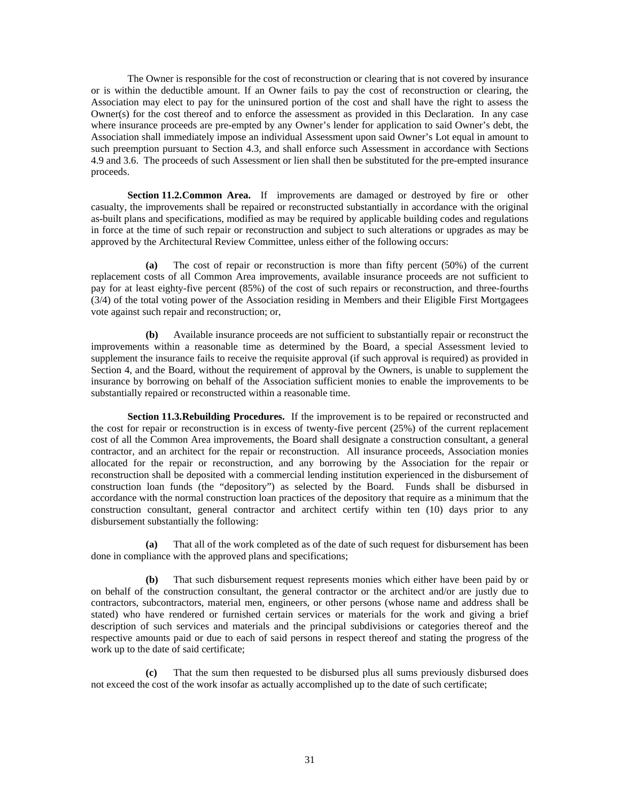The Owner is responsible for the cost of reconstruction or clearing that is not covered by insurance or is within the deductible amount. If an Owner fails to pay the cost of reconstruction or clearing, the Association may elect to pay for the uninsured portion of the cost and shall have the right to assess the Owner(s) for the cost thereof and to enforce the assessment as provided in this Declaration. In any case where insurance proceeds are pre-empted by any Owner's lender for application to said Owner's debt, the Association shall immediately impose an individual Assessment upon said Owner's Lot equal in amount to such preemption pursuant to Section 4.3, and shall enforce such Assessment in accordance with Sections 4.9 and 3.6. The proceeds of such Assessment or lien shall then be substituted for the pre-empted insurance proceeds.

**Section 11.2. Common Area.** If improvements are damaged or destroyed by fire or other casualty, the improvements shall be repaired or reconstructed substantially in accordance with the original as-built plans and specifications, modified as may be required by applicable building codes and regulations in force at the time of such repair or reconstruction and subject to such alterations or upgrades as may be approved by the Architectural Review Committee, unless either of the following occurs:

**(a)** The cost of repair or reconstruction is more than fifty percent (50%) of the current replacement costs of all Common Area improvements, available insurance proceeds are not sufficient to pay for at least eighty-five percent (85%) of the cost of such repairs or reconstruction, and three-fourths (3/4) of the total voting power of the Association residing in Members and their Eligible First Mortgagees vote against such repair and reconstruction; or,

**(b)** Available insurance proceeds are not sufficient to substantially repair or reconstruct the improvements within a reasonable time as determined by the Board, a special Assessment levied to supplement the insurance fails to receive the requisite approval (if such approval is required) as provided in Section 4, and the Board, without the requirement of approval by the Owners, is unable to supplement the insurance by borrowing on behalf of the Association sufficient monies to enable the improvements to be substantially repaired or reconstructed within a reasonable time.

**Section 11.3. Rebuilding Procedures.** If the improvement is to be repaired or reconstructed and the cost for repair or reconstruction is in excess of twenty-five percent (25%) of the current replacement cost of all the Common Area improvements, the Board shall designate a construction consultant, a general contractor, and an architect for the repair or reconstruction. All insurance proceeds, Association monies allocated for the repair or reconstruction, and any borrowing by the Association for the repair or reconstruction shall be deposited with a commercial lending institution experienced in the disbursement of construction loan funds (the "depository") as selected by the Board. Funds shall be disbursed in accordance with the normal construction loan practices of the depository that require as a minimum that the construction consultant, general contractor and architect certify within ten (10) days prior to any disbursement substantially the following:

**(a)** That all of the work completed as of the date of such request for disbursement has been done in compliance with the approved plans and specifications;

**(b)** That such disbursement request represents monies which either have been paid by or on behalf of the construction consultant, the general contractor or the architect and/or are justly due to contractors, subcontractors, material men, engineers, or other persons (whose name and address shall be stated) who have rendered or furnished certain services or materials for the work and giving a brief description of such services and materials and the principal subdivisions or categories thereof and the respective amounts paid or due to each of said persons in respect thereof and stating the progress of the work up to the date of said certificate;

**(c)** That the sum then requested to be disbursed plus all sums previously disbursed does not exceed the cost of the work insofar as actually accomplished up to the date of such certificate;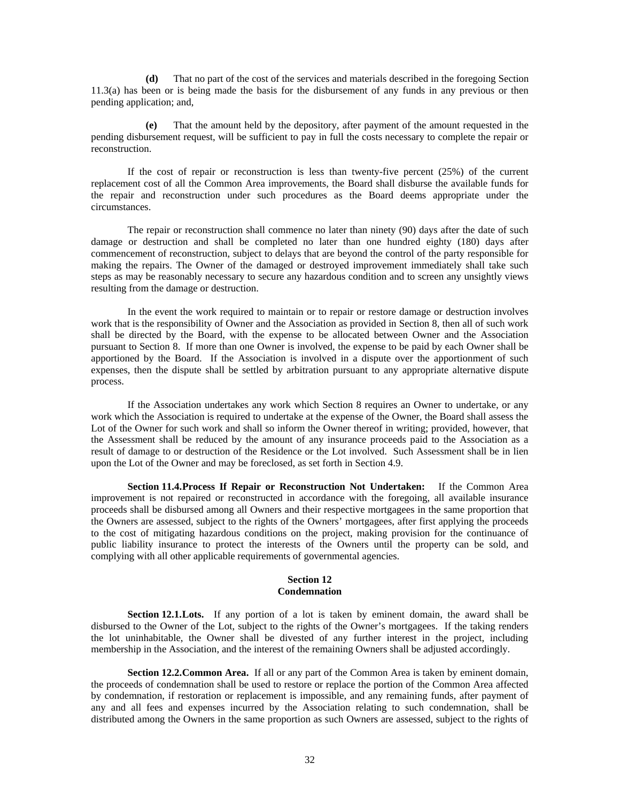**(d)** That no part of the cost of the services and materials described in the foregoing Section 11.3(a) has been or is being made the basis for the disbursement of any funds in any previous or then pending application; and,

**(e)** That the amount held by the depository, after payment of the amount requested in the pending disbursement request, will be sufficient to pay in full the costs necessary to complete the repair or reconstruction.

If the cost of repair or reconstruction is less than twenty-five percent (25%) of the current replacement cost of all the Common Area improvements, the Board shall disburse the available funds for the repair and reconstruction under such procedures as the Board deems appropriate under the circumstances.

The repair or reconstruction shall commence no later than ninety (90) days after the date of such damage or destruction and shall be completed no later than one hundred eighty (180) days after commencement of reconstruction, subject to delays that are beyond the control of the party responsible for making the repairs. The Owner of the damaged or destroyed improvement immediately shall take such steps as may be reasonably necessary to secure any hazardous condition and to screen any unsightly views resulting from the damage or destruction.

In the event the work required to maintain or to repair or restore damage or destruction involves work that is the responsibility of Owner and the Association as provided in Section 8, then all of such work shall be directed by the Board, with the expense to be allocated between Owner and the Association pursuant to Section 8. If more than one Owner is involved, the expense to be paid by each Owner shall be apportioned by the Board. If the Association is involved in a dispute over the apportionment of such expenses, then the dispute shall be settled by arbitration pursuant to any appropriate alternative dispute process.

If the Association undertakes any work which Section 8 requires an Owner to undertake, or any work which the Association is required to undertake at the expense of the Owner, the Board shall assess the Lot of the Owner for such work and shall so inform the Owner thereof in writing; provided, however, that the Assessment shall be reduced by the amount of any insurance proceeds paid to the Association as a result of damage to or destruction of the Residence or the Lot involved. Such Assessment shall be in lien upon the Lot of the Owner and may be foreclosed, as set forth in Section 4.9.

**Section 11.4. Process If Repair or Reconstruction Not Undertaken:** If the Common Area improvement is not repaired or reconstructed in accordance with the foregoing, all available insurance proceeds shall be disbursed among all Owners and their respective mortgagees in the same proportion that the Owners are assessed, subject to the rights of the Owners' mortgagees, after first applying the proceeds to the cost of mitigating hazardous conditions on the project, making provision for the continuance of public liability insurance to protect the interests of the Owners until the property can be sold, and complying with all other applicable requirements of governmental agencies.

# **Section 12 Condemnation**

**Section 12.1. Lots.** If any portion of a lot is taken by eminent domain, the award shall be disbursed to the Owner of the Lot, subject to the rights of the Owner's mortgagees. If the taking renders the lot uninhabitable, the Owner shall be divested of any further interest in the project, including membership in the Association, and the interest of the remaining Owners shall be adjusted accordingly.

**Section 12.2. Common Area.** If all or any part of the Common Area is taken by eminent domain, the proceeds of condemnation shall be used to restore or replace the portion of the Common Area affected by condemnation, if restoration or replacement is impossible, and any remaining funds, after payment of any and all fees and expenses incurred by the Association relating to such condemnation, shall be distributed among the Owners in the same proportion as such Owners are assessed, subject to the rights of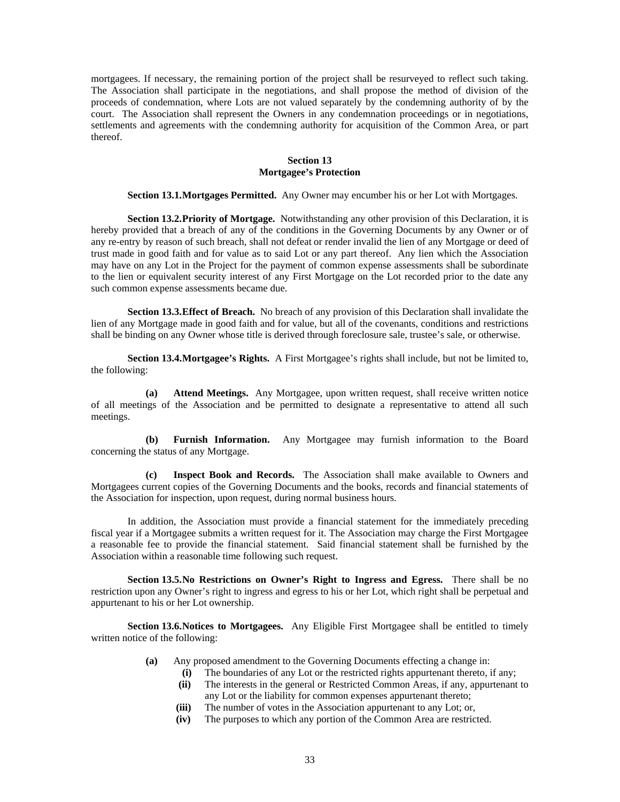mortgagees. If necessary, the remaining portion of the project shall be resurveyed to reflect such taking. The Association shall participate in the negotiations, and shall propose the method of division of the proceeds of condemnation, where Lots are not valued separately by the condemning authority of by the court. The Association shall represent the Owners in any condemnation proceedings or in negotiations, settlements and agreements with the condemning authority for acquisition of the Common Area, or part thereof.

# **Section 13 Mortgagee's Protection**

**Section 13.1. Mortgages Permitted.** Any Owner may encumber his or her Lot with Mortgages.

**Section 13.2. Priority of Mortgage.** Notwithstanding any other provision of this Declaration, it is hereby provided that a breach of any of the conditions in the Governing Documents by any Owner or of any re-entry by reason of such breach, shall not defeat or render invalid the lien of any Mortgage or deed of trust made in good faith and for value as to said Lot or any part thereof. Any lien which the Association may have on any Lot in the Project for the payment of common expense assessments shall be subordinate to the lien or equivalent security interest of any First Mortgage on the Lot recorded prior to the date any such common expense assessments became due.

**Section 13.3. Effect of Breach.** No breach of any provision of this Declaration shall invalidate the lien of any Mortgage made in good faith and for value, but all of the covenants, conditions and restrictions shall be binding on any Owner whose title is derived through foreclosure sale, trustee's sale, or otherwise.

**Section 13.4. Mortgagee's Rights.** A First Mortgagee's rights shall include, but not be limited to, the following:

**(a) Attend Meetings.** Any Mortgagee, upon written request, shall receive written notice of all meetings of the Association and be permitted to designate a representative to attend all such meetings.

**(b) Furnish Information.** Any Mortgagee may furnish information to the Board concerning the status of any Mortgage.

**(c) Inspect Book and Records.** The Association shall make available to Owners and Mortgagees current copies of the Governing Documents and the books, records and financial statements of the Association for inspection, upon request, during normal business hours.

In addition, the Association must provide a financial statement for the immediately preceding fiscal year if a Mortgagee submits a written request for it. The Association may charge the First Mortgagee a reasonable fee to provide the financial statement. Said financial statement shall be furnished by the Association within a reasonable time following such request.

**Section 13.5. No Restrictions on Owner's Right to Ingress and Egress.** There shall be no restriction upon any Owner's right to ingress and egress to his or her Lot, which right shall be perpetual and appurtenant to his or her Lot ownership.

**Section 13.6. Notices to Mortgagees.** Any Eligible First Mortgagee shall be entitled to timely written notice of the following:

- **(a)** Any proposed amendment to the Governing Documents effecting a change in:
	- **(i)** The boundaries of any Lot or the restricted rights appurtenant thereto, if any;
	- **(ii)** The interests in the general or Restricted Common Areas, if any, appurtenant to any Lot or the liability for common expenses appurtenant thereto;
	- **(iii)** The number of votes in the Association appurtenant to any Lot; or,
	- **(iv)** The purposes to which any portion of the Common Area are restricted.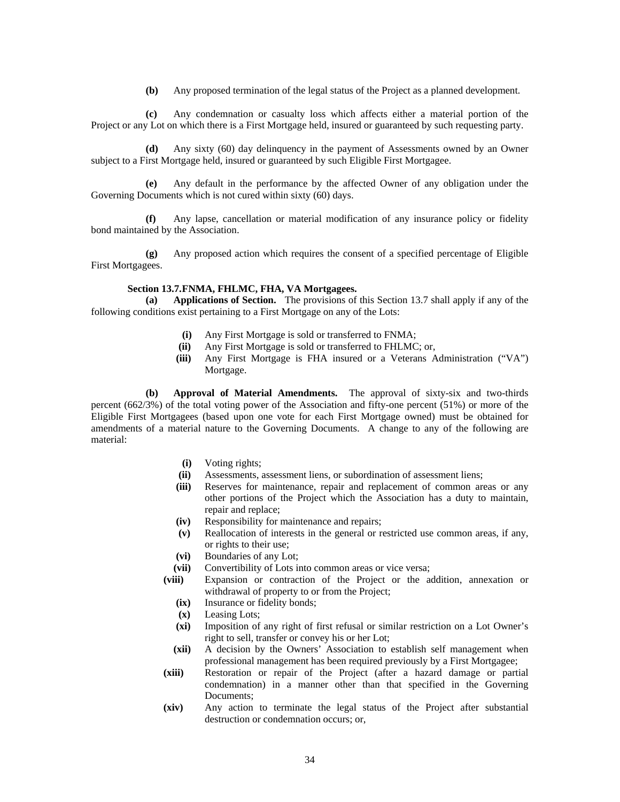**(b)** Any proposed termination of the legal status of the Project as a planned development.

**(c)** Any condemnation or casualty loss which affects either a material portion of the Project or any Lot on which there is a First Mortgage held, insured or guaranteed by such requesting party.

**(d)** Any sixty (60) day delinquency in the payment of Assessments owned by an Owner subject to a First Mortgage held, insured or guaranteed by such Eligible First Mortgagee.

**(e)** Any default in the performance by the affected Owner of any obligation under the Governing Documents which is not cured within sixty (60) days.

**(f)** Any lapse, cancellation or material modification of any insurance policy or fidelity bond maintained by the Association.

**(g)** Any proposed action which requires the consent of a specified percentage of Eligible First Mortgagees.

# **Section 13.7. FNMA, FHLMC, FHA, VA Mortgagees.**

**(a) Applications of Section.** The provisions of this Section 13.7 shall apply if any of the following conditions exist pertaining to a First Mortgage on any of the Lots:

- **(i)** Any First Mortgage is sold or transferred to FNMA;
- **(ii)** Any First Mortgage is sold or transferred to FHLMC; or,
- **(iii)** Any First Mortgage is FHA insured or a Veterans Administration ("VA") Mortgage.

**(b) Approval of Material Amendments.** The approval of sixty-six and two-thirds percent (662/3%) of the total voting power of the Association and fifty-one percent (51%) or more of the Eligible First Mortgagees (based upon one vote for each First Mortgage owned) must be obtained for amendments of a material nature to the Governing Documents. A change to any of the following are material:

- **(i)** Voting rights;
- **(ii)** Assessments, assessment liens, or subordination of assessment liens;
- **(iii)** Reserves for maintenance, repair and replacement of common areas or any other portions of the Project which the Association has a duty to maintain, repair and replace;
- **(iv)** Responsibility for maintenance and repairs;
- **(v)** Reallocation of interests in the general or restricted use common areas, if any, or rights to their use;
- **(vi)** Boundaries of any Lot;
- **(vii)** Convertibility of Lots into common areas or vice versa;
- **(viii)** Expansion or contraction of the Project or the addition, annexation or withdrawal of property to or from the Project;
	- **(ix)** Insurance or fidelity bonds;
	- **(x)** Leasing Lots;
	- **(xi)** Imposition of any right of first refusal or similar restriction on a Lot Owner's right to sell, transfer or convey his or her Lot;
- **(xii)** A decision by the Owners' Association to establish self management when professional management has been required previously by a First Mortgagee;
- **(xiii)** Restoration or repair of the Project (after a hazard damage or partial condemnation) in a manner other than that specified in the Governing Documents;
- **(xiv)** Any action to terminate the legal status of the Project after substantial destruction or condemnation occurs; or,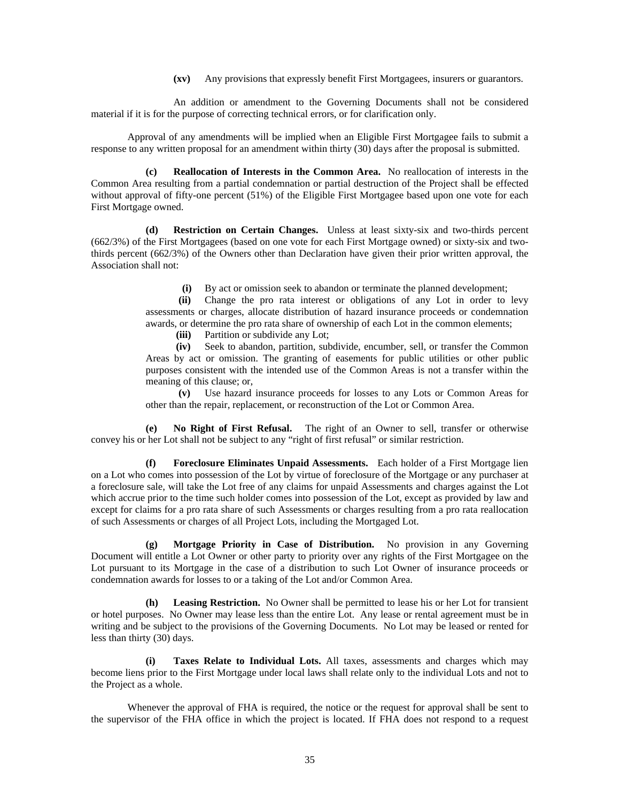**(xv)** Any provisions that expressly benefit First Mortgagees, insurers or guarantors.

 An addition or amendment to the Governing Documents shall not be considered material if it is for the purpose of correcting technical errors, or for clarification only.

Approval of any amendments will be implied when an Eligible First Mortgagee fails to submit a response to any written proposal for an amendment within thirty (30) days after the proposal is submitted.

**(c) Reallocation of Interests in the Common Area.** No reallocation of interests in the Common Area resulting from a partial condemnation or partial destruction of the Project shall be effected without approval of fifty-one percent (51%) of the Eligible First Mortgagee based upon one vote for each First Mortgage owned.

**(d) Restriction on Certain Changes.** Unless at least sixty-six and two-thirds percent (662/3%) of the First Mortgagees (based on one vote for each First Mortgage owned) or sixty-six and twothirds percent (662/3%) of the Owners other than Declaration have given their prior written approval, the Association shall not:

**(i)** By act or omission seek to abandon or terminate the planned development;

 **(ii)** Change the pro rata interest or obligations of any Lot in order to levy assessments or charges, allocate distribution of hazard insurance proceeds or condemnation awards, or determine the pro rata share of ownership of each Lot in the common elements;

**(iii)** Partition or subdivide any Lot;

**(iv)** Seek to abandon, partition, subdivide, encumber, sell, or transfer the Common Areas by act or omission. The granting of easements for public utilities or other public purposes consistent with the intended use of the Common Areas is not a transfer within the meaning of this clause; or,

 **(v)** Use hazard insurance proceeds for losses to any Lots or Common Areas for other than the repair, replacement, or reconstruction of the Lot or Common Area.

**(e) No Right of First Refusal.** The right of an Owner to sell, transfer or otherwise convey his or her Lot shall not be subject to any "right of first refusal" or similar restriction.

**(f) Foreclosure Eliminates Unpaid Assessments.** Each holder of a First Mortgage lien on a Lot who comes into possession of the Lot by virtue of foreclosure of the Mortgage or any purchaser at a foreclosure sale, will take the Lot free of any claims for unpaid Assessments and charges against the Lot which accrue prior to the time such holder comes into possession of the Lot, except as provided by law and except for claims for a pro rata share of such Assessments or charges resulting from a pro rata reallocation of such Assessments or charges of all Project Lots, including the Mortgaged Lot.

**(g) Mortgage Priority in Case of Distribution.** No provision in any Governing Document will entitle a Lot Owner or other party to priority over any rights of the First Mortgagee on the Lot pursuant to its Mortgage in the case of a distribution to such Lot Owner of insurance proceeds or condemnation awards for losses to or a taking of the Lot and/or Common Area.

**(h) Leasing Restriction.** No Owner shall be permitted to lease his or her Lot for transient or hotel purposes. No Owner may lease less than the entire Lot. Any lease or rental agreement must be in writing and be subject to the provisions of the Governing Documents. No Lot may be leased or rented for less than thirty (30) days.

**(i) Taxes Relate to Individual Lots.** All taxes, assessments and charges which may become liens prior to the First Mortgage under local laws shall relate only to the individual Lots and not to the Project as a whole.

Whenever the approval of FHA is required, the notice or the request for approval shall be sent to the supervisor of the FHA office in which the project is located. If FHA does not respond to a request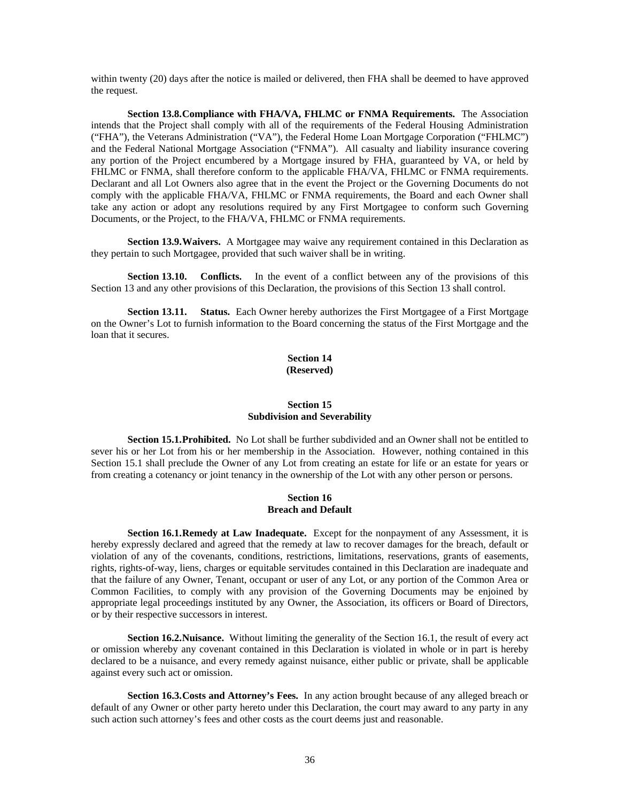within twenty (20) days after the notice is mailed or delivered, then FHA shall be deemed to have approved the request.

**Section 13.8. Compliance with FHA/VA, FHLMC or FNMA Requirements.** The Association intends that the Project shall comply with all of the requirements of the Federal Housing Administration ("FHA"), the Veterans Administration ("VA"), the Federal Home Loan Mortgage Corporation ("FHLMC") and the Federal National Mortgage Association ("FNMA"). All casualty and liability insurance covering any portion of the Project encumbered by a Mortgage insured by FHA, guaranteed by VA, or held by FHLMC or FNMA, shall therefore conform to the applicable FHA/VA, FHLMC or FNMA requirements. Declarant and all Lot Owners also agree that in the event the Project or the Governing Documents do not comply with the applicable FHA/VA, FHLMC or FNMA requirements, the Board and each Owner shall take any action or adopt any resolutions required by any First Mortgagee to conform such Governing Documents, or the Project, to the FHA/VA, FHLMC or FNMA requirements.

**Section 13.9. Waivers.** A Mortgagee may waive any requirement contained in this Declaration as they pertain to such Mortgagee, provided that such waiver shall be in writing.

**Section 13.10.** Conflicts. In the event of a conflict between any of the provisions of this Section 13 and any other provisions of this Declaration, the provisions of this Section 13 shall control.

**Section 13.11.** Status. Each Owner hereby authorizes the First Mortgagee of a First Mortgage on the Owner's Lot to furnish information to the Board concerning the status of the First Mortgage and the loan that it secures.

# **Section 14 (Reserved)**

### **Section 15 Subdivision and Severability**

**Section 15.1. Prohibited.** No Lot shall be further subdivided and an Owner shall not be entitled to sever his or her Lot from his or her membership in the Association. However, nothing contained in this Section 15.1 shall preclude the Owner of any Lot from creating an estate for life or an estate for years or from creating a cotenancy or joint tenancy in the ownership of the Lot with any other person or persons.

# **Section 16 Breach and Default**

**Section 16.1. Remedy at Law Inadequate.** Except for the nonpayment of any Assessment, it is hereby expressly declared and agreed that the remedy at law to recover damages for the breach, default or violation of any of the covenants, conditions, restrictions, limitations, reservations, grants of easements, rights, rights-of-way, liens, charges or equitable servitudes contained in this Declaration are inadequate and that the failure of any Owner, Tenant, occupant or user of any Lot, or any portion of the Common Area or Common Facilities, to comply with any provision of the Governing Documents may be enjoined by appropriate legal proceedings instituted by any Owner, the Association, its officers or Board of Directors, or by their respective successors in interest.

**Section 16.2. Nuisance.** Without limiting the generality of the Section 16.1, the result of every act or omission whereby any covenant contained in this Declaration is violated in whole or in part is hereby declared to be a nuisance, and every remedy against nuisance, either public or private, shall be applicable against every such act or omission.

**Section 16.3. Costs and Attorney's Fees.** In any action brought because of any alleged breach or default of any Owner or other party hereto under this Declaration, the court may award to any party in any such action such attorney's fees and other costs as the court deems just and reasonable.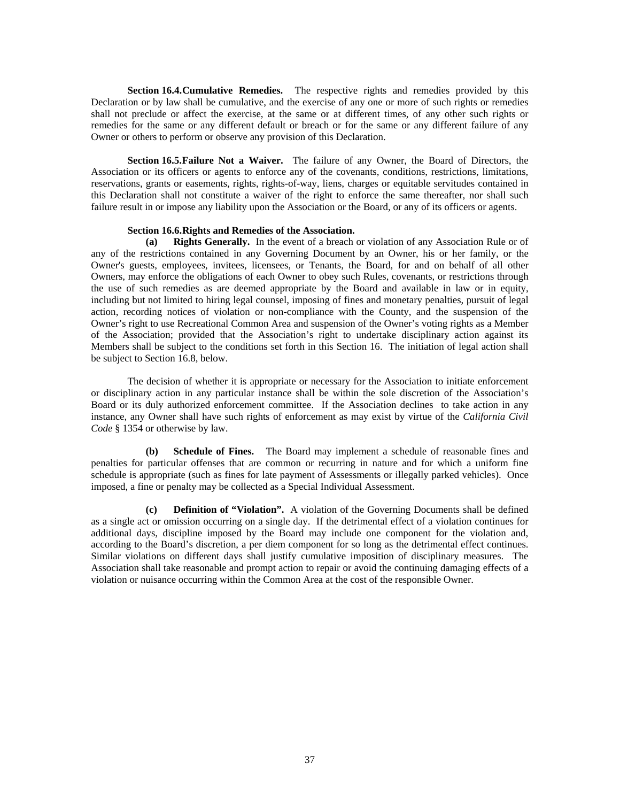**Section 16.4. Cumulative Remedies.** The respective rights and remedies provided by this Declaration or by law shall be cumulative, and the exercise of any one or more of such rights or remedies shall not preclude or affect the exercise, at the same or at different times, of any other such rights or remedies for the same or any different default or breach or for the same or any different failure of any Owner or others to perform or observe any provision of this Declaration.

**Section 16.5. Failure Not a Waiver.** The failure of any Owner, the Board of Directors, the Association or its officers or agents to enforce any of the covenants, conditions, restrictions, limitations, reservations, grants or easements, rights, rights-of-way, liens, charges or equitable servitudes contained in this Declaration shall not constitute a waiver of the right to enforce the same thereafter, nor shall such failure result in or impose any liability upon the Association or the Board, or any of its officers or agents.

### **Section 16.6. Rights and Remedies of the Association.**

**(a) Rights Generally.** In the event of a breach or violation of any Association Rule or of any of the restrictions contained in any Governing Document by an Owner, his or her family, or the Owner's guests, employees, invitees, licensees, or Tenants, the Board, for and on behalf of all other Owners, may enforce the obligations of each Owner to obey such Rules, covenants, or restrictions through the use of such remedies as are deemed appropriate by the Board and available in law or in equity, including but not limited to hiring legal counsel, imposing of fines and monetary penalties, pursuit of legal action, recording notices of violation or non-compliance with the County, and the suspension of the Owner's right to use Recreational Common Area and suspension of the Owner's voting rights as a Member of the Association; provided that the Association's right to undertake disciplinary action against its Members shall be subject to the conditions set forth in this Section 16. The initiation of legal action shall be subject to Section 16.8, below.

The decision of whether it is appropriate or necessary for the Association to initiate enforcement or disciplinary action in any particular instance shall be within the sole discretion of the Association's Board or its duly authorized enforcement committee. If the Association declines to take action in any instance, any Owner shall have such rights of enforcement as may exist by virtue of the *California Civil Code* § 1354 or otherwise by law.

**(b) Schedule of Fines.** The Board may implement a schedule of reasonable fines and penalties for particular offenses that are common or recurring in nature and for which a uniform fine schedule is appropriate (such as fines for late payment of Assessments or illegally parked vehicles). Once imposed, a fine or penalty may be collected as a Special Individual Assessment.

**(c) Definition of "Violation".** A violation of the Governing Documents shall be defined as a single act or omission occurring on a single day. If the detrimental effect of a violation continues for additional days, discipline imposed by the Board may include one component for the violation and, according to the Board's discretion, a per diem component for so long as the detrimental effect continues. Similar violations on different days shall justify cumulative imposition of disciplinary measures. The Association shall take reasonable and prompt action to repair or avoid the continuing damaging effects of a violation or nuisance occurring within the Common Area at the cost of the responsible Owner.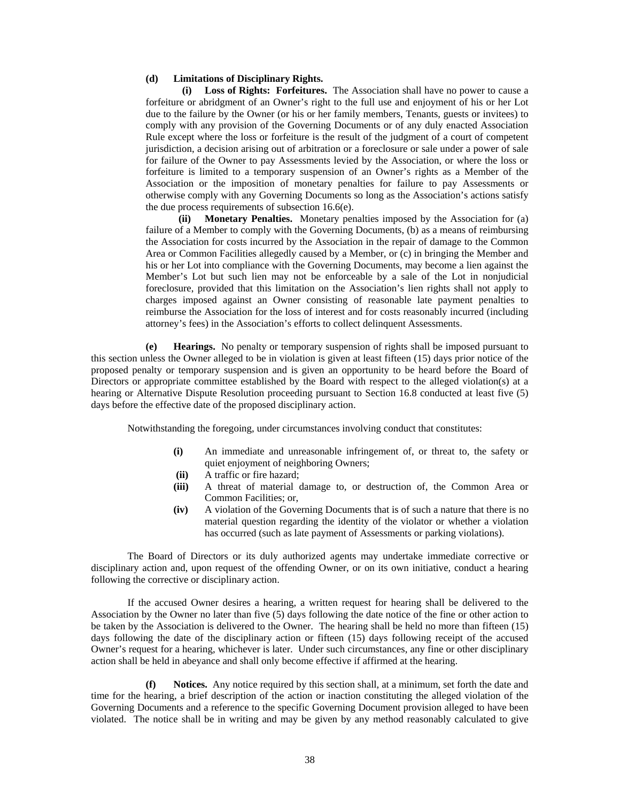#### **(d) Limitations of Disciplinary Rights.**

**(i) Loss of Rights: Forfeitures.** The Association shall have no power to cause a forfeiture or abridgment of an Owner's right to the full use and enjoyment of his or her Lot due to the failure by the Owner (or his or her family members, Tenants, guests or invitees) to comply with any provision of the Governing Documents or of any duly enacted Association Rule except where the loss or forfeiture is the result of the judgment of a court of competent jurisdiction, a decision arising out of arbitration or a foreclosure or sale under a power of sale for failure of the Owner to pay Assessments levied by the Association, or where the loss or forfeiture is limited to a temporary suspension of an Owner's rights as a Member of the Association or the imposition of monetary penalties for failure to pay Assessments or otherwise comply with any Governing Documents so long as the Association's actions satisfy the due process requirements of subsection 16.6(e).

 **(ii) Monetary Penalties.** Monetary penalties imposed by the Association for (a) failure of a Member to comply with the Governing Documents, (b) as a means of reimbursing the Association for costs incurred by the Association in the repair of damage to the Common Area or Common Facilities allegedly caused by a Member, or (c) in bringing the Member and his or her Lot into compliance with the Governing Documents, may become a lien against the Member's Lot but such lien may not be enforceable by a sale of the Lot in nonjudicial foreclosure, provided that this limitation on the Association's lien rights shall not apply to charges imposed against an Owner consisting of reasonable late payment penalties to reimburse the Association for the loss of interest and for costs reasonably incurred (including attorney's fees) in the Association's efforts to collect delinquent Assessments.

**(e) Hearings.** No penalty or temporary suspension of rights shall be imposed pursuant to this section unless the Owner alleged to be in violation is given at least fifteen (15) days prior notice of the proposed penalty or temporary suspension and is given an opportunity to be heard before the Board of Directors or appropriate committee established by the Board with respect to the alleged violation(s) at a hearing or Alternative Dispute Resolution proceeding pursuant to Section 16.8 conducted at least five (5) days before the effective date of the proposed disciplinary action.

Notwithstanding the foregoing, under circumstances involving conduct that constitutes:

- **(i)** An immediate and unreasonable infringement of, or threat to, the safety or quiet enjoyment of neighboring Owners;
- **(ii)** A traffic or fire hazard;
- **(iii)** A threat of material damage to, or destruction of, the Common Area or Common Facilities; or,
- **(iv)** A violation of the Governing Documents that is of such a nature that there is no material question regarding the identity of the violator or whether a violation has occurred (such as late payment of Assessments or parking violations).

The Board of Directors or its duly authorized agents may undertake immediate corrective or disciplinary action and, upon request of the offending Owner, or on its own initiative, conduct a hearing following the corrective or disciplinary action.

If the accused Owner desires a hearing, a written request for hearing shall be delivered to the Association by the Owner no later than five (5) days following the date notice of the fine or other action to be taken by the Association is delivered to the Owner. The hearing shall be held no more than fifteen (15) days following the date of the disciplinary action or fifteen (15) days following receipt of the accused Owner's request for a hearing, whichever is later. Under such circumstances, any fine or other disciplinary action shall be held in abeyance and shall only become effective if affirmed at the hearing.

**(f) Notices.** Any notice required by this section shall, at a minimum, set forth the date and time for the hearing, a brief description of the action or inaction constituting the alleged violation of the Governing Documents and a reference to the specific Governing Document provision alleged to have been violated. The notice shall be in writing and may be given by any method reasonably calculated to give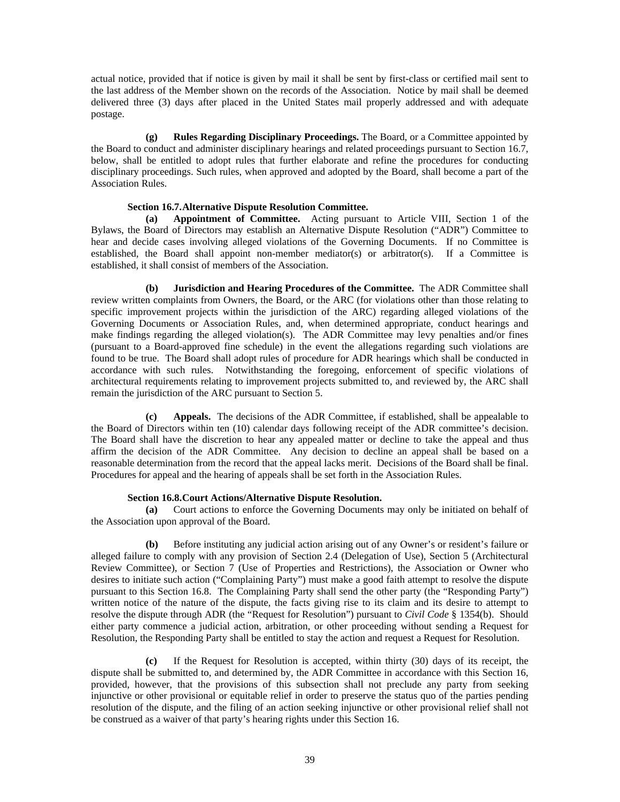actual notice, provided that if notice is given by mail it shall be sent by first-class or certified mail sent to the last address of the Member shown on the records of the Association. Notice by mail shall be deemed delivered three (3) days after placed in the United States mail properly addressed and with adequate postage.

**(g) Rules Regarding Disciplinary Proceedings.** The Board, or a Committee appointed by the Board to conduct and administer disciplinary hearings and related proceedings pursuant to Section 16.7, below, shall be entitled to adopt rules that further elaborate and refine the procedures for conducting disciplinary proceedings. Such rules, when approved and adopted by the Board, shall become a part of the Association Rules.

# **Section 16.7. Alternative Dispute Resolution Committee.**

**(a) Appointment of Committee.** Acting pursuant to Article VIII, Section 1 of the Bylaws, the Board of Directors may establish an Alternative Dispute Resolution ("ADR") Committee to hear and decide cases involving alleged violations of the Governing Documents. If no Committee is established, the Board shall appoint non-member mediator(s) or arbitrator(s). If a Committee is established, it shall consist of members of the Association.

**(b) Jurisdiction and Hearing Procedures of the Committee.** The ADR Committee shall review written complaints from Owners, the Board, or the ARC (for violations other than those relating to specific improvement projects within the jurisdiction of the ARC) regarding alleged violations of the Governing Documents or Association Rules, and, when determined appropriate, conduct hearings and make findings regarding the alleged violation(s). The ADR Committee may levy penalties and/or fines (pursuant to a Board-approved fine schedule) in the event the allegations regarding such violations are found to be true. The Board shall adopt rules of procedure for ADR hearings which shall be conducted in accordance with such rules. Notwithstanding the foregoing, enforcement of specific violations of architectural requirements relating to improvement projects submitted to, and reviewed by, the ARC shall remain the jurisdiction of the ARC pursuant to Section 5.

**(c) Appeals.** The decisions of the ADR Committee, if established, shall be appealable to the Board of Directors within ten (10) calendar days following receipt of the ADR committee's decision. The Board shall have the discretion to hear any appealed matter or decline to take the appeal and thus affirm the decision of the ADR Committee. Any decision to decline an appeal shall be based on a reasonable determination from the record that the appeal lacks merit. Decisions of the Board shall be final. Procedures for appeal and the hearing of appeals shall be set forth in the Association Rules.

### **Section 16.8. Court Actions/Alternative Dispute Resolution.**

**(a)** Court actions to enforce the Governing Documents may only be initiated on behalf of the Association upon approval of the Board.

**(b)** Before instituting any judicial action arising out of any Owner's or resident's failure or alleged failure to comply with any provision of Section 2.4 (Delegation of Use), Section 5 (Architectural Review Committee), or Section 7 (Use of Properties and Restrictions), the Association or Owner who desires to initiate such action ("Complaining Party") must make a good faith attempt to resolve the dispute pursuant to this Section 16.8. The Complaining Party shall send the other party (the "Responding Party") written notice of the nature of the dispute, the facts giving rise to its claim and its desire to attempt to resolve the dispute through ADR (the "Request for Resolution") pursuant to *Civil Code* § 1354(b). Should either party commence a judicial action, arbitration, or other proceeding without sending a Request for Resolution, the Responding Party shall be entitled to stay the action and request a Request for Resolution.

**(c)** If the Request for Resolution is accepted, within thirty (30) days of its receipt, the dispute shall be submitted to, and determined by, the ADR Committee in accordance with this Section 16, provided, however, that the provisions of this subsection shall not preclude any party from seeking injunctive or other provisional or equitable relief in order to preserve the status quo of the parties pending resolution of the dispute, and the filing of an action seeking injunctive or other provisional relief shall not be construed as a waiver of that party's hearing rights under this Section 16.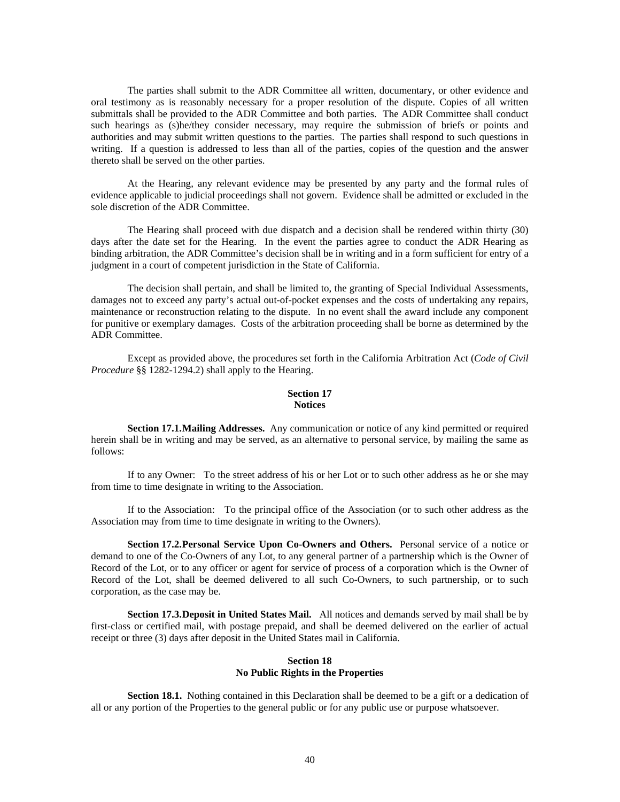The parties shall submit to the ADR Committee all written, documentary, or other evidence and oral testimony as is reasonably necessary for a proper resolution of the dispute. Copies of all written submittals shall be provided to the ADR Committee and both parties. The ADR Committee shall conduct such hearings as (s)he/they consider necessary, may require the submission of briefs or points and authorities and may submit written questions to the parties. The parties shall respond to such questions in writing. If a question is addressed to less than all of the parties, copies of the question and the answer thereto shall be served on the other parties.

At the Hearing, any relevant evidence may be presented by any party and the formal rules of evidence applicable to judicial proceedings shall not govern. Evidence shall be admitted or excluded in the sole discretion of the ADR Committee.

The Hearing shall proceed with due dispatch and a decision shall be rendered within thirty (30) days after the date set for the Hearing. In the event the parties agree to conduct the ADR Hearing as binding arbitration, the ADR Committee's decision shall be in writing and in a form sufficient for entry of a judgment in a court of competent jurisdiction in the State of California.

The decision shall pertain, and shall be limited to, the granting of Special Individual Assessments, damages not to exceed any party's actual out-of-pocket expenses and the costs of undertaking any repairs, maintenance or reconstruction relating to the dispute. In no event shall the award include any component for punitive or exemplary damages. Costs of the arbitration proceeding shall be borne as determined by the ADR Committee.

Except as provided above, the procedures set forth in the California Arbitration Act (*Code of Civil Procedure* §§ 1282-1294.2) shall apply to the Hearing.

# **Section 17 Notices**

**Section 17.1. Mailing Addresses.** Any communication or notice of any kind permitted or required herein shall be in writing and may be served, as an alternative to personal service, by mailing the same as follows:

If to any Owner: To the street address of his or her Lot or to such other address as he or she may from time to time designate in writing to the Association.

If to the Association: To the principal office of the Association (or to such other address as the Association may from time to time designate in writing to the Owners).

**Section 17.2. Personal Service Upon Co-Owners and Others.** Personal service of a notice or demand to one of the Co-Owners of any Lot, to any general partner of a partnership which is the Owner of Record of the Lot, or to any officer or agent for service of process of a corporation which is the Owner of Record of the Lot, shall be deemed delivered to all such Co-Owners, to such partnership, or to such corporation, as the case may be.

**Section 17.3. Deposit in United States Mail.** All notices and demands served by mail shall be by first-class or certified mail, with postage prepaid, and shall be deemed delivered on the earlier of actual receipt or three (3) days after deposit in the United States mail in California.

# **Section 18 No Public Rights in the Properties**

**Section 18.1.** Nothing contained in this Declaration shall be deemed to be a gift or a dedication of all or any portion of the Properties to the general public or for any public use or purpose whatsoever.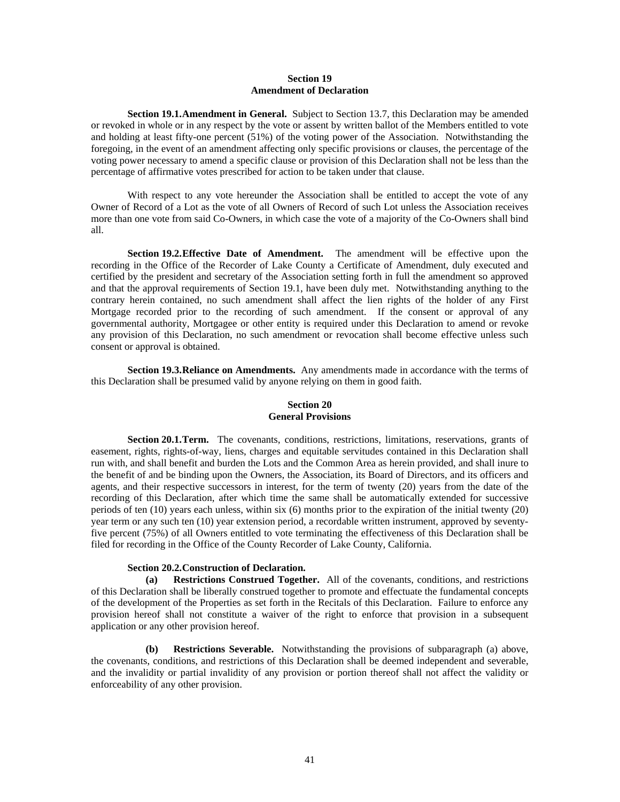# **Section 19 Amendment of Declaration**

**Section 19.1. Amendment in General.** Subject to Section 13.7, this Declaration may be amended or revoked in whole or in any respect by the vote or assent by written ballot of the Members entitled to vote and holding at least fifty-one percent (51%) of the voting power of the Association. Notwithstanding the foregoing, in the event of an amendment affecting only specific provisions or clauses, the percentage of the voting power necessary to amend a specific clause or provision of this Declaration shall not be less than the percentage of affirmative votes prescribed for action to be taken under that clause.

With respect to any vote hereunder the Association shall be entitled to accept the vote of any Owner of Record of a Lot as the vote of all Owners of Record of such Lot unless the Association receives more than one vote from said Co-Owners, in which case the vote of a majority of the Co-Owners shall bind all.

**Section 19.2. Effective Date of Amendment.** The amendment will be effective upon the recording in the Office of the Recorder of Lake County a Certificate of Amendment, duly executed and certified by the president and secretary of the Association setting forth in full the amendment so approved and that the approval requirements of Section 19.1, have been duly met. Notwithstanding anything to the contrary herein contained, no such amendment shall affect the lien rights of the holder of any First Mortgage recorded prior to the recording of such amendment. If the consent or approval of any governmental authority, Mortgagee or other entity is required under this Declaration to amend or revoke any provision of this Declaration, no such amendment or revocation shall become effective unless such consent or approval is obtained.

**Section 19.3. Reliance on Amendments.** Any amendments made in accordance with the terms of this Declaration shall be presumed valid by anyone relying on them in good faith.

### **Section 20 General Provisions**

Section 20.1. Term. The covenants, conditions, restrictions, limitations, reservations, grants of easement, rights, rights-of-way, liens, charges and equitable servitudes contained in this Declaration shall run with, and shall benefit and burden the Lots and the Common Area as herein provided, and shall inure to the benefit of and be binding upon the Owners, the Association, its Board of Directors, and its officers and agents, and their respective successors in interest, for the term of twenty (20) years from the date of the recording of this Declaration, after which time the same shall be automatically extended for successive periods of ten (10) years each unless, within six (6) months prior to the expiration of the initial twenty (20) year term or any such ten (10) year extension period, a recordable written instrument, approved by seventyfive percent (75%) of all Owners entitled to vote terminating the effectiveness of this Declaration shall be filed for recording in the Office of the County Recorder of Lake County, California.

# **Section 20.2. Construction of Declaration.**

**(a) Restrictions Construed Together.** All of the covenants, conditions, and restrictions of this Declaration shall be liberally construed together to promote and effectuate the fundamental concepts of the development of the Properties as set forth in the Recitals of this Declaration. Failure to enforce any provision hereof shall not constitute a waiver of the right to enforce that provision in a subsequent application or any other provision hereof.

**(b) Restrictions Severable.** Notwithstanding the provisions of subparagraph (a) above, the covenants, conditions, and restrictions of this Declaration shall be deemed independent and severable, and the invalidity or partial invalidity of any provision or portion thereof shall not affect the validity or enforceability of any other provision.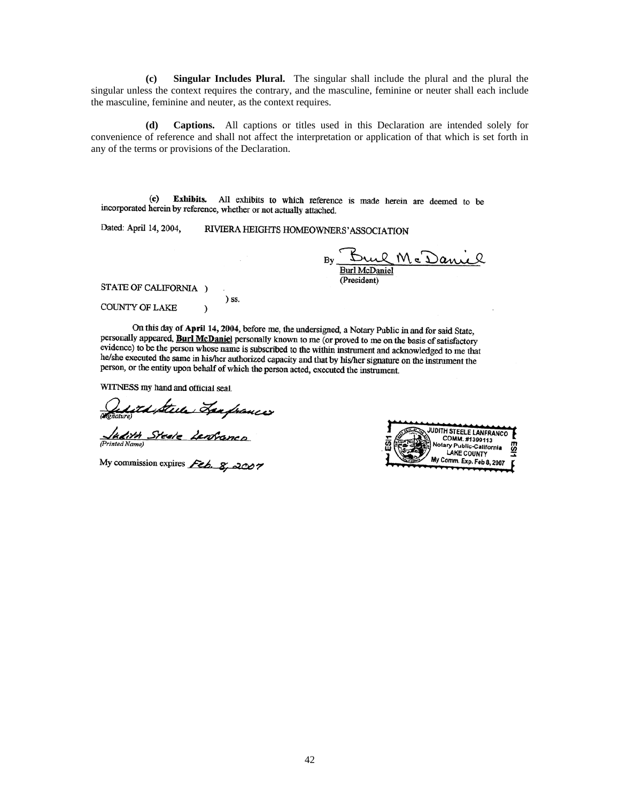**(c) Singular Includes Plural.** The singular shall include the plural and the plural the singular unless the context requires the contrary, and the masculine, feminine or neuter shall each include the masculine, feminine and neuter, as the context requires.

**(d) Captions.** All captions or titles used in this Declaration are intended solely for convenience of reference and shall not affect the interpretation or application of that which is set forth in any of the terms or provisions of the Declaration.

Exhibits. All exhibits to which reference is made herein are deemed to be (e) incorporated herein by reference, whether or not actually attached.

Dated: April 14, 2004, RIVIERA HEIGHTS HOMEOWNERS' ASSOCIATION

) ss.

 $\lambda$ 

 $M_{c}$ ) $\alpha_{11}$ **Burl McDaniel** (President)

STATE OF CALIFORNIA )

**COUNTY OF LAKE** 

On this day of April 14, 2004, before me, the undersigned, a Notary Public in and for said State, personally appeared, **Burl McDaniel** personally known to me (or proved to me on the basis of satisfactory evidence) to be the person whose name is subscribed to the within instrument and acknowledged to me that he/she executed the same in his/her authorized capacity and that by his/her signature on the instrument the person, or the entity upon behalf of which the person acted, executed the instrument.

WITNESS my hand and official seal.

Judit de Steele Jan frances<br>Individu Steele Londrance<br>interditume)<br>iv commission expires Fob a 2000

*Hadeth*<br>(Printed Name)

My commission expires  $\cancel{\mathcal{F}\epsilon\mathcal{L}}$ ,  $\cancel{x}$ , 2007

JUDITH STEELE LANFRANCO **COMM. #1399113** otary Public-Californi LAKE COUNTY My Comm. Exp. Feb 8, 2007